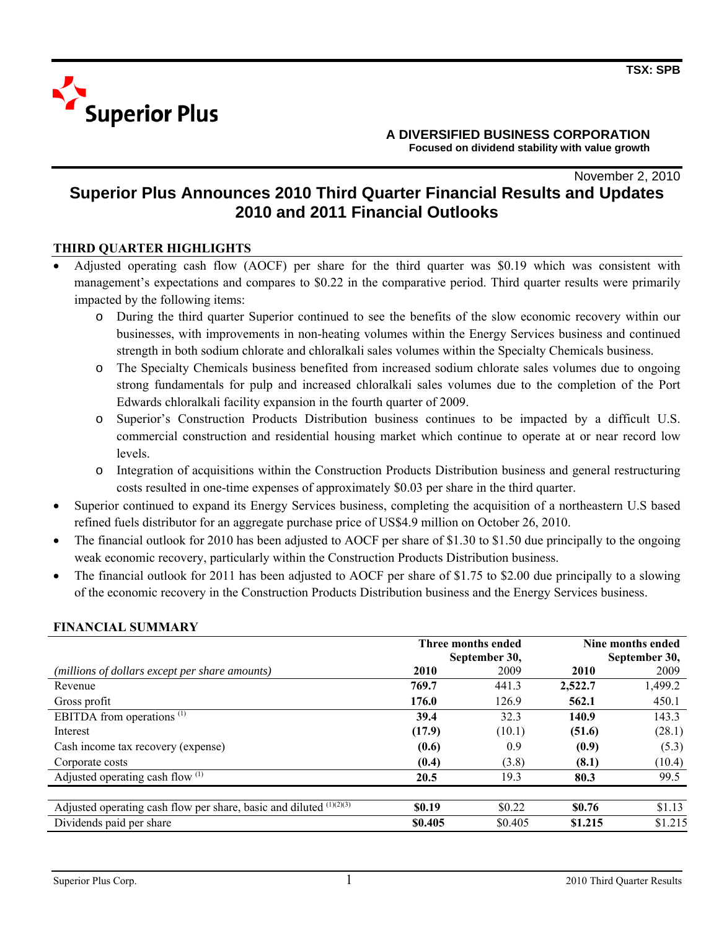

 **Focused on dividend stability with value growth** 

November 2, 2010

# **Superior Plus Announces 2010 Third Quarter Financial Results and Updates 2010 and 2011 Financial Outlooks**

## **THIRD QUARTER HIGHLIGHTS**

- Adjusted operating cash flow (AOCF) per share for the third quarter was \$0.19 which was consistent with management's expectations and compares to \$0.22 in the comparative period. Third quarter results were primarily impacted by the following items:
	- o During the third quarter Superior continued to see the benefits of the slow economic recovery within our businesses, with improvements in non-heating volumes within the Energy Services business and continued strength in both sodium chlorate and chloralkali sales volumes within the Specialty Chemicals business.
	- o The Specialty Chemicals business benefited from increased sodium chlorate sales volumes due to ongoing strong fundamentals for pulp and increased chloralkali sales volumes due to the completion of the Port Edwards chloralkali facility expansion in the fourth quarter of 2009.
	- o Superior's Construction Products Distribution business continues to be impacted by a difficult U.S. commercial construction and residential housing market which continue to operate at or near record low levels.
	- o Integration of acquisitions within the Construction Products Distribution business and general restructuring costs resulted in one-time expenses of approximately \$0.03 per share in the third quarter.
- Superior continued to expand its Energy Services business, completing the acquisition of a northeastern U.S based refined fuels distributor for an aggregate purchase price of US\$4.9 million on October 26, 2010.
- The financial outlook for 2010 has been adjusted to AOCF per share of \$1.30 to \$1.50 due principally to the ongoing weak economic recovery, particularly within the Construction Products Distribution business.
- The financial outlook for 2011 has been adjusted to AOCF per share of \$1.75 to \$2.00 due principally to a slowing of the economic recovery in the Construction Products Distribution business and the Energy Services business.

|                                                                       | Three months ended |         | Nine months ended |         |  |
|-----------------------------------------------------------------------|--------------------|---------|-------------------|---------|--|
|                                                                       | September 30,      |         | September 30,     |         |  |
| (millions of dollars except per share amounts)                        | 2010               | 2009    | 2010              | 2009    |  |
| Revenue                                                               | 769.7              | 441.3   | 2,522.7           | 1,499.2 |  |
| Gross profit                                                          | 176.0              | 126.9   | 562.1             | 450.1   |  |
| EBITDA from operations $(1)$                                          | 39.4               | 32.3    | 140.9             | 143.3   |  |
| Interest                                                              | (17.9)             | (10.1)  | (51.6)            | (28.1)  |  |
| Cash income tax recovery (expense)                                    | (0.6)              | 0.9     | (0.9)             | (5.3)   |  |
| Corporate costs                                                       | (0.4)              | (3.8)   | (8.1)             | (10.4)  |  |
| Adjusted operating cash flow $(1)$                                    | 20.5               | 19.3    | 80.3              | 99.5    |  |
|                                                                       |                    |         |                   |         |  |
| Adjusted operating cash flow per share, basic and diluted $(1)(2)(3)$ | \$0.19             | \$0.22  | <b>SO.76</b>      | \$1.13  |  |
| Dividends paid per share                                              | \$0.405            | \$0.405 | \$1.215           | \$1.215 |  |

### **FINANCIAL SUMMARY**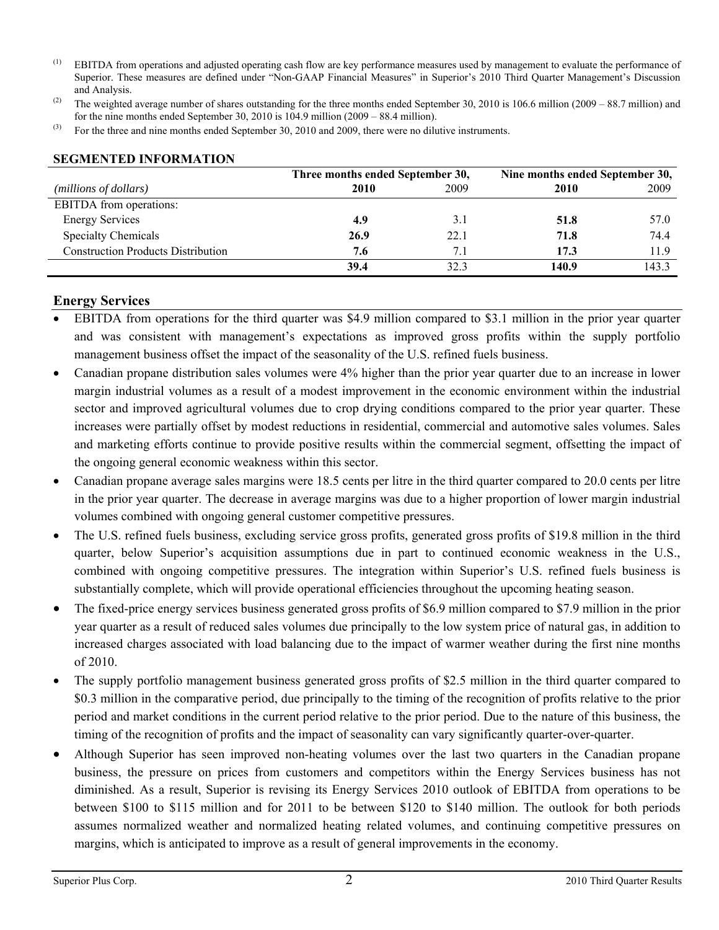- <sup>(1)</sup> EBITDA from operations and adjusted operating cash flow are key performance measures used by management to evaluate the performance of Superior. These measures are defined under "Non-GAAP Financial Measures" in Superior's 2010 Third Quarter Management's Discussion and Analysis.
- <sup>(2)</sup> The weighted average number of shares outstanding for the three months ended September 30, 2010 is 106.6 million (2009 88.7 million) and for the nine months ended September 30, 2010 is 104.9 million (2009 – 88.4 million).
- $^{(3)}$  For the three and nine months ended September 30, 2010 and 2009, there were no dilutive instruments.

|                                           | Three months ended September 30, |      | Nine months ended September 30, |       |  |
|-------------------------------------------|----------------------------------|------|---------------------------------|-------|--|
| (millions of dollars)                     | 2010                             | 2009 | 2010                            | 2009  |  |
| <b>EBITDA</b> from operations:            |                                  |      |                                 |       |  |
| <b>Energy Services</b>                    | 4.9                              | 3.1  | 51.8                            | 57.0  |  |
| <b>Specialty Chemicals</b>                | 26.9                             | 22.1 | 71.8                            | 74.4  |  |
| <b>Construction Products Distribution</b> | 7.6                              | 7.1  | 17.3                            | 11.9  |  |
|                                           | 39.4                             | 32.3 | 140.9                           | 143.3 |  |

### **SEGMENTED INFORMATION**

## **Energy Services**

- EBITDA from operations for the third quarter was \$4.9 million compared to \$3.1 million in the prior year quarter and was consistent with management's expectations as improved gross profits within the supply portfolio management business offset the impact of the seasonality of the U.S. refined fuels business.
- Canadian propane distribution sales volumes were 4% higher than the prior year quarter due to an increase in lower margin industrial volumes as a result of a modest improvement in the economic environment within the industrial sector and improved agricultural volumes due to crop drying conditions compared to the prior year quarter. These increases were partially offset by modest reductions in residential, commercial and automotive sales volumes. Sales and marketing efforts continue to provide positive results within the commercial segment, offsetting the impact of the ongoing general economic weakness within this sector.
- Canadian propane average sales margins were 18.5 cents per litre in the third quarter compared to 20.0 cents per litre in the prior year quarter. The decrease in average margins was due to a higher proportion of lower margin industrial volumes combined with ongoing general customer competitive pressures.
- The U.S. refined fuels business, excluding service gross profits, generated gross profits of \$19.8 million in the third quarter, below Superior's acquisition assumptions due in part to continued economic weakness in the U.S., combined with ongoing competitive pressures. The integration within Superior's U.S. refined fuels business is substantially complete, which will provide operational efficiencies throughout the upcoming heating season.
- The fixed-price energy services business generated gross profits of \$6.9 million compared to \$7.9 million in the prior year quarter as a result of reduced sales volumes due principally to the low system price of natural gas, in addition to increased charges associated with load balancing due to the impact of warmer weather during the first nine months of 2010.
- The supply portfolio management business generated gross profits of \$2.5 million in the third quarter compared to \$0.3 million in the comparative period, due principally to the timing of the recognition of profits relative to the prior period and market conditions in the current period relative to the prior period. Due to the nature of this business, the timing of the recognition of profits and the impact of seasonality can vary significantly quarter-over-quarter.
- Although Superior has seen improved non-heating volumes over the last two quarters in the Canadian propane business, the pressure on prices from customers and competitors within the Energy Services business has not diminished. As a result, Superior is revising its Energy Services 2010 outlook of EBITDA from operations to be between \$100 to \$115 million and for 2011 to be between \$120 to \$140 million. The outlook for both periods assumes normalized weather and normalized heating related volumes, and continuing competitive pressures on margins, which is anticipated to improve as a result of general improvements in the economy.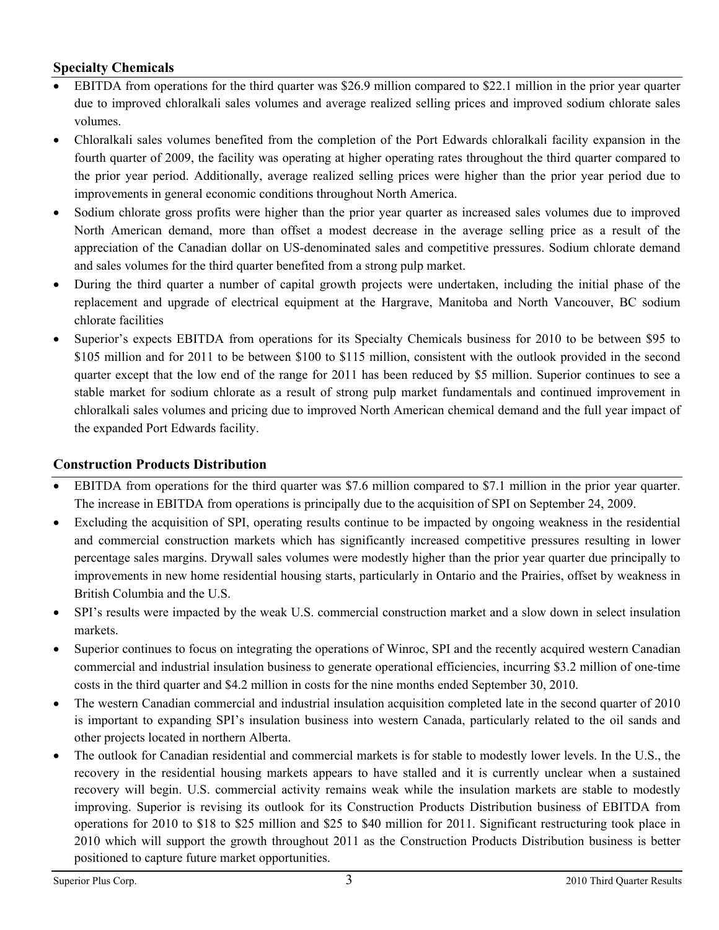## **Specialty Chemicals**

- EBITDA from operations for the third quarter was \$26.9 million compared to \$22.1 million in the prior year quarter due to improved chloralkali sales volumes and average realized selling prices and improved sodium chlorate sales volumes.
- Chloralkali sales volumes benefited from the completion of the Port Edwards chloralkali facility expansion in the fourth quarter of 2009, the facility was operating at higher operating rates throughout the third quarter compared to the prior year period. Additionally, average realized selling prices were higher than the prior year period due to improvements in general economic conditions throughout North America.
- Sodium chlorate gross profits were higher than the prior year quarter as increased sales volumes due to improved North American demand, more than offset a modest decrease in the average selling price as a result of the appreciation of the Canadian dollar on US-denominated sales and competitive pressures. Sodium chlorate demand and sales volumes for the third quarter benefited from a strong pulp market.
- During the third quarter a number of capital growth projects were undertaken, including the initial phase of the replacement and upgrade of electrical equipment at the Hargrave, Manitoba and North Vancouver, BC sodium chlorate facilities
- Superior's expects EBITDA from operations for its Specialty Chemicals business for 2010 to be between \$95 to \$105 million and for 2011 to be between \$100 to \$115 million, consistent with the outlook provided in the second quarter except that the low end of the range for 2011 has been reduced by \$5 million. Superior continues to see a stable market for sodium chlorate as a result of strong pulp market fundamentals and continued improvement in chloralkali sales volumes and pricing due to improved North American chemical demand and the full year impact of the expanded Port Edwards facility.

## **Construction Products Distribution**

- EBITDA from operations for the third quarter was \$7.6 million compared to \$7.1 million in the prior year quarter. The increase in EBITDA from operations is principally due to the acquisition of SPI on September 24, 2009.
- Excluding the acquisition of SPI, operating results continue to be impacted by ongoing weakness in the residential and commercial construction markets which has significantly increased competitive pressures resulting in lower percentage sales margins. Drywall sales volumes were modestly higher than the prior year quarter due principally to improvements in new home residential housing starts, particularly in Ontario and the Prairies, offset by weakness in British Columbia and the U.S.
- SPI's results were impacted by the weak U.S. commercial construction market and a slow down in select insulation markets.
- Superior continues to focus on integrating the operations of Winroc, SPI and the recently acquired western Canadian commercial and industrial insulation business to generate operational efficiencies, incurring \$3.2 million of one-time costs in the third quarter and \$4.2 million in costs for the nine months ended September 30, 2010.
- The western Canadian commercial and industrial insulation acquisition completed late in the second quarter of 2010 is important to expanding SPI's insulation business into western Canada, particularly related to the oil sands and other projects located in northern Alberta.
- The outlook for Canadian residential and commercial markets is for stable to modestly lower levels. In the U.S., the recovery in the residential housing markets appears to have stalled and it is currently unclear when a sustained recovery will begin. U.S. commercial activity remains weak while the insulation markets are stable to modestly improving. Superior is revising its outlook for its Construction Products Distribution business of EBITDA from operations for 2010 to \$18 to \$25 million and \$25 to \$40 million for 2011. Significant restructuring took place in 2010 which will support the growth throughout 2011 as the Construction Products Distribution business is better positioned to capture future market opportunities.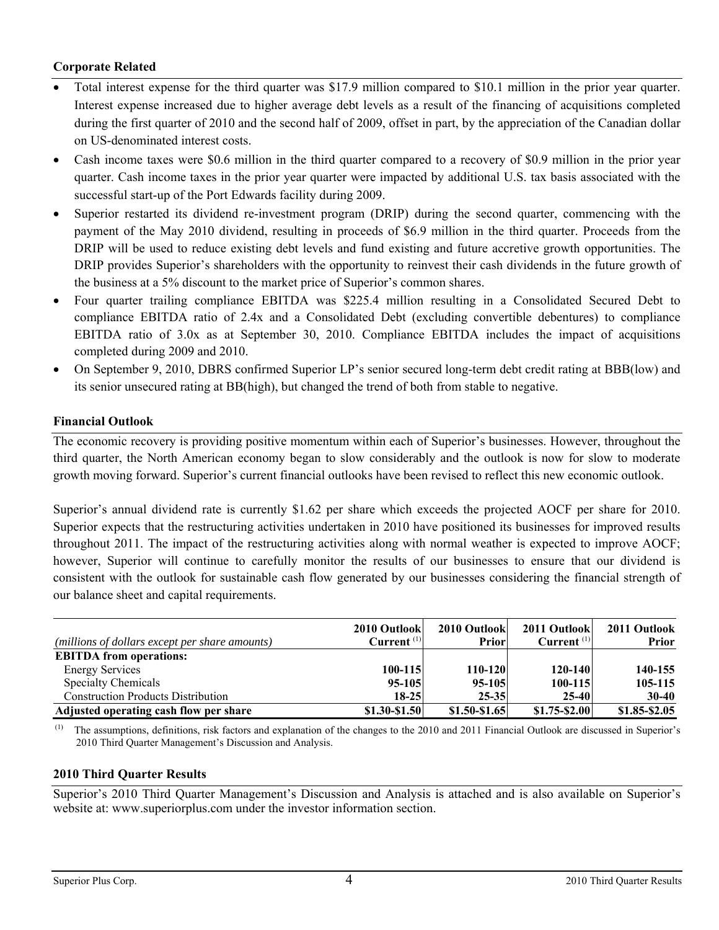## **Corporate Related**

- Total interest expense for the third quarter was \$17.9 million compared to \$10.1 million in the prior year quarter. Interest expense increased due to higher average debt levels as a result of the financing of acquisitions completed during the first quarter of 2010 and the second half of 2009, offset in part, by the appreciation of the Canadian dollar on US-denominated interest costs.
- Cash income taxes were \$0.6 million in the third quarter compared to a recovery of \$0.9 million in the prior year quarter. Cash income taxes in the prior year quarter were impacted by additional U.S. tax basis associated with the successful start-up of the Port Edwards facility during 2009.
- Superior restarted its dividend re-investment program (DRIP) during the second quarter, commencing with the payment of the May 2010 dividend, resulting in proceeds of \$6.9 million in the third quarter. Proceeds from the DRIP will be used to reduce existing debt levels and fund existing and future accretive growth opportunities. The DRIP provides Superior's shareholders with the opportunity to reinvest their cash dividends in the future growth of the business at a 5% discount to the market price of Superior's common shares.
- Four quarter trailing compliance EBITDA was \$225.4 million resulting in a Consolidated Secured Debt to compliance EBITDA ratio of 2.4x and a Consolidated Debt (excluding convertible debentures) to compliance EBITDA ratio of 3.0x as at September 30, 2010. Compliance EBITDA includes the impact of acquisitions completed during 2009 and 2010.
- On September 9, 2010, DBRS confirmed Superior LP's senior secured long-term debt credit rating at BBB(low) and its senior unsecured rating at BB(high), but changed the trend of both from stable to negative.

## **Financial Outlook**

The economic recovery is providing positive momentum within each of Superior's businesses. However, throughout the third quarter, the North American economy began to slow considerably and the outlook is now for slow to moderate growth moving forward. Superior's current financial outlooks have been revised to reflect this new economic outlook.

Superior's annual dividend rate is currently \$1.62 per share which exceeds the projected AOCF per share for 2010. Superior expects that the restructuring activities undertaken in 2010 have positioned its businesses for improved results throughout 2011. The impact of the restructuring activities along with normal weather is expected to improve AOCF; however, Superior will continue to carefully monitor the results of our businesses to ensure that our dividend is consistent with the outlook for sustainable cash flow generated by our businesses considering the financial strength of our balance sheet and capital requirements.

|                                                | 2010 Outlook<br>Current $(1)$ | 2010 Outlook<br><b>Prior</b> | 2011 Outlook<br>Current <sup>(1)</sup> | 2011 Outlook<br>Prior |
|------------------------------------------------|-------------------------------|------------------------------|----------------------------------------|-----------------------|
| (millions of dollars except per share amounts) |                               |                              |                                        |                       |
| <b>EBITDA</b> from operations:                 |                               |                              |                                        |                       |
| <b>Energy Services</b>                         | 100-115                       | 110-120                      | 120-140                                | 140-155               |
| <b>Specialty Chemicals</b>                     | 95-105                        | 95-105                       | 100-115                                | 105-115               |
| <b>Construction Products Distribution</b>      | $18 - 25$                     | $25 - 35$                    | $25 - 40$                              | $30 - 40$             |
| Adjusted operating cash flow per share         | \$1.30-\$1.50                 | $$1.50-S1.65$                | $$1.75 - $2.00$                        | $$1.85 - $2.05$       |

(1) The assumptions, definitions, risk factors and explanation of the changes to the 2010 and 2011 Financial Outlook are discussed in Superior's 2010 Third Quarter Management's Discussion and Analysis.

## **2010 Third Quarter Results**

Superior's 2010 Third Quarter Management's Discussion and Analysis is attached and is also available on Superior's website at: www.superiorplus.com under the investor information section.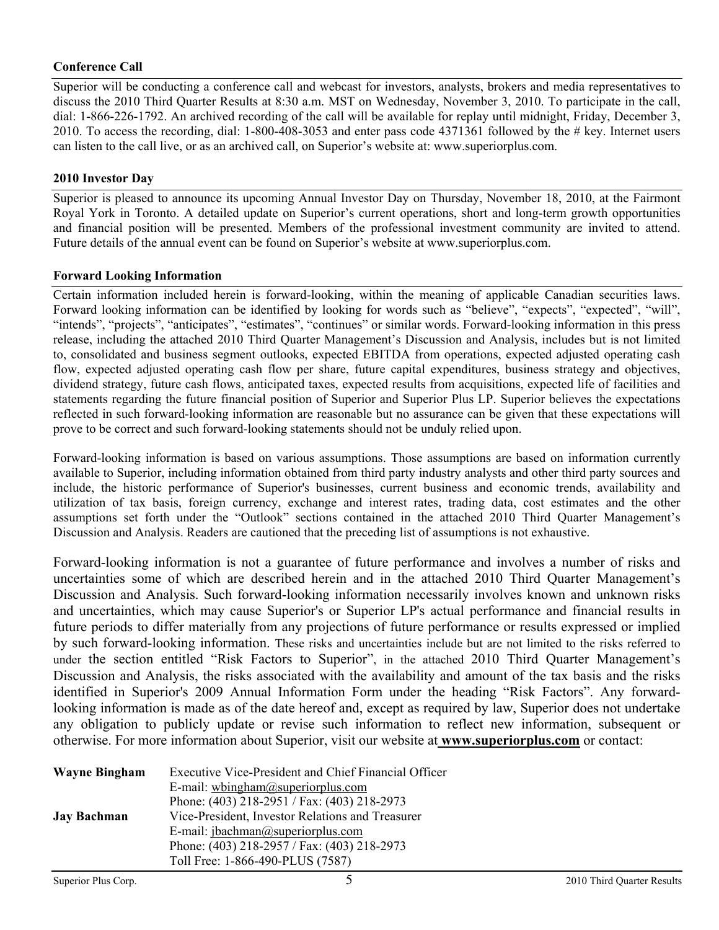## **Conference Call**

Superior will be conducting a conference call and webcast for investors, analysts, brokers and media representatives to discuss the 2010 Third Quarter Results at 8:30 a.m. MST on Wednesday, November 3, 2010. To participate in the call, dial: 1-866-226-1792. An archived recording of the call will be available for replay until midnight, Friday, December 3, 2010. To access the recording, dial: 1-800-408-3053 and enter pass code 4371361 followed by the # key. Internet users can listen to the call live, or as an archived call, on Superior's website at: www.superiorplus.com.

### **2010 Investor Day**

Superior is pleased to announce its upcoming Annual Investor Day on Thursday, November 18, 2010, at the Fairmont Royal York in Toronto. A detailed update on Superior's current operations, short and long-term growth opportunities and financial position will be presented. Members of the professional investment community are invited to attend. Future details of the annual event can be found on Superior's website at www.superiorplus.com.

### **Forward Looking Information**

Certain information included herein is forward-looking, within the meaning of applicable Canadian securities laws. Forward looking information can be identified by looking for words such as "believe", "expects", "expected", "will", "intends", "projects", "anticipates", "estimates", "continues" or similar words. Forward-looking information in this press release, including the attached 2010 Third Quarter Management's Discussion and Analysis, includes but is not limited to, consolidated and business segment outlooks, expected EBITDA from operations, expected adjusted operating cash flow, expected adjusted operating cash flow per share, future capital expenditures, business strategy and objectives, dividend strategy, future cash flows, anticipated taxes, expected results from acquisitions, expected life of facilities and statements regarding the future financial position of Superior and Superior Plus LP. Superior believes the expectations reflected in such forward-looking information are reasonable but no assurance can be given that these expectations will prove to be correct and such forward-looking statements should not be unduly relied upon.

Forward-looking information is based on various assumptions. Those assumptions are based on information currently available to Superior, including information obtained from third party industry analysts and other third party sources and include, the historic performance of Superior's businesses, current business and economic trends, availability and utilization of tax basis, foreign currency, exchange and interest rates, trading data, cost estimates and the other assumptions set forth under the "Outlook" sections contained in the attached 2010 Third Quarter Management's Discussion and Analysis. Readers are cautioned that the preceding list of assumptions is not exhaustive.

Forward-looking information is not a guarantee of future performance and involves a number of risks and uncertainties some of which are described herein and in the attached 2010 Third Quarter Management's Discussion and Analysis. Such forward-looking information necessarily involves known and unknown risks and uncertainties, which may cause Superior's or Superior LP's actual performance and financial results in future periods to differ materially from any projections of future performance or results expressed or implied by such forward-looking information. These risks and uncertainties include but are not limited to the risks referred to under the section entitled "Risk Factors to Superior", in the attached 2010 Third Quarter Management's Discussion and Analysis, the risks associated with the availability and amount of the tax basis and the risks identified in Superior's 2009 Annual Information Form under the heading "Risk Factors". Any forwardlooking information is made as of the date hereof and, except as required by law, Superior does not undertake any obligation to publicly update or revise such information to reflect new information, subsequent or otherwise. For more information about Superior, visit our website at **www.superiorplus.com** or contact:

| <b>Wayne Bingham</b> | <b>Executive Vice-President and Chief Financial Officer</b> |
|----------------------|-------------------------------------------------------------|
|                      | E-mail: whingham@superiorplus.com                           |
|                      | Phone: (403) 218-2951 / Fax: (403) 218-2973                 |
| <b>Jay Bachman</b>   | Vice-President, Investor Relations and Treasurer            |
|                      | E-mail: jbachman@superiorplus.com                           |
|                      | Phone: (403) 218-2957 / Fax: (403) 218-2973                 |
|                      | Toll Free: 1-866-490-PLUS (7587)                            |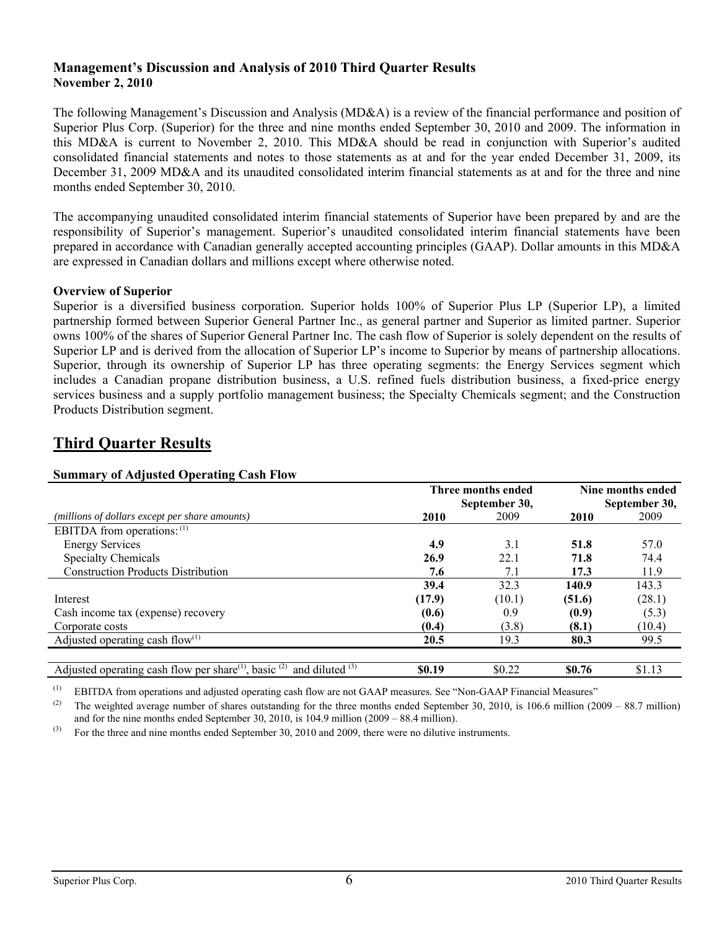## **Management's Discussion and Analysis of 2010 Third Quarter Results November 2, 2010**

The following Management's Discussion and Analysis (MD&A) is a review of the financial performance and position of Superior Plus Corp. (Superior) for the three and nine months ended September 30, 2010 and 2009. The information in this MD&A is current to November 2, 2010. This MD&A should be read in conjunction with Superior's audited consolidated financial statements and notes to those statements as at and for the year ended December 31, 2009, its December 31, 2009 MD&A and its unaudited consolidated interim financial statements as at and for the three and nine months ended September 30, 2010.

The accompanying unaudited consolidated interim financial statements of Superior have been prepared by and are the responsibility of Superior's management. Superior's unaudited consolidated interim financial statements have been prepared in accordance with Canadian generally accepted accounting principles (GAAP). Dollar amounts in this MD&A are expressed in Canadian dollars and millions except where otherwise noted.

## **Overview of Superior**

Superior is a diversified business corporation. Superior holds 100% of Superior Plus LP (Superior LP), a limited partnership formed between Superior General Partner Inc., as general partner and Superior as limited partner. Superior owns 100% of the shares of Superior General Partner Inc. The cash flow of Superior is solely dependent on the results of Superior LP and is derived from the allocation of Superior LP's income to Superior by means of partnership allocations. Superior, through its ownership of Superior LP has three operating segments: the Energy Services segment which includes a Canadian propane distribution business, a U.S. refined fuels distribution business, a fixed-price energy services business and a supply portfolio management business; the Specialty Chemicals segment; and the Construction Products Distribution segment.

# **Third Quarter Results**

## **Summary of Adjusted Operating Cash Flow**

|                                                                                                         | Three months ended<br>September 30, |        |               | Nine months ended<br>September 30, |  |  |
|---------------------------------------------------------------------------------------------------------|-------------------------------------|--------|---------------|------------------------------------|--|--|
| (millions of dollars except per share amounts)                                                          | 2010                                | 2009   | 2010          | 2009                               |  |  |
| EBITDA from operations: $(1)$                                                                           |                                     |        |               |                                    |  |  |
| <b>Energy Services</b>                                                                                  | 4.9                                 | 3.1    | 51.8          | 57.0                               |  |  |
| <b>Specialty Chemicals</b>                                                                              | 26.9                                | 22.1   | 71.8          | 74.4                               |  |  |
| <b>Construction Products Distribution</b>                                                               | 7.6                                 | 7.1    | 17.3          | 11.9                               |  |  |
|                                                                                                         | 39.4                                | 32.3   | 140.9         | 143.3                              |  |  |
| Interest                                                                                                | (17.9)                              | (10.1) | (51.6)        | (28.1)                             |  |  |
| Cash income tax (expense) recovery                                                                      | (0.6)                               | 0.9    | (0.9)         | (5.3)                              |  |  |
| Corporate costs                                                                                         | (0.4)                               | (3.8)  | (8.1)         | (10.4)                             |  |  |
| Adjusted operating cash flow $^{(1)}$                                                                   | 20.5                                | 19.3   | 80.3          | 99.5                               |  |  |
| Adjusted operating cash flow per share <sup>(1)</sup> , basic <sup>(2)</sup> and diluted <sup>(3)</sup> | \$0.19                              | \$0.22 | <b>\$0.76</b> | \$1.13                             |  |  |

(1) EBITDA from operations and adjusted operating cash flow are not GAAP measures. See "Non-GAAP Financial Measures"

<sup>(2)</sup> The weighted average number of shares outstanding for the three months ended September 30, 2010, is 106.6 million (2009 – 88.7 million) and for the nine months ended September 30, 2010, is 104.9 million (2009 – 88.4 million).

 $^{(3)}$  For the three and nine months ended September 30, 2010 and 2009, there were no dilutive instruments.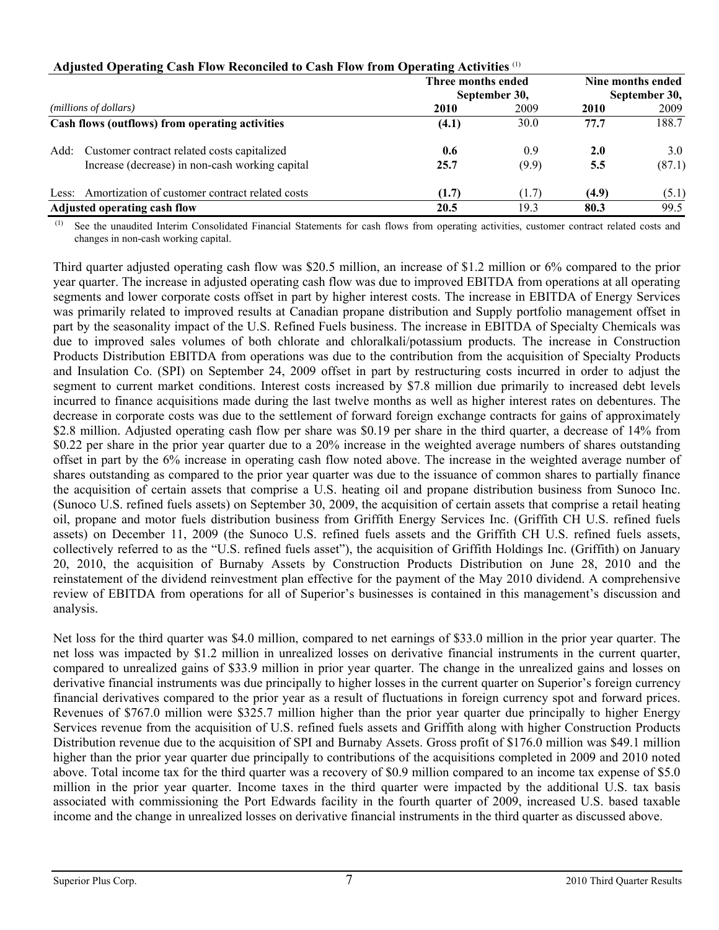|                                | Trafasted Operating Cash Flow Reconcilea to Cash Flow Holli Operating Trenvitres |                    |                   |               |        |  |
|--------------------------------|----------------------------------------------------------------------------------|--------------------|-------------------|---------------|--------|--|
|                                |                                                                                  | Three months ended | Nine months ended |               |        |  |
|                                |                                                                                  |                    | September 30,     | September 30, |        |  |
| ( <i>millions of dollars</i> ) |                                                                                  | 2010               | 2009              | 2010          | 2009   |  |
|                                | Cash flows (outflows) from operating activities                                  | (4.1)              | 30.0              | 77.7          | 188.7  |  |
| Add:                           | Customer contract related costs capitalized                                      | 0.6                | 0.9               | 2.0           | 3.0    |  |
|                                | Increase (decrease) in non-cash working capital                                  | 25.7               | (9.9)             | 5.5           | (87.1) |  |
| Less:                          | Amortization of customer contract related costs                                  | (1.7)              | (1.7)             | (4.9)         | (5.1)  |  |
|                                | <b>Adjusted operating cash flow</b>                                              | 20.5               | 19.3              | 80.3          | 99.5   |  |

### **Adjusted Operating Cash Flow Reconciled to Cash Flow from Operating Activities** (1)

 (1) See the unaudited Interim Consolidated Financial Statements for cash flows from operating activities, customer contract related costs and changes in non-cash working capital.

Third quarter adjusted operating cash flow was \$20.5 million, an increase of \$1.2 million or 6% compared to the prior year quarter. The increase in adjusted operating cash flow was due to improved EBITDA from operations at all operating segments and lower corporate costs offset in part by higher interest costs. The increase in EBITDA of Energy Services was primarily related to improved results at Canadian propane distribution and Supply portfolio management offset in part by the seasonality impact of the U.S. Refined Fuels business. The increase in EBITDA of Specialty Chemicals was due to improved sales volumes of both chlorate and chloralkali/potassium products. The increase in Construction Products Distribution EBITDA from operations was due to the contribution from the acquisition of Specialty Products and Insulation Co. (SPI) on September 24, 2009 offset in part by restructuring costs incurred in order to adjust the segment to current market conditions. Interest costs increased by \$7.8 million due primarily to increased debt levels incurred to finance acquisitions made during the last twelve months as well as higher interest rates on debentures. The decrease in corporate costs was due to the settlement of forward foreign exchange contracts for gains of approximately \$2.8 million. Adjusted operating cash flow per share was \$0.19 per share in the third quarter, a decrease of 14% from \$0.22 per share in the prior year quarter due to a 20% increase in the weighted average numbers of shares outstanding offset in part by the 6% increase in operating cash flow noted above. The increase in the weighted average number of shares outstanding as compared to the prior year quarter was due to the issuance of common shares to partially finance the acquisition of certain assets that comprise a U.S. heating oil and propane distribution business from Sunoco Inc. (Sunoco U.S. refined fuels assets) on September 30, 2009, the acquisition of certain assets that comprise a retail heating oil, propane and motor fuels distribution business from Griffith Energy Services Inc. (Griffith CH U.S. refined fuels assets) on December 11, 2009 (the Sunoco U.S. refined fuels assets and the Griffith CH U.S. refined fuels assets, collectively referred to as the "U.S. refined fuels asset"), the acquisition of Griffith Holdings Inc. (Griffith) on January 20, 2010, the acquisition of Burnaby Assets by Construction Products Distribution on June 28, 2010 and the reinstatement of the dividend reinvestment plan effective for the payment of the May 2010 dividend. A comprehensive review of EBITDA from operations for all of Superior's businesses is contained in this management's discussion and analysis.

Net loss for the third quarter was \$4.0 million, compared to net earnings of \$33.0 million in the prior year quarter. The net loss was impacted by \$1.2 million in unrealized losses on derivative financial instruments in the current quarter, compared to unrealized gains of \$33.9 million in prior year quarter. The change in the unrealized gains and losses on derivative financial instruments was due principally to higher losses in the current quarter on Superior's foreign currency financial derivatives compared to the prior year as a result of fluctuations in foreign currency spot and forward prices. Revenues of \$767.0 million were \$325.7 million higher than the prior year quarter due principally to higher Energy Services revenue from the acquisition of U.S. refined fuels assets and Griffith along with higher Construction Products Distribution revenue due to the acquisition of SPI and Burnaby Assets. Gross profit of \$176.0 million was \$49.1 million higher than the prior year quarter due principally to contributions of the acquisitions completed in 2009 and 2010 noted above. Total income tax for the third quarter was a recovery of \$0.9 million compared to an income tax expense of \$5.0 million in the prior year quarter. Income taxes in the third quarter were impacted by the additional U.S. tax basis associated with commissioning the Port Edwards facility in the fourth quarter of 2009, increased U.S. based taxable income and the change in unrealized losses on derivative financial instruments in the third quarter as discussed above.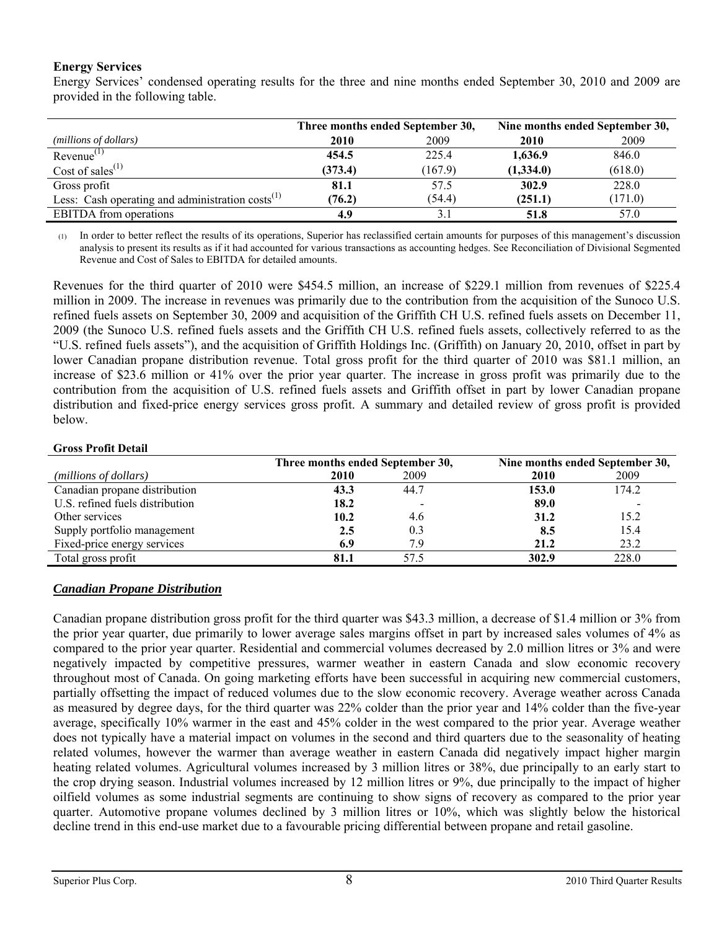## **Energy Services**

Energy Services' condensed operating results for the three and nine months ended September 30, 2010 and 2009 are provided in the following table.

|                                                       | Three months ended September 30, |         |           | Nine months ended September 30, |
|-------------------------------------------------------|----------------------------------|---------|-----------|---------------------------------|
| (millions of dollars)                                 | 2010                             | 2009    | 2010      | 2009                            |
| Revenue <sup>(1)</sup>                                | 454.5                            | 225.4   | 1,636.9   | 846.0                           |
| Cost of sales <sup><math>(1)</math></sup>             | (373.4)                          | (167.9) | (1,334.0) | (618.0)                         |
| Gross profit                                          | 81.1                             | 57.5    | 302.9     | 228.0                           |
| Less: Cash operating and administration $costs^{(1)}$ | (76.2)                           | (54.4)  | (251.1)   | (171.0)                         |
| <b>EBITDA</b> from operations                         | 4.9                              |         | 51.8      | 57.0                            |

(1) In order to better reflect the results of its operations, Superior has reclassified certain amounts for purposes of this management's discussion analysis to present its results as if it had accounted for various transactions as accounting hedges. See Reconciliation of Divisional Segmented Revenue and Cost of Sales to EBITDA for detailed amounts.

Revenues for the third quarter of 2010 were \$454.5 million, an increase of \$229.1 million from revenues of \$225.4 million in 2009. The increase in revenues was primarily due to the contribution from the acquisition of the Sunoco U.S. refined fuels assets on September 30, 2009 and acquisition of the Griffith CH U.S. refined fuels assets on December 11, 2009 (the Sunoco U.S. refined fuels assets and the Griffith CH U.S. refined fuels assets, collectively referred to as the "U.S. refined fuels assets"), and the acquisition of Griffith Holdings Inc. (Griffith) on January 20, 2010, offset in part by lower Canadian propane distribution revenue. Total gross profit for the third quarter of 2010 was \$81.1 million, an increase of \$23.6 million or 41% over the prior year quarter. The increase in gross profit was primarily due to the contribution from the acquisition of U.S. refined fuels assets and Griffith offset in part by lower Canadian propane distribution and fixed-price energy services gross profit. A summary and detailed review of gross profit is provided below.

### **Gross Profit Detail**

|                                 | Three months ended September 30, |                          | Nine months ended September 30, |       |
|---------------------------------|----------------------------------|--------------------------|---------------------------------|-------|
| (millions of dollars)           | <b>2010</b>                      | 2009                     | 2010                            | 2009  |
| Canadian propane distribution   | 43.3                             | 44.7                     | 153.0                           | 174.2 |
| U.S. refined fuels distribution | 18.2                             | $\overline{\phantom{a}}$ | 89.0                            |       |
| Other services                  | 10.2                             | 4.6                      | 31.2                            | 15.2  |
| Supply portfolio management     | 2.5                              | 0.3                      | 8.5                             | 15.4  |
| Fixed-price energy services     | 6.9                              | 7.9                      | 21.2                            | 23.2  |
| Total gross profit              | 81.1                             |                          | 302.9                           | 228.0 |

## *Canadian Propane Distribution*

Canadian propane distribution gross profit for the third quarter was \$43.3 million, a decrease of \$1.4 million or 3% from the prior year quarter, due primarily to lower average sales margins offset in part by increased sales volumes of 4% as compared to the prior year quarter. Residential and commercial volumes decreased by 2.0 million litres or 3% and were negatively impacted by competitive pressures, warmer weather in eastern Canada and slow economic recovery throughout most of Canada. On going marketing efforts have been successful in acquiring new commercial customers, partially offsetting the impact of reduced volumes due to the slow economic recovery. Average weather across Canada as measured by degree days, for the third quarter was 22% colder than the prior year and 14% colder than the five-year average, specifically 10% warmer in the east and 45% colder in the west compared to the prior year. Average weather does not typically have a material impact on volumes in the second and third quarters due to the seasonality of heating related volumes, however the warmer than average weather in eastern Canada did negatively impact higher margin heating related volumes. Agricultural volumes increased by 3 million litres or 38%, due principally to an early start to the crop drying season. Industrial volumes increased by 12 million litres or 9%, due principally to the impact of higher oilfield volumes as some industrial segments are continuing to show signs of recovery as compared to the prior year quarter. Automotive propane volumes declined by 3 million litres or 10%, which was slightly below the historical decline trend in this end-use market due to a favourable pricing differential between propane and retail gasoline.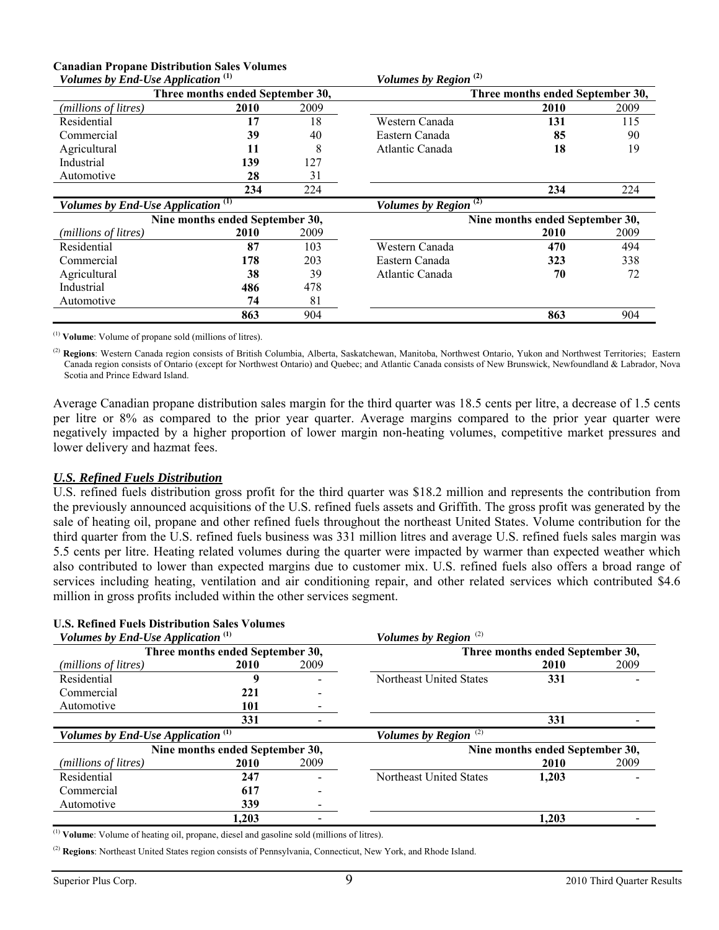| Volumes by End-Use Application $(1)$          |                                  |      | Volumes by Region <sup>(2)</sup>      |                                  |      |
|-----------------------------------------------|----------------------------------|------|---------------------------------------|----------------------------------|------|
|                                               | Three months ended September 30, |      |                                       | Three months ended September 30, |      |
| ( <i>millions of litres</i> )                 | 2010                             | 2009 |                                       | 2010                             | 2009 |
| Residential                                   | 17                               | 18   | Western Canada                        | 131                              | 115  |
| Commercial                                    | 39                               | 40   | Eastern Canada                        | 85                               | 90   |
| Agricultural                                  | 11                               | 8    | Atlantic Canada                       | 18                               | 19   |
| Industrial                                    | 139                              | 127  |                                       |                                  |      |
| Automotive                                    | 28                               | 31   |                                       |                                  |      |
|                                               | 234                              | 224  |                                       | 234                              | 224  |
| Volumes by End-Use Application <sup>(1)</sup> |                                  |      |                                       |                                  |      |
|                                               |                                  |      | Volumes by Region $\overline{^{(2)}}$ |                                  |      |
|                                               | Nine months ended September 30,  |      |                                       | Nine months ended September 30,  |      |
| ( <i>millions of litres</i> )                 | 2010                             | 2009 |                                       | 2010                             | 2009 |
| Residential                                   | 87                               | 103  | Western Canada                        | 470                              | 494  |
| Commercial                                    | 178                              | 203  | Eastern Canada                        | 323                              | 338  |
| Agricultural                                  | 38                               | 39   | Atlantic Canada                       | 70                               | 72   |
| Industrial                                    | 486                              | 478  |                                       |                                  |      |
| Automotive                                    | 74                               | 81   |                                       |                                  |      |

### **Canadian Propane Distribution Sales Volumes**

(1) **Volume**: Volume of propane sold (millions of litres).

(2) **Regions**: Western Canada region consists of British Columbia, Alberta, Saskatchewan, Manitoba, Northwest Ontario, Yukon and Northwest Territories; Eastern Canada region consists of Ontario (except for Northwest Ontario) and Quebec; and Atlantic Canada consists of New Brunswick, Newfoundland & Labrador, Nova Scotia and Prince Edward Island.

Average Canadian propane distribution sales margin for the third quarter was 18.5 cents per litre, a decrease of 1.5 cents per litre or 8% as compared to the prior year quarter. Average margins compared to the prior year quarter were negatively impacted by a higher proportion of lower margin non-heating volumes, competitive market pressures and lower delivery and hazmat fees.

### *U.S. Refined Fuels Distribution*

U.S. refined fuels distribution gross profit for the third quarter was \$18.2 million and represents the contribution from the previously announced acquisitions of the U.S. refined fuels assets and Griffith. The gross profit was generated by the sale of heating oil, propane and other refined fuels throughout the northeast United States. Volume contribution for the third quarter from the U.S. refined fuels business was 331 million litres and average U.S. refined fuels sales margin was 5.5 cents per litre. Heating related volumes during the quarter were impacted by warmer than expected weather which also contributed to lower than expected margins due to customer mix. U.S. refined fuels also offers a broad range of services including heating, ventilation and air conditioning repair, and other related services which contributed \$4.6 million in gross profits included within the other services segment.

| сля понном г исп ртвитрицоп запосточнико<br>Volumes by End-Use Application $(1)$ |                                  |      | Volumes by Region <sup>(2)</sup> |                                 |      |
|----------------------------------------------------------------------------------|----------------------------------|------|----------------------------------|---------------------------------|------|
|                                                                                  | Three months ended September 30, |      | Three months ended September 30, |                                 |      |
| ( <i>millions of litres</i> )                                                    | 2010                             | 2009 |                                  | 2010                            | 2009 |
| Residential                                                                      |                                  |      | Northeast United States          | 331                             |      |
| Commercial                                                                       | 221                              |      |                                  |                                 |      |
| Automotive                                                                       | 101                              |      |                                  |                                 |      |
|                                                                                  | 331                              |      |                                  | 331                             |      |
| Volumes by End-Use Application $(1)$                                             |                                  |      | Volumes by Region <sup>(2)</sup> |                                 |      |
|                                                                                  | Nine months ended September 30,  |      |                                  | Nine months ended September 30, |      |
| ( <i>millions of litres</i> )                                                    | 2010                             | 2009 |                                  | 2010                            | 2009 |
| Residential                                                                      | 247                              |      | Northeast United States          | 1,203                           |      |
| Commercial                                                                       | 617                              |      |                                  |                                 |      |
| Automotive                                                                       | 339                              |      |                                  |                                 |      |
|                                                                                  | 1,203                            |      |                                  | 1,203                           |      |

## **U.S. Refined Fuels Distribution Sales Volumes**

<sup>(1)</sup> **Volume**: Volume of heating oil, propane, diesel and gasoline sold (millions of litres).

(2) **Regions**: Northeast United States region consists of Pennsylvania, Connecticut, New York, and Rhode Island.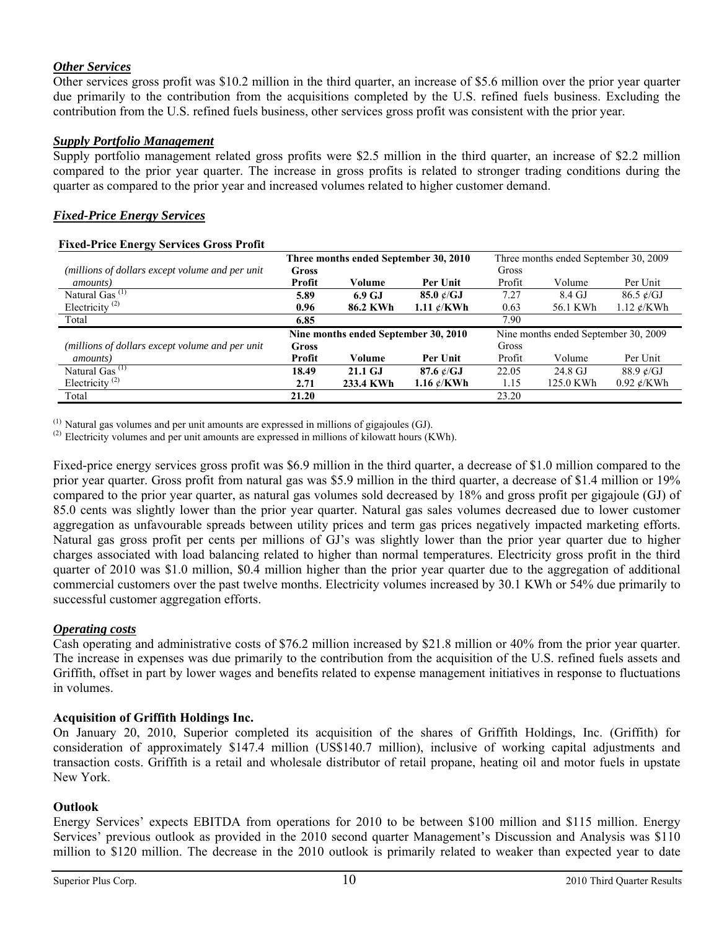### *Other Services*

Other services gross profit was \$10.2 million in the third quarter, an increase of \$5.6 million over the prior year quarter due primarily to the contribution from the acquisitions completed by the U.S. refined fuels business. Excluding the contribution from the U.S. refined fuels business, other services gross profit was consistent with the prior year.

### *Supply Portfolio Management*

Supply portfolio management related gross profits were \$2.5 million in the third quarter, an increase of \$2.2 million compared to the prior year quarter. The increase in gross profits is related to stronger trading conditions during the quarter as compared to the prior year and increased volumes related to higher customer demand.

### *Fixed-Price Energy Services*

| <b>Fixed-Price Energy Services Gross Profit</b> |  |  |
|-------------------------------------------------|--|--|
|                                                 |  |  |

| $- v$                                           | Three months ended September 30, 2010 |                                      |                  | Three months ended September 30, 2009 |                                      |                                      |
|-------------------------------------------------|---------------------------------------|--------------------------------------|------------------|---------------------------------------|--------------------------------------|--------------------------------------|
| (millions of dollars except volume and per unit | Gross                                 |                                      |                  | Gross                                 |                                      |                                      |
| <i>amounts</i> )                                | Profit                                | Volume                               | Per Unit         | Profit                                | Volume                               | Per Unit                             |
| Natural Gas <sup>(1)</sup>                      | 5.89                                  | 6.9 GJ                               | 85.0 $\ell$ /GJ  | 7.27                                  | 8.4 GJ                               | $86.5 \text{ }\mathcal{C}/\text{GJ}$ |
| Electricity <sup>(2)</sup>                      | 0.96                                  | 86.2 KWh                             | 1.11 $\ell$ /KWh | 0.63                                  | 56.1 KWh                             | $1.12 \text{ }\mathcal{C}/KWh$       |
| Total                                           | 6.85                                  |                                      |                  | 7.90                                  |                                      |                                      |
|                                                 |                                       | Nine months ended September 30, 2010 |                  |                                       | Nine months ended September 30, 2009 |                                      |
| (millions of dollars except volume and per unit | Gross                                 |                                      |                  | Gross                                 |                                      |                                      |
| <i>amounts</i> )                                | Profit                                | Volume                               | Per Unit         | Profit                                | Volume                               | Per Unit                             |
| Natural Gas <sup>(1)</sup>                      | 18.49                                 | 21.1 GJ                              | 87.6 $\ell$ /GJ  | 22.05                                 | 24.8 GJ                              | 88.9 $\ell$ /GJ                      |
| Electricity <sup><math>(2)</math></sup>         | 2.71                                  | 233.4 KWh                            | 1.16 $\ell$ /KWh | 1.15                                  | 125.0 KWh                            | $0.92 \frac{e}{KWh}$                 |
| Total                                           | 21.20                                 |                                      |                  | 23.20                                 |                                      |                                      |

 $<sup>(1)</sup>$  Natural gas volumes and per unit amounts are expressed in millions of gigajoules (GJ).</sup>

 $^{(2)}$  Electricity volumes and per unit amounts are expressed in millions of kilowatt hours (KWh).

Fixed-price energy services gross profit was \$6.9 million in the third quarter, a decrease of \$1.0 million compared to the prior year quarter. Gross profit from natural gas was \$5.9 million in the third quarter, a decrease of \$1.4 million or 19% compared to the prior year quarter, as natural gas volumes sold decreased by 18% and gross profit per gigajoule (GJ) of 85.0 cents was slightly lower than the prior year quarter. Natural gas sales volumes decreased due to lower customer aggregation as unfavourable spreads between utility prices and term gas prices negatively impacted marketing efforts. Natural gas gross profit per cents per millions of GJ's was slightly lower than the prior year quarter due to higher charges associated with load balancing related to higher than normal temperatures. Electricity gross profit in the third quarter of 2010 was \$1.0 million, \$0.4 million higher than the prior year quarter due to the aggregation of additional commercial customers over the past twelve months. Electricity volumes increased by 30.1 KWh or 54% due primarily to successful customer aggregation efforts.

## *Operating costs*

Cash operating and administrative costs of \$76.2 million increased by \$21.8 million or 40% from the prior year quarter. The increase in expenses was due primarily to the contribution from the acquisition of the U.S. refined fuels assets and Griffith, offset in part by lower wages and benefits related to expense management initiatives in response to fluctuations in volumes.

## **Acquisition of Griffith Holdings Inc.**

On January 20, 2010, Superior completed its acquisition of the shares of Griffith Holdings, Inc. (Griffith) for consideration of approximately \$147.4 million (US\$140.7 million), inclusive of working capital adjustments and transaction costs. Griffith is a retail and wholesale distributor of retail propane, heating oil and motor fuels in upstate New York.

## **Outlook**

Energy Services' expects EBITDA from operations for 2010 to be between \$100 million and \$115 million. Energy Services' previous outlook as provided in the 2010 second quarter Management's Discussion and Analysis was \$110 million to \$120 million. The decrease in the 2010 outlook is primarily related to weaker than expected year to date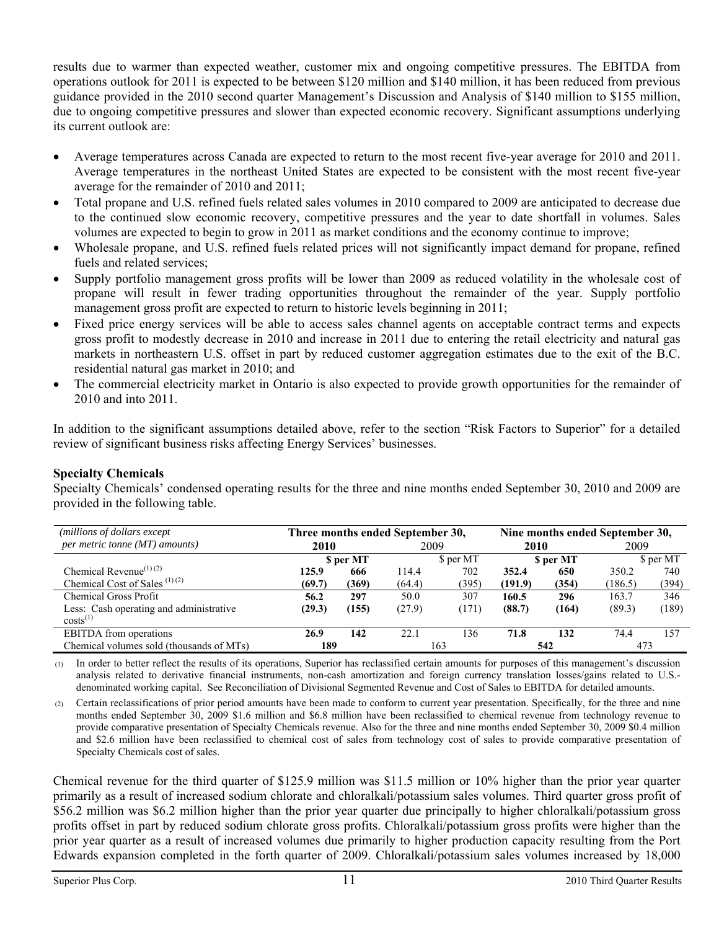results due to warmer than expected weather, customer mix and ongoing competitive pressures. The EBITDA from operations outlook for 2011 is expected to be between \$120 million and \$140 million, it has been reduced from previous guidance provided in the 2010 second quarter Management's Discussion and Analysis of \$140 million to \$155 million, due to ongoing competitive pressures and slower than expected economic recovery. Significant assumptions underlying its current outlook are:

- Average temperatures across Canada are expected to return to the most recent five-year average for 2010 and 2011. Average temperatures in the northeast United States are expected to be consistent with the most recent five-year average for the remainder of 2010 and 2011;
- Total propane and U.S. refined fuels related sales volumes in 2010 compared to 2009 are anticipated to decrease due to the continued slow economic recovery, competitive pressures and the year to date shortfall in volumes. Sales volumes are expected to begin to grow in 2011 as market conditions and the economy continue to improve;
- Wholesale propane, and U.S. refined fuels related prices will not significantly impact demand for propane, refined fuels and related services;
- Supply portfolio management gross profits will be lower than 2009 as reduced volatility in the wholesale cost of propane will result in fewer trading opportunities throughout the remainder of the year. Supply portfolio management gross profit are expected to return to historic levels beginning in 2011;
- Fixed price energy services will be able to access sales channel agents on acceptable contract terms and expects gross profit to modestly decrease in 2010 and increase in 2011 due to entering the retail electricity and natural gas markets in northeastern U.S. offset in part by reduced customer aggregation estimates due to the exit of the B.C. residential natural gas market in 2010; and
- The commercial electricity market in Ontario is also expected to provide growth opportunities for the remainder of 2010 and into 2011.

In addition to the significant assumptions detailed above, refer to the section "Risk Factors to Superior" for a detailed review of significant business risks affecting Energy Services' businesses.

## **Specialty Chemicals**

Specialty Chemicals' condensed operating results for the three and nine months ended September 30, 2010 and 2009 are provided in the following table.

| (millions of dollars except)             | Three months ended September 30, |           |        |           | Nine months ended September 30, |                 |         |           |
|------------------------------------------|----------------------------------|-----------|--------|-----------|---------------------------------|-----------------|---------|-----------|
| per metric tonne (MT) amounts)           | 2010                             |           | 2009   |           | 2010                            |                 | 2009    |           |
|                                          |                                  | \$ per MT |        | \$ per MT |                                 | <b>S</b> per MT |         | \$ per MT |
| Chemical Revenue <sup>(1)(2)</sup>       | 125.9                            | 666       | 114.4  | 702       | 352.4                           | 650             | 350.2   | 740       |
| Chemical Cost of Sales $(1)(2)$          | (69.7)                           | (369)     | (64.4) | (395)     | (191.9)                         | (354)           | (186.5) | (394)     |
| <b>Chemical Gross Profit</b>             | 56.2                             | 297       | 50.0   | 307       | 160.5                           | 296             | 163.7   | 346       |
| Less: Cash operating and administrative  | (29.3)                           | (155)     | (27.9) | (171)     | (88.7)                          | (164)           | (89.3)  | (189)     |
| $costs^{(1)}$                            |                                  |           |        |           |                                 |                 |         |           |
| EBITDA from operations                   | 26.9                             | 142       | 22.1   | 136       | 71.8                            | 132             | 74.4    | 157       |
| Chemical volumes sold (thousands of MTs) | 189                              |           |        | 163       |                                 | 542             | 473     |           |

(1) In order to better reflect the results of its operations, Superior has reclassified certain amounts for purposes of this management's discussion analysis related to derivative financial instruments, non-cash amortization and foreign currency translation losses/gains related to U.S. denominated working capital. See Reconciliation of Divisional Segmented Revenue and Cost of Sales to EBITDA for detailed amounts.

(2) Certain reclassifications of prior period amounts have been made to conform to current year presentation. Specifically, for the three and nine months ended September 30, 2009 \$1.6 million and \$6.8 million have been reclassified to chemical revenue from technology revenue to provide comparative presentation of Specialty Chemicals revenue. Also for the three and nine months ended September 30, 2009 \$0.4 million and \$2.6 million have been reclassified to chemical cost of sales from technology cost of sales to provide comparative presentation of Specialty Chemicals cost of sales.

Chemical revenue for the third quarter of \$125.9 million was \$11.5 million or 10% higher than the prior year quarter primarily as a result of increased sodium chlorate and chloralkali/potassium sales volumes. Third quarter gross profit of \$56.2 million was \$6.2 million higher than the prior year quarter due principally to higher chloralkali/potassium gross profits offset in part by reduced sodium chlorate gross profits. Chloralkali/potassium gross profits were higher than the prior year quarter as a result of increased volumes due primarily to higher production capacity resulting from the Port Edwards expansion completed in the forth quarter of 2009. Chloralkali/potassium sales volumes increased by 18,000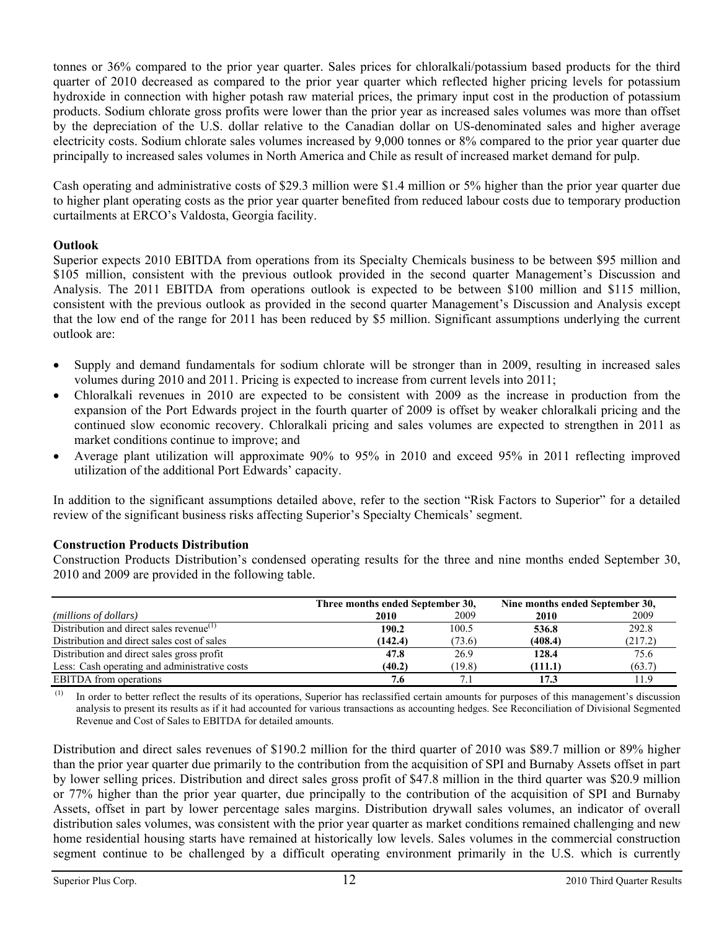tonnes or 36% compared to the prior year quarter. Sales prices for chloralkali/potassium based products for the third quarter of 2010 decreased as compared to the prior year quarter which reflected higher pricing levels for potassium hydroxide in connection with higher potash raw material prices, the primary input cost in the production of potassium products. Sodium chlorate gross profits were lower than the prior year as increased sales volumes was more than offset by the depreciation of the U.S. dollar relative to the Canadian dollar on US-denominated sales and higher average electricity costs. Sodium chlorate sales volumes increased by 9,000 tonnes or 8% compared to the prior year quarter due principally to increased sales volumes in North America and Chile as result of increased market demand for pulp.

Cash operating and administrative costs of \$29.3 million were \$1.4 million or 5% higher than the prior year quarter due to higher plant operating costs as the prior year quarter benefited from reduced labour costs due to temporary production curtailments at ERCO's Valdosta, Georgia facility.

## **Outlook**

Superior expects 2010 EBITDA from operations from its Specialty Chemicals business to be between \$95 million and \$105 million, consistent with the previous outlook provided in the second quarter Management's Discussion and Analysis. The 2011 EBITDA from operations outlook is expected to be between \$100 million and \$115 million, consistent with the previous outlook as provided in the second quarter Management's Discussion and Analysis except that the low end of the range for 2011 has been reduced by \$5 million. Significant assumptions underlying the current outlook are:

- Supply and demand fundamentals for sodium chlorate will be stronger than in 2009, resulting in increased sales volumes during 2010 and 2011. Pricing is expected to increase from current levels into 2011;
- Chloralkali revenues in 2010 are expected to be consistent with 2009 as the increase in production from the expansion of the Port Edwards project in the fourth quarter of 2009 is offset by weaker chloralkali pricing and the continued slow economic recovery. Chloralkali pricing and sales volumes are expected to strengthen in 2011 as market conditions continue to improve; and
- Average plant utilization will approximate 90% to 95% in 2010 and exceed 95% in 2011 reflecting improved utilization of the additional Port Edwards' capacity.

In addition to the significant assumptions detailed above, refer to the section "Risk Factors to Superior" for a detailed review of the significant business risks affecting Superior's Specialty Chemicals' segment.

## **Construction Products Distribution**

Construction Products Distribution's condensed operating results for the three and nine months ended September 30, 2010 and 2009 are provided in the following table.

|                                               | Three months ended September 30, |        | Nine months ended September 30, |         |  |
|-----------------------------------------------|----------------------------------|--------|---------------------------------|---------|--|
| ( <i>millions of dollars</i> )                | 2010                             | 2009   | 2010                            | 2009    |  |
| Distribution and direct sales revenue $(1)$   | 190.2                            | 100.5  | 536.8                           | 292.8   |  |
| Distribution and direct sales cost of sales   | (142.4)                          | (73.6) | (408.4)                         | (217.2) |  |
| Distribution and direct sales gross profit    | 47.8                             | 26.9   | 128.4                           | 75.6    |  |
| Less: Cash operating and administrative costs | (40.2)                           | (19.8) | (111.1)                         | (63.7)  |  |
| <b>EBITDA</b> from operations                 | 7.6                              |        | 17.3                            | 11.9    |  |

(1) In order to better reflect the results of its operations, Superior has reclassified certain amounts for purposes of this management's discussion analysis to present its results as if it had accounted for various transactions as accounting hedges. See Reconciliation of Divisional Segmented Revenue and Cost of Sales to EBITDA for detailed amounts.

Distribution and direct sales revenues of \$190.2 million for the third quarter of 2010 was \$89.7 million or 89% higher than the prior year quarter due primarily to the contribution from the acquisition of SPI and Burnaby Assets offset in part by lower selling prices. Distribution and direct sales gross profit of \$47.8 million in the third quarter was \$20.9 million or 77% higher than the prior year quarter, due principally to the contribution of the acquisition of SPI and Burnaby Assets, offset in part by lower percentage sales margins. Distribution drywall sales volumes, an indicator of overall distribution sales volumes, was consistent with the prior year quarter as market conditions remained challenging and new home residential housing starts have remained at historically low levels. Sales volumes in the commercial construction segment continue to be challenged by a difficult operating environment primarily in the U.S. which is currently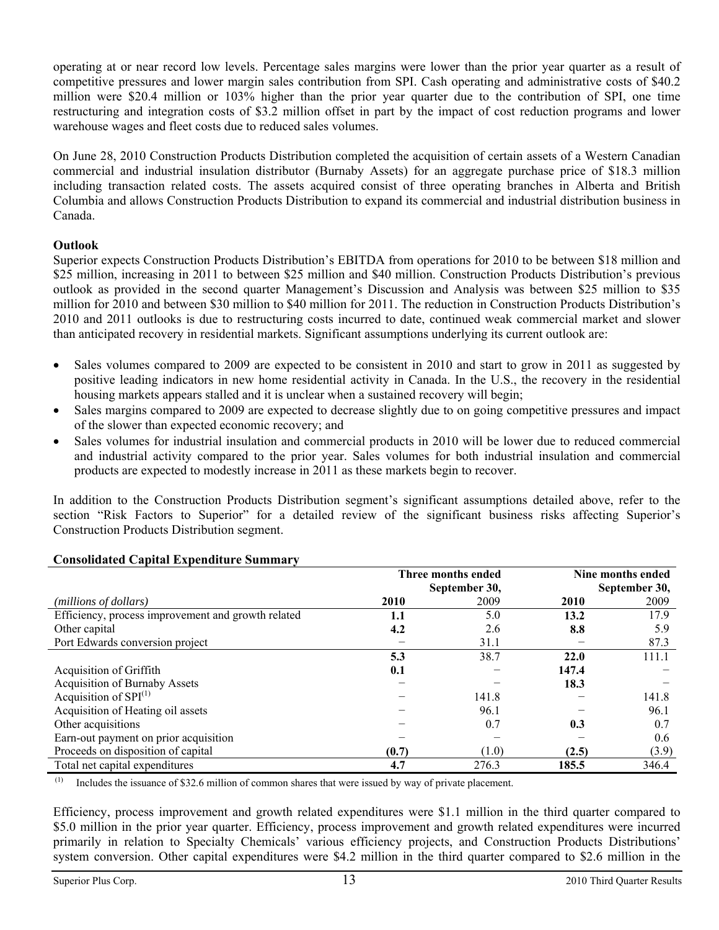operating at or near record low levels. Percentage sales margins were lower than the prior year quarter as a result of competitive pressures and lower margin sales contribution from SPI. Cash operating and administrative costs of \$40.2 million were \$20.4 million or 103% higher than the prior year quarter due to the contribution of SPI, one time restructuring and integration costs of \$3.2 million offset in part by the impact of cost reduction programs and lower warehouse wages and fleet costs due to reduced sales volumes.

On June 28, 2010 Construction Products Distribution completed the acquisition of certain assets of a Western Canadian commercial and industrial insulation distributor (Burnaby Assets) for an aggregate purchase price of \$18.3 million including transaction related costs. The assets acquired consist of three operating branches in Alberta and British Columbia and allows Construction Products Distribution to expand its commercial and industrial distribution business in Canada.

## **Outlook**

Superior expects Construction Products Distribution's EBITDA from operations for 2010 to be between \$18 million and \$25 million, increasing in 2011 to between \$25 million and \$40 million. Construction Products Distribution's previous outlook as provided in the second quarter Management's Discussion and Analysis was between \$25 million to \$35 million for 2010 and between \$30 million to \$40 million for 2011. The reduction in Construction Products Distribution's 2010 and 2011 outlooks is due to restructuring costs incurred to date, continued weak commercial market and slower than anticipated recovery in residential markets. Significant assumptions underlying its current outlook are:

- Sales volumes compared to 2009 are expected to be consistent in 2010 and start to grow in 2011 as suggested by positive leading indicators in new home residential activity in Canada. In the U.S., the recovery in the residential housing markets appears stalled and it is unclear when a sustained recovery will begin;
- Sales margins compared to 2009 are expected to decrease slightly due to on going competitive pressures and impact of the slower than expected economic recovery; and
- Sales volumes for industrial insulation and commercial products in 2010 will be lower due to reduced commercial and industrial activity compared to the prior year. Sales volumes for both industrial insulation and commercial products are expected to modestly increase in 2011 as these markets begin to recover.

In addition to the Construction Products Distribution segment's significant assumptions detailed above, refer to the section "Risk Factors to Superior" for a detailed review of the significant business risks affecting Superior's Construction Products Distribution segment.

|                                                    | Three months ended |               | Nine months ended |       |  |
|----------------------------------------------------|--------------------|---------------|-------------------|-------|--|
|                                                    |                    | September 30, | September 30,     |       |  |
| (millions of dollars)                              | 2010               | 2009          | 2010              | 2009  |  |
| Efficiency, process improvement and growth related | 1.1                | 5.0           | 13.2              | 17.9  |  |
| Other capital                                      | 4.2                | 2.6           | 8.8               | 5.9   |  |
| Port Edwards conversion project                    |                    | 31.1          |                   | 87.3  |  |
|                                                    | 5.3                | 38.7          | 22.0              | 111.1 |  |
| Acquisition of Griffith                            | 0.1                |               | 147.4             |       |  |
| <b>Acquisition of Burnaby Assets</b>               |                    |               | 18.3              |       |  |
| Acquisition of $SPI^{(1)}$                         |                    | 141.8         |                   | 141.8 |  |
| Acquisition of Heating oil assets                  |                    | 96.1          |                   | 96.1  |  |
| Other acquisitions                                 |                    | 0.7           | 0.3               | 0.7   |  |
| Earn-out payment on prior acquisition              |                    |               |                   | 0.6   |  |
| Proceeds on disposition of capital                 | (0.7)              | (1.0)         | (2.5)             | (3.9) |  |
| Total net capital expenditures                     | 4.7                | 276.3         | 185.5             | 346.4 |  |

### **Consolidated Capital Expenditure Summary**

 $(1)$  Includes the issuance of \$32.6 million of common shares that were issued by way of private placement.

Efficiency, process improvement and growth related expenditures were \$1.1 million in the third quarter compared to \$5.0 million in the prior year quarter. Efficiency, process improvement and growth related expenditures were incurred primarily in relation to Specialty Chemicals' various efficiency projects, and Construction Products Distributions' system conversion. Other capital expenditures were \$4.2 million in the third quarter compared to \$2.6 million in the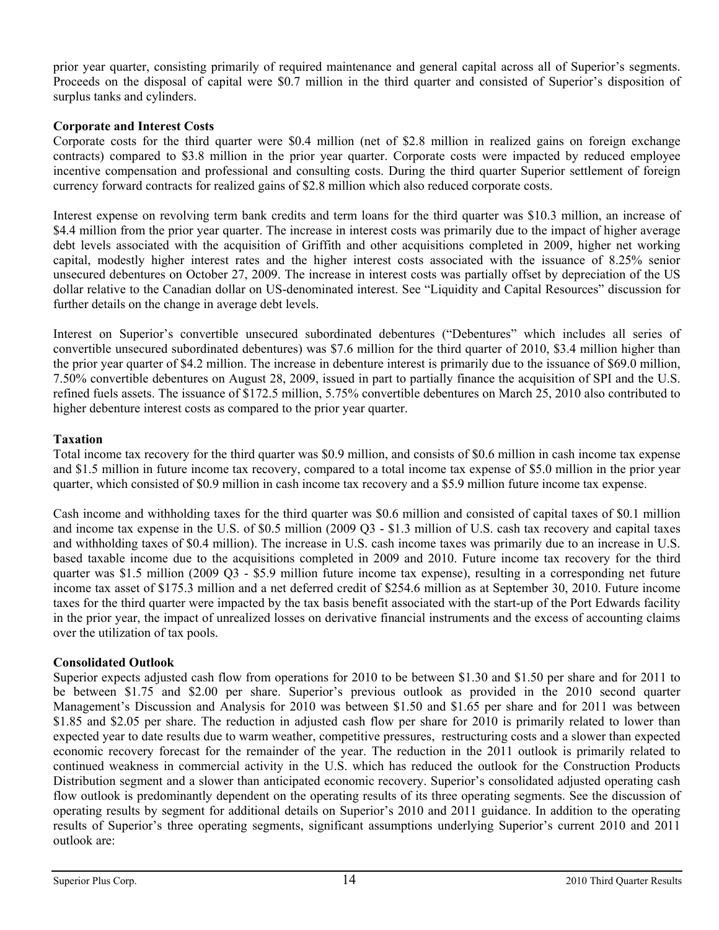prior year quarter, consisting primarily of required maintenance and general capital across all of Superior's segments. Proceeds on the disposal of capital were \$0.7 million in the third quarter and consisted of Superior's disposition of surplus tanks and cylinders.

## **Corporate and Interest Costs**

Corporate costs for the third quarter were \$0.4 million (net of \$2.8 million in realized gains on foreign exchange contracts) compared to \$3.8 million in the prior year quarter. Corporate costs were impacted by reduced employee incentive compensation and professional and consulting costs. During the third quarter Superior settlement of foreign currency forward contracts for realized gains of \$2.8 million which also reduced corporate costs.

Interest expense on revolving term bank credits and term loans for the third quarter was \$10.3 million, an increase of \$4.4 million from the prior year quarter. The increase in interest costs was primarily due to the impact of higher average debt levels associated with the acquisition of Griffith and other acquisitions completed in 2009, higher net working capital, modestly higher interest rates and the higher interest costs associated with the issuance of 8.25% senior unsecured debentures on October 27, 2009. The increase in interest costs was partially offset by depreciation of the US dollar relative to the Canadian dollar on US-denominated interest. See "Liquidity and Capital Resources" discussion for further details on the change in average debt levels.

Interest on Superior's convertible unsecured subordinated debentures ("Debentures" which includes all series of convertible unsecured subordinated debentures) was \$7.6 million for the third quarter of 2010, \$3.4 million higher than the prior year quarter of \$4.2 million. The increase in debenture interest is primarily due to the issuance of \$69.0 million, 7.50% convertible debentures on August 28, 2009, issued in part to partially finance the acquisition of SPI and the U.S. refined fuels assets. The issuance of \$172.5 million, 5.75% convertible debentures on March 25, 2010 also contributed to higher debenture interest costs as compared to the prior year quarter.

## **Taxation**

Total income tax recovery for the third quarter was \$0.9 million, and consists of \$0.6 million in cash income tax expense and \$1.5 million in future income tax recovery, compared to a total income tax expense of \$5.0 million in the prior year quarter, which consisted of \$0.9 million in cash income tax recovery and a \$5.9 million future income tax expense.

Cash income and withholding taxes for the third quarter was \$0.6 million and consisted of capital taxes of \$0.1 million and income tax expense in the U.S. of \$0.5 million (2009 Q3 - \$1.3 million of U.S. cash tax recovery and capital taxes and withholding taxes of \$0.4 million). The increase in U.S. cash income taxes was primarily due to an increase in U.S. based taxable income due to the acquisitions completed in 2009 and 2010. Future income tax recovery for the third quarter was \$1.5 million (2009 Q3 - \$5.9 million future income tax expense), resulting in a corresponding net future income tax asset of \$175.3 million and a net deferred credit of \$254.6 million as at September 30, 2010. Future income taxes for the third quarter were impacted by the tax basis benefit associated with the start-up of the Port Edwards facility in the prior year, the impact of unrealized losses on derivative financial instruments and the excess of accounting claims over the utilization of tax pools.

## **Consolidated Outlook**

Superior expects adjusted cash flow from operations for 2010 to be between \$1.30 and \$1.50 per share and for 2011 to be between \$1.75 and \$2.00 per share. Superior's previous outlook as provided in the 2010 second quarter Management's Discussion and Analysis for 2010 was between \$1.50 and \$1.65 per share and for 2011 was between \$1.85 and \$2.05 per share. The reduction in adjusted cash flow per share for 2010 is primarily related to lower than expected year to date results due to warm weather, competitive pressures, restructuring costs and a slower than expected economic recovery forecast for the remainder of the year. The reduction in the 2011 outlook is primarily related to continued weakness in commercial activity in the U.S. which has reduced the outlook for the Construction Products Distribution segment and a slower than anticipated economic recovery. Superior's consolidated adjusted operating cash flow outlook is predominantly dependent on the operating results of its three operating segments. See the discussion of operating results by segment for additional details on Superior's 2010 and 2011 guidance. In addition to the operating results of Superior's three operating segments, significant assumptions underlying Superior's current 2010 and 2011 outlook are: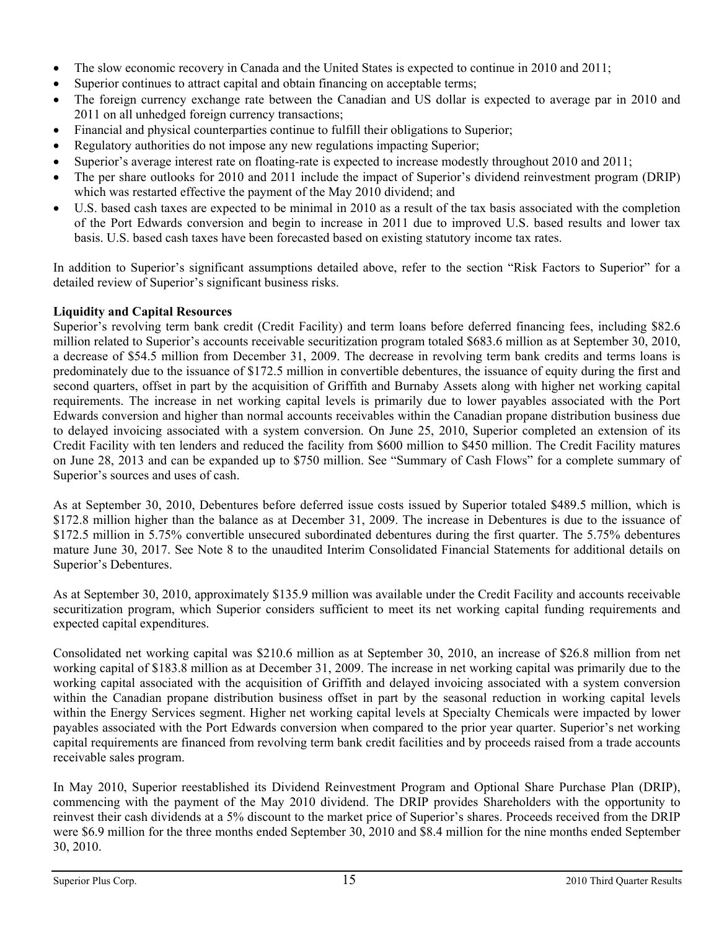- The slow economic recovery in Canada and the United States is expected to continue in 2010 and 2011;
- Superior continues to attract capital and obtain financing on acceptable terms;
- The foreign currency exchange rate between the Canadian and US dollar is expected to average par in 2010 and 2011 on all unhedged foreign currency transactions;
- Financial and physical counterparties continue to fulfill their obligations to Superior;
- Regulatory authorities do not impose any new regulations impacting Superior;
- Superior's average interest rate on floating-rate is expected to increase modestly throughout 2010 and 2011;
- The per share outlooks for 2010 and 2011 include the impact of Superior's dividend reinvestment program (DRIP) which was restarted effective the payment of the May 2010 dividend; and
- U.S. based cash taxes are expected to be minimal in 2010 as a result of the tax basis associated with the completion of the Port Edwards conversion and begin to increase in 2011 due to improved U.S. based results and lower tax basis. U.S. based cash taxes have been forecasted based on existing statutory income tax rates.

In addition to Superior's significant assumptions detailed above, refer to the section "Risk Factors to Superior" for a detailed review of Superior's significant business risks.

## **Liquidity and Capital Resources**

Superior's revolving term bank credit (Credit Facility) and term loans before deferred financing fees, including \$82.6 million related to Superior's accounts receivable securitization program totaled \$683.6 million as at September 30, 2010, a decrease of \$54.5 million from December 31, 2009. The decrease in revolving term bank credits and terms loans is predominately due to the issuance of \$172.5 million in convertible debentures, the issuance of equity during the first and second quarters, offset in part by the acquisition of Griffith and Burnaby Assets along with higher net working capital requirements. The increase in net working capital levels is primarily due to lower payables associated with the Port Edwards conversion and higher than normal accounts receivables within the Canadian propane distribution business due to delayed invoicing associated with a system conversion. On June 25, 2010, Superior completed an extension of its Credit Facility with ten lenders and reduced the facility from \$600 million to \$450 million. The Credit Facility matures on June 28, 2013 and can be expanded up to \$750 million. See "Summary of Cash Flows" for a complete summary of Superior's sources and uses of cash.

As at September 30, 2010, Debentures before deferred issue costs issued by Superior totaled \$489.5 million, which is \$172.8 million higher than the balance as at December 31, 2009. The increase in Debentures is due to the issuance of \$172.5 million in 5.75% convertible unsecured subordinated debentures during the first quarter. The 5.75% debentures mature June 30, 2017. See Note 8 to the unaudited Interim Consolidated Financial Statements for additional details on Superior's Debentures.

As at September 30, 2010, approximately \$135.9 million was available under the Credit Facility and accounts receivable securitization program, which Superior considers sufficient to meet its net working capital funding requirements and expected capital expenditures.

Consolidated net working capital was \$210.6 million as at September 30, 2010, an increase of \$26.8 million from net working capital of \$183.8 million as at December 31, 2009. The increase in net working capital was primarily due to the working capital associated with the acquisition of Griffith and delayed invoicing associated with a system conversion within the Canadian propane distribution business offset in part by the seasonal reduction in working capital levels within the Energy Services segment. Higher net working capital levels at Specialty Chemicals were impacted by lower payables associated with the Port Edwards conversion when compared to the prior year quarter. Superior's net working capital requirements are financed from revolving term bank credit facilities and by proceeds raised from a trade accounts receivable sales program.

In May 2010, Superior reestablished its Dividend Reinvestment Program and Optional Share Purchase Plan (DRIP), commencing with the payment of the May 2010 dividend. The DRIP provides Shareholders with the opportunity to reinvest their cash dividends at a 5% discount to the market price of Superior's shares. Proceeds received from the DRIP were \$6.9 million for the three months ended September 30, 2010 and \$8.4 million for the nine months ended September 30, 2010.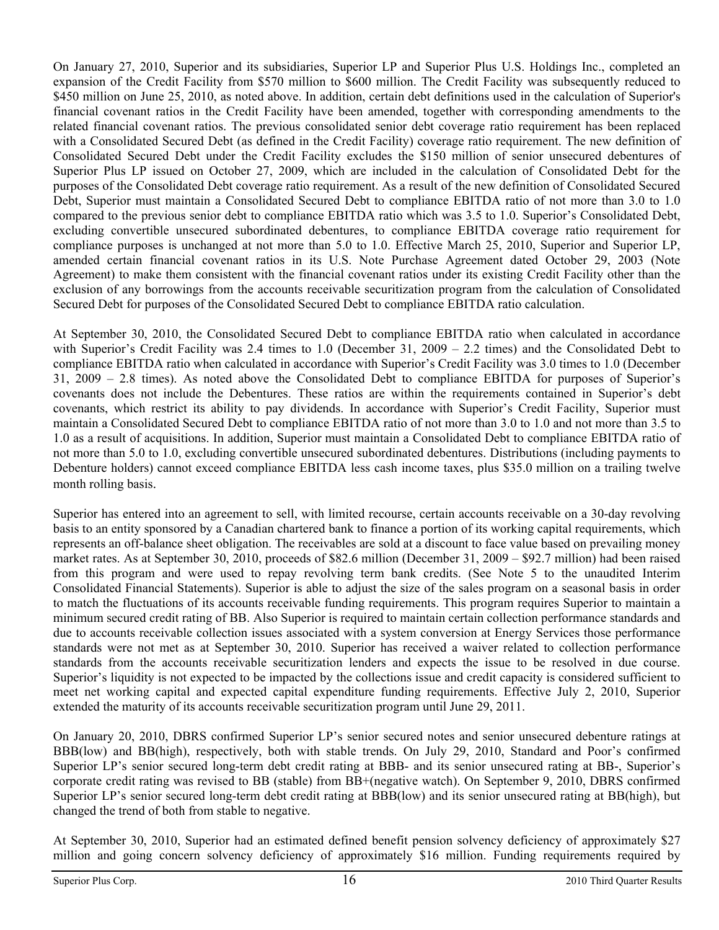On January 27, 2010, Superior and its subsidiaries, Superior LP and Superior Plus U.S. Holdings Inc., completed an expansion of the Credit Facility from \$570 million to \$600 million. The Credit Facility was subsequently reduced to \$450 million on June 25, 2010, as noted above. In addition, certain debt definitions used in the calculation of Superior's financial covenant ratios in the Credit Facility have been amended, together with corresponding amendments to the related financial covenant ratios. The previous consolidated senior debt coverage ratio requirement has been replaced with a Consolidated Secured Debt (as defined in the Credit Facility) coverage ratio requirement. The new definition of Consolidated Secured Debt under the Credit Facility excludes the \$150 million of senior unsecured debentures of Superior Plus LP issued on October 27, 2009, which are included in the calculation of Consolidated Debt for the purposes of the Consolidated Debt coverage ratio requirement. As a result of the new definition of Consolidated Secured Debt, Superior must maintain a Consolidated Secured Debt to compliance EBITDA ratio of not more than 3.0 to 1.0 compared to the previous senior debt to compliance EBITDA ratio which was 3.5 to 1.0. Superior's Consolidated Debt, excluding convertible unsecured subordinated debentures, to compliance EBITDA coverage ratio requirement for compliance purposes is unchanged at not more than 5.0 to 1.0. Effective March 25, 2010, Superior and Superior LP, amended certain financial covenant ratios in its U.S. Note Purchase Agreement dated October 29, 2003 (Note Agreement) to make them consistent with the financial covenant ratios under its existing Credit Facility other than the exclusion of any borrowings from the accounts receivable securitization program from the calculation of Consolidated Secured Debt for purposes of the Consolidated Secured Debt to compliance EBITDA ratio calculation.

At September 30, 2010, the Consolidated Secured Debt to compliance EBITDA ratio when calculated in accordance with Superior's Credit Facility was 2.4 times to 1.0 (December 31, 2009 – 2.2 times) and the Consolidated Debt to compliance EBITDA ratio when calculated in accordance with Superior's Credit Facility was 3.0 times to 1.0 (December 31, 2009 – 2.8 times). As noted above the Consolidated Debt to compliance EBITDA for purposes of Superior's covenants does not include the Debentures. These ratios are within the requirements contained in Superior's debt covenants, which restrict its ability to pay dividends. In accordance with Superior's Credit Facility, Superior must maintain a Consolidated Secured Debt to compliance EBITDA ratio of not more than 3.0 to 1.0 and not more than 3.5 to 1.0 as a result of acquisitions. In addition, Superior must maintain a Consolidated Debt to compliance EBITDA ratio of not more than 5.0 to 1.0, excluding convertible unsecured subordinated debentures. Distributions (including payments to Debenture holders) cannot exceed compliance EBITDA less cash income taxes, plus \$35.0 million on a trailing twelve month rolling basis.

Superior has entered into an agreement to sell, with limited recourse, certain accounts receivable on a 30-day revolving basis to an entity sponsored by a Canadian chartered bank to finance a portion of its working capital requirements, which represents an off-balance sheet obligation. The receivables are sold at a discount to face value based on prevailing money market rates. As at September 30, 2010, proceeds of \$82.6 million (December 31, 2009 – \$92.7 million) had been raised from this program and were used to repay revolving term bank credits. (See Note 5 to the unaudited Interim Consolidated Financial Statements). Superior is able to adjust the size of the sales program on a seasonal basis in order to match the fluctuations of its accounts receivable funding requirements. This program requires Superior to maintain a minimum secured credit rating of BB. Also Superior is required to maintain certain collection performance standards and due to accounts receivable collection issues associated with a system conversion at Energy Services those performance standards were not met as at September 30, 2010. Superior has received a waiver related to collection performance standards from the accounts receivable securitization lenders and expects the issue to be resolved in due course. Superior's liquidity is not expected to be impacted by the collections issue and credit capacity is considered sufficient to meet net working capital and expected capital expenditure funding requirements. Effective July 2, 2010, Superior extended the maturity of its accounts receivable securitization program until June 29, 2011.

On January 20, 2010, DBRS confirmed Superior LP's senior secured notes and senior unsecured debenture ratings at BBB(low) and BB(high), respectively, both with stable trends. On July 29, 2010, Standard and Poor's confirmed Superior LP's senior secured long-term debt credit rating at BBB- and its senior unsecured rating at BB-, Superior's corporate credit rating was revised to BB (stable) from BB+(negative watch). On September 9, 2010, DBRS confirmed Superior LP's senior secured long-term debt credit rating at BBB(low) and its senior unsecured rating at BB(high), but changed the trend of both from stable to negative.

At September 30, 2010, Superior had an estimated defined benefit pension solvency deficiency of approximately \$27 million and going concern solvency deficiency of approximately \$16 million. Funding requirements required by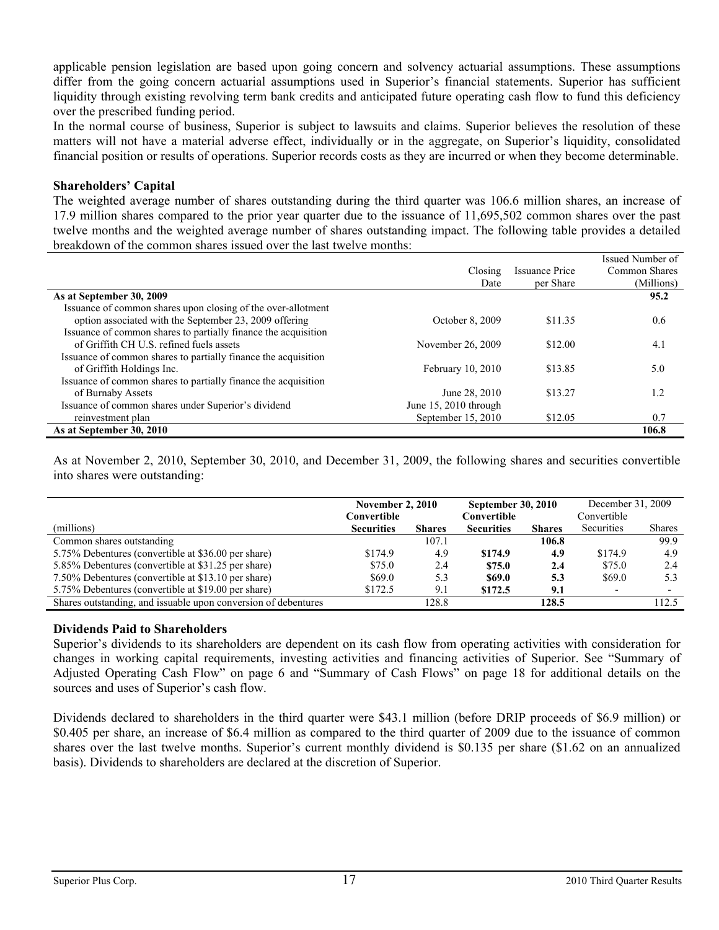applicable pension legislation are based upon going concern and solvency actuarial assumptions. These assumptions differ from the going concern actuarial assumptions used in Superior's financial statements. Superior has sufficient liquidity through existing revolving term bank credits and anticipated future operating cash flow to fund this deficiency over the prescribed funding period.

In the normal course of business, Superior is subject to lawsuits and claims. Superior believes the resolution of these matters will not have a material adverse effect, individually or in the aggregate, on Superior's liquidity, consolidated financial position or results of operations. Superior records costs as they are incurred or when they become determinable.

### **Shareholders' Capital**

The weighted average number of shares outstanding during the third quarter was 106.6 million shares, an increase of 17.9 million shares compared to the prior year quarter due to the issuance of 11,695,502 common shares over the past twelve months and the weighted average number of shares outstanding impact. The following table provides a detailed breakdown of the common shares issued over the last twelve months:

|                                                                |                         |                | Issued Number of |
|----------------------------------------------------------------|-------------------------|----------------|------------------|
|                                                                | Closing                 | Issuance Price | Common Shares    |
|                                                                | Date                    | per Share      | (Millions)       |
| As at September 30, 2009                                       |                         |                | 95.2             |
| Issuance of common shares upon closing of the over-allotment   |                         |                |                  |
| option associated with the September 23, 2009 offering         | October 8, 2009         | \$11.35        | 0.6              |
| Issuance of common shares to partially finance the acquisition |                         |                |                  |
| of Griffith CH U.S. refined fuels assets                       | November 26, 2009       | \$12.00        | 4.1              |
| Issuance of common shares to partially finance the acquisition |                         |                |                  |
| of Griffith Holdings Inc.                                      | February 10, 2010       | \$13.85        | 5.0              |
| Issuance of common shares to partially finance the acquisition |                         |                |                  |
| of Burnaby Assets                                              | June 28, 2010           | \$13.27        | 1.2              |
| Issuance of common shares under Superior's dividend            | June $15, 2010$ through |                |                  |
| reinvestment plan                                              | September 15, 2010      | \$12.05        | 0.7              |
| As at September 30, 2010                                       |                         |                | 106.8            |

As at November 2, 2010, September 30, 2010, and December 31, 2009, the following shares and securities convertible into shares were outstanding:

|                                                                | <b>November 2, 2010</b> |               | <b>September 30, 2010</b> |               | December 31, 2009 |               |
|----------------------------------------------------------------|-------------------------|---------------|---------------------------|---------------|-------------------|---------------|
|                                                                | Convertible             |               | Convertible               |               | Convertible       |               |
| (millions)                                                     | <b>Securities</b>       | <b>Shares</b> | <b>Securities</b>         | <b>Shares</b> | Securities        | <b>Shares</b> |
| Common shares outstanding                                      |                         | 107.1         |                           | 106.8         |                   | 99.9          |
| 5.75% Debentures (convertible at \$36.00 per share)            | \$174.9                 | 4.9           | \$174.9                   | 4.9           | \$174.9           | 4.9           |
| 5.85% Debentures (convertible at \$31.25 per share)            | \$75.0                  | 2.4           | \$75.0                    | 2.4           | \$75.0            | 2.4           |
| 7.50% Debentures (convertible at \$13.10 per share)            | \$69.0                  | 5.3           | \$69.0                    | 5.3           | \$69.0            | 5.3           |
| 5.75% Debentures (convertible at \$19.00 per share)            | \$172.5                 | 9.1           | \$172.5                   | 9.1           |                   |               |
| Shares outstanding, and issuable upon conversion of debentures |                         | 128.8         |                           | 128.5         |                   | 112.5         |

### **Dividends Paid to Shareholders**

Superior's dividends to its shareholders are dependent on its cash flow from operating activities with consideration for changes in working capital requirements, investing activities and financing activities of Superior. See "Summary of Adjusted Operating Cash Flow" on page 6 and "Summary of Cash Flows" on page 18 for additional details on the sources and uses of Superior's cash flow.

Dividends declared to shareholders in the third quarter were \$43.1 million (before DRIP proceeds of \$6.9 million) or \$0.405 per share, an increase of \$6.4 million as compared to the third quarter of 2009 due to the issuance of common shares over the last twelve months. Superior's current monthly dividend is \$0.135 per share (\$1.62 on an annualized basis). Dividends to shareholders are declared at the discretion of Superior.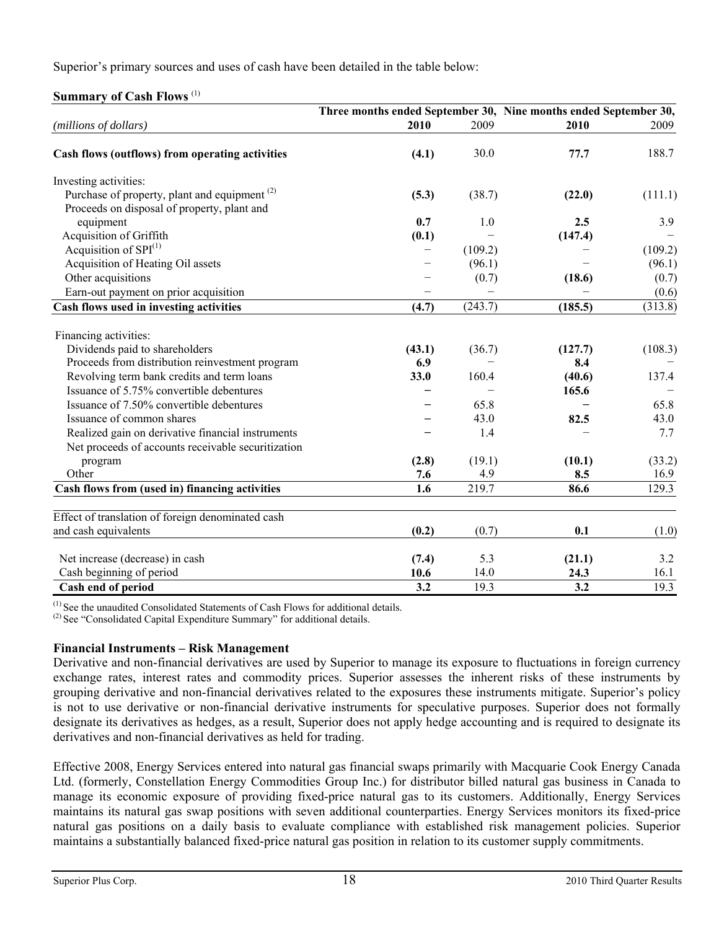Superior's primary sources and uses of cash have been detailed in the table below:

### **Summary of Cash Flows** (1)

|                                                          |        |         | Three months ended September 30, Nine months ended September 30, |         |  |
|----------------------------------------------------------|--------|---------|------------------------------------------------------------------|---------|--|
| (millions of dollars)                                    | 2010   | 2009    | 2010                                                             | 2009    |  |
| Cash flows (outflows) from operating activities          | (4.1)  | 30.0    | 77.7                                                             | 188.7   |  |
| Investing activities:                                    |        |         |                                                                  |         |  |
| Purchase of property, plant and equipment <sup>(2)</sup> | (5.3)  | (38.7)  | (22.0)                                                           | (111.1) |  |
| Proceeds on disposal of property, plant and              |        |         |                                                                  |         |  |
| equipment                                                | 0.7    | 1.0     | 2.5                                                              | 3.9     |  |
| Acquisition of Griffith                                  | (0.1)  |         | (147.4)                                                          |         |  |
| Acquisition of $SPI^{(1)}$                               |        | (109.2) |                                                                  | (109.2) |  |
| Acquisition of Heating Oil assets                        |        | (96.1)  |                                                                  | (96.1)  |  |
| Other acquisitions                                       |        | (0.7)   | (18.6)                                                           | (0.7)   |  |
| Earn-out payment on prior acquisition                    |        |         |                                                                  | (0.6)   |  |
| Cash flows used in investing activities                  | (4.7)  | (243.7) | (185.5)                                                          | (313.8) |  |
| Financing activities:                                    |        |         |                                                                  |         |  |
| Dividends paid to shareholders                           | (43.1) | (36.7)  | (127.7)                                                          | (108.3) |  |
| Proceeds from distribution reinvestment program          | 6.9    |         | 8.4                                                              |         |  |
| Revolving term bank credits and term loans               | 33.0   | 160.4   | (40.6)                                                           | 137.4   |  |
| Issuance of 5.75% convertible debentures                 |        |         | 165.6                                                            |         |  |
| Issuance of 7.50% convertible debentures                 |        | 65.8    |                                                                  | 65.8    |  |
| Issuance of common shares                                |        | 43.0    | 82.5                                                             | 43.0    |  |
| Realized gain on derivative financial instruments        |        | 1.4     |                                                                  | 7.7     |  |
| Net proceeds of accounts receivable securitization       |        |         |                                                                  |         |  |
| program                                                  | (2.8)  | (19.1)  | (10.1)                                                           | (33.2)  |  |
| Other                                                    | 7.6    | 4.9     | 8.5                                                              | 16.9    |  |
| Cash flows from (used in) financing activities           | 1.6    | 219.7   | 86.6                                                             | 129.3   |  |
| Effect of translation of foreign denominated cash        |        |         |                                                                  |         |  |
| and cash equivalents                                     | (0.2)  | (0.7)   | 0.1                                                              | (1.0)   |  |
|                                                          |        |         |                                                                  |         |  |
| Net increase (decrease) in cash                          | (7.4)  | 5.3     | (21.1)                                                           | 3.2     |  |
| Cash beginning of period                                 | 10.6   | 14.0    | 24.3                                                             | 16.1    |  |
| Cash end of period                                       | 3.2    | 19.3    | 3.2                                                              | 19.3    |  |

 $<sup>(1)</sup>$  See the unaudited Consolidated Statements of Cash Flows for additional details.</sup>

 $^{(2)}$  See "Consolidated Capital Expenditure Summary" for additional details.

### **Financial Instruments – Risk Management**

Derivative and non-financial derivatives are used by Superior to manage its exposure to fluctuations in foreign currency exchange rates, interest rates and commodity prices. Superior assesses the inherent risks of these instruments by grouping derivative and non-financial derivatives related to the exposures these instruments mitigate. Superior's policy is not to use derivative or non-financial derivative instruments for speculative purposes. Superior does not formally designate its derivatives as hedges, as a result, Superior does not apply hedge accounting and is required to designate its derivatives and non-financial derivatives as held for trading.

Effective 2008, Energy Services entered into natural gas financial swaps primarily with Macquarie Cook Energy Canada Ltd. (formerly, Constellation Energy Commodities Group Inc.) for distributor billed natural gas business in Canada to manage its economic exposure of providing fixed-price natural gas to its customers. Additionally, Energy Services maintains its natural gas swap positions with seven additional counterparties. Energy Services monitors its fixed-price natural gas positions on a daily basis to evaluate compliance with established risk management policies. Superior maintains a substantially balanced fixed-price natural gas position in relation to its customer supply commitments.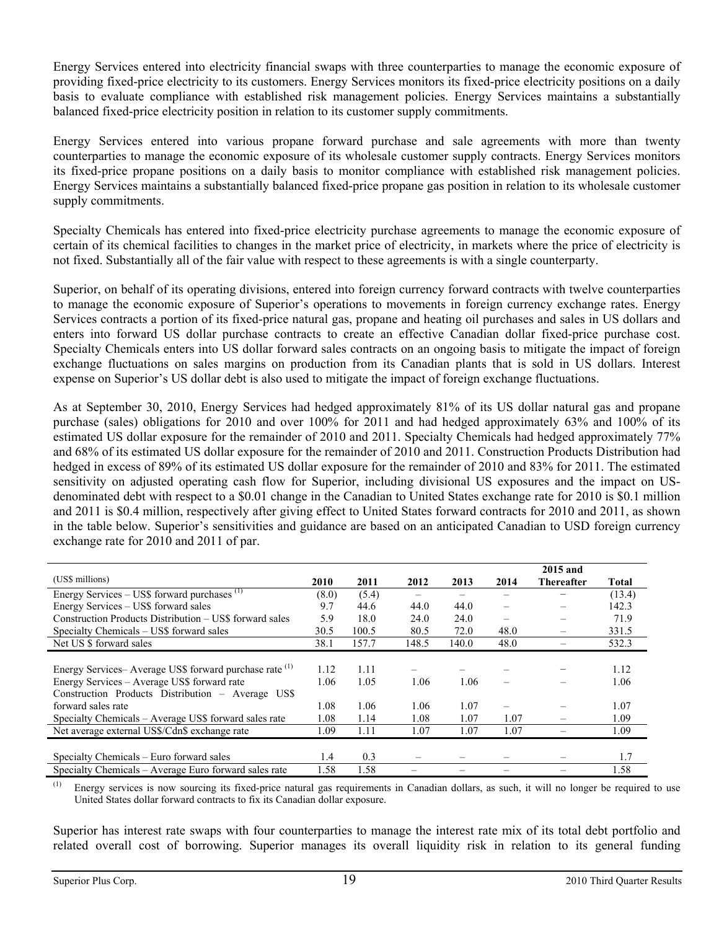Energy Services entered into electricity financial swaps with three counterparties to manage the economic exposure of providing fixed-price electricity to its customers. Energy Services monitors its fixed-price electricity positions on a daily basis to evaluate compliance with established risk management policies. Energy Services maintains a substantially balanced fixed-price electricity position in relation to its customer supply commitments.

Energy Services entered into various propane forward purchase and sale agreements with more than twenty counterparties to manage the economic exposure of its wholesale customer supply contracts. Energy Services monitors its fixed-price propane positions on a daily basis to monitor compliance with established risk management policies. Energy Services maintains a substantially balanced fixed-price propane gas position in relation to its wholesale customer supply commitments.

Specialty Chemicals has entered into fixed-price electricity purchase agreements to manage the economic exposure of certain of its chemical facilities to changes in the market price of electricity, in markets where the price of electricity is not fixed. Substantially all of the fair value with respect to these agreements is with a single counterparty.

Superior, on behalf of its operating divisions, entered into foreign currency forward contracts with twelve counterparties to manage the economic exposure of Superior's operations to movements in foreign currency exchange rates. Energy Services contracts a portion of its fixed-price natural gas, propane and heating oil purchases and sales in US dollars and enters into forward US dollar purchase contracts to create an effective Canadian dollar fixed-price purchase cost. Specialty Chemicals enters into US dollar forward sales contracts on an ongoing basis to mitigate the impact of foreign exchange fluctuations on sales margins on production from its Canadian plants that is sold in US dollars. Interest expense on Superior's US dollar debt is also used to mitigate the impact of foreign exchange fluctuations.

As at September 30, 2010, Energy Services had hedged approximately 81% of its US dollar natural gas and propane purchase (sales) obligations for 2010 and over 100% for 2011 and had hedged approximately 63% and 100% of its estimated US dollar exposure for the remainder of 2010 and 2011. Specialty Chemicals had hedged approximately 77% and 68% of its estimated US dollar exposure for the remainder of 2010 and 2011. Construction Products Distribution had hedged in excess of 89% of its estimated US dollar exposure for the remainder of 2010 and 83% for 2011. The estimated sensitivity on adjusted operating cash flow for Superior, including divisional US exposures and the impact on USdenominated debt with respect to a \$0.01 change in the Canadian to United States exchange rate for 2010 is \$0.1 million and 2011 is \$0.4 million, respectively after giving effect to United States forward contracts for 2010 and 2011, as shown in the table below. Superior's sensitivities and guidance are based on an anticipated Canadian to USD foreign currency exchange rate for 2010 and 2011 of par.

|                                                         |       |       |       |       |                          | $2015$ and               |              |
|---------------------------------------------------------|-------|-------|-------|-------|--------------------------|--------------------------|--------------|
| (US\$ millions)                                         | 2010  | 2011  | 2012  | 2013  | 2014                     | <b>Thereafter</b>        | <b>Total</b> |
| Energy Services – US\$ forward purchases $(1)$          | (8.0) | (5.4) |       |       |                          |                          | (13.4)       |
| Energy Services – US\$ forward sales                    | 9.7   | 44.6  | 44.0  | 44.0  | $\overline{\phantom{0}}$ | $\overline{\phantom{0}}$ | 142.3        |
| Construction Products Distribution – US\$ forward sales | 5.9   | 18.0  | 24.0  | 24.0  |                          |                          | 71.9         |
| Specialty Chemicals – US\$ forward sales                | 30.5  | 100.5 | 80.5  | 72.0  | 48.0                     |                          | 331.5        |
| Net US \$ forward sales                                 | 38.1  | 157.7 | 148.5 | 140.0 | 48.0                     |                          | 532.3        |
|                                                         |       |       |       |       |                          |                          |              |
| Energy Services–Average US\$ forward purchase rate (1)  | 1.12  | 1.11  |       |       |                          |                          | 1.12         |
| Energy Services – Average US\$ forward rate             | 1.06  | 1.05  | 1.06  | 1.06  |                          |                          | 1.06         |
| Construction Products Distribution – Average US\$       |       |       |       |       |                          |                          |              |
| forward sales rate                                      | 1.08  | 1.06  | 1.06  | 1.07  |                          |                          | 1.07         |
| Specialty Chemicals - Average US\$ forward sales rate   | 1.08  | 1.14  | 1.08  | 1.07  | 1.07                     |                          | 1.09         |
| Net average external US\$/Cdn\$ exchange rate           | 1.09  | 1.11  | 1.07  | 1.07  | 1.07                     |                          | 1.09         |
|                                                         |       |       |       |       |                          |                          |              |
| Specialty Chemicals – Euro forward sales                | 1.4   | 0.3   |       |       |                          |                          | 1.7          |
| Specialty Chemicals – Average Euro forward sales rate   | 1.58  | 1.58  |       |       |                          |                          | l.58         |

Energy services is now sourcing its fixed-price natural gas requirements in Canadian dollars, as such, it will no longer be required to use United States dollar forward contracts to fix its Canadian dollar exposure.

Superior has interest rate swaps with four counterparties to manage the interest rate mix of its total debt portfolio and related overall cost of borrowing. Superior manages its overall liquidity risk in relation to its general funding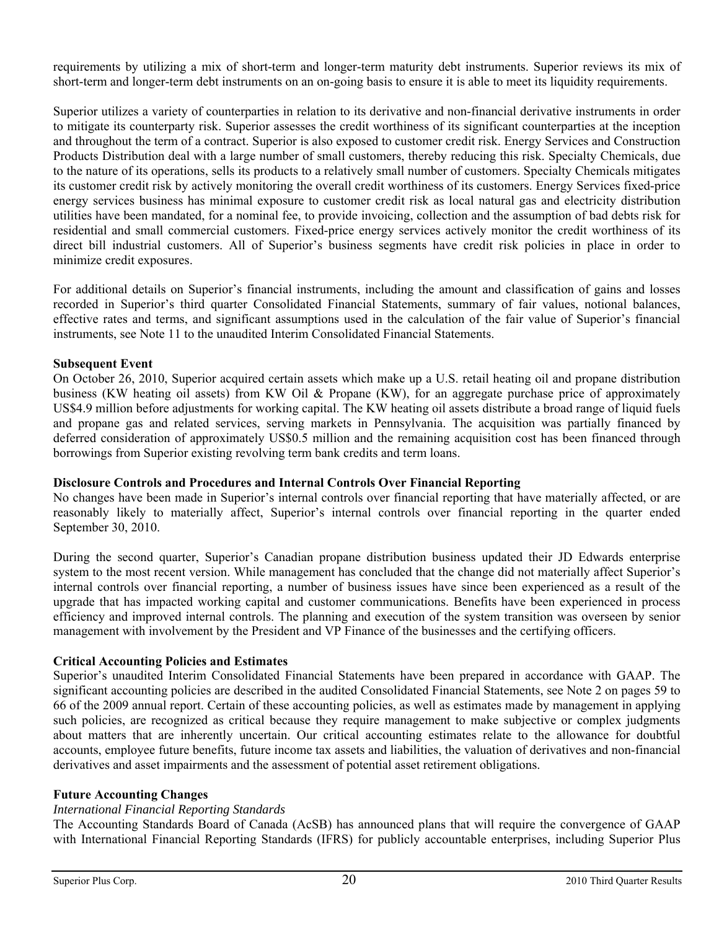requirements by utilizing a mix of short-term and longer-term maturity debt instruments. Superior reviews its mix of short-term and longer-term debt instruments on an on-going basis to ensure it is able to meet its liquidity requirements.

Superior utilizes a variety of counterparties in relation to its derivative and non-financial derivative instruments in order to mitigate its counterparty risk. Superior assesses the credit worthiness of its significant counterparties at the inception and throughout the term of a contract. Superior is also exposed to customer credit risk. Energy Services and Construction Products Distribution deal with a large number of small customers, thereby reducing this risk. Specialty Chemicals, due to the nature of its operations, sells its products to a relatively small number of customers. Specialty Chemicals mitigates its customer credit risk by actively monitoring the overall credit worthiness of its customers. Energy Services fixed-price energy services business has minimal exposure to customer credit risk as local natural gas and electricity distribution utilities have been mandated, for a nominal fee, to provide invoicing, collection and the assumption of bad debts risk for residential and small commercial customers. Fixed-price energy services actively monitor the credit worthiness of its direct bill industrial customers. All of Superior's business segments have credit risk policies in place in order to minimize credit exposures.

For additional details on Superior's financial instruments, including the amount and classification of gains and losses recorded in Superior's third quarter Consolidated Financial Statements, summary of fair values, notional balances, effective rates and terms, and significant assumptions used in the calculation of the fair value of Superior's financial instruments, see Note 11 to the unaudited Interim Consolidated Financial Statements.

### **Subsequent Event**

On October 26, 2010, Superior acquired certain assets which make up a U.S. retail heating oil and propane distribution business (KW heating oil assets) from KW Oil & Propane (KW), for an aggregate purchase price of approximately US\$4.9 million before adjustments for working capital. The KW heating oil assets distribute a broad range of liquid fuels and propane gas and related services, serving markets in Pennsylvania. The acquisition was partially financed by deferred consideration of approximately US\$0.5 million and the remaining acquisition cost has been financed through borrowings from Superior existing revolving term bank credits and term loans.

## **Disclosure Controls and Procedures and Internal Controls Over Financial Reporting**

No changes have been made in Superior's internal controls over financial reporting that have materially affected, or are reasonably likely to materially affect, Superior's internal controls over financial reporting in the quarter ended September 30, 2010.

During the second quarter, Superior's Canadian propane distribution business updated their JD Edwards enterprise system to the most recent version. While management has concluded that the change did not materially affect Superior's internal controls over financial reporting, a number of business issues have since been experienced as a result of the upgrade that has impacted working capital and customer communications. Benefits have been experienced in process efficiency and improved internal controls. The planning and execution of the system transition was overseen by senior management with involvement by the President and VP Finance of the businesses and the certifying officers.

## **Critical Accounting Policies and Estimates**

Superior's unaudited Interim Consolidated Financial Statements have been prepared in accordance with GAAP. The significant accounting policies are described in the audited Consolidated Financial Statements, see Note 2 on pages 59 to 66 of the 2009 annual report. Certain of these accounting policies, as well as estimates made by management in applying such policies, are recognized as critical because they require management to make subjective or complex judgments about matters that are inherently uncertain. Our critical accounting estimates relate to the allowance for doubtful accounts, employee future benefits, future income tax assets and liabilities, the valuation of derivatives and non-financial derivatives and asset impairments and the assessment of potential asset retirement obligations.

## **Future Accounting Changes**

## *International Financial Reporting Standards*

The Accounting Standards Board of Canada (AcSB) has announced plans that will require the convergence of GAAP with International Financial Reporting Standards (IFRS) for publicly accountable enterprises, including Superior Plus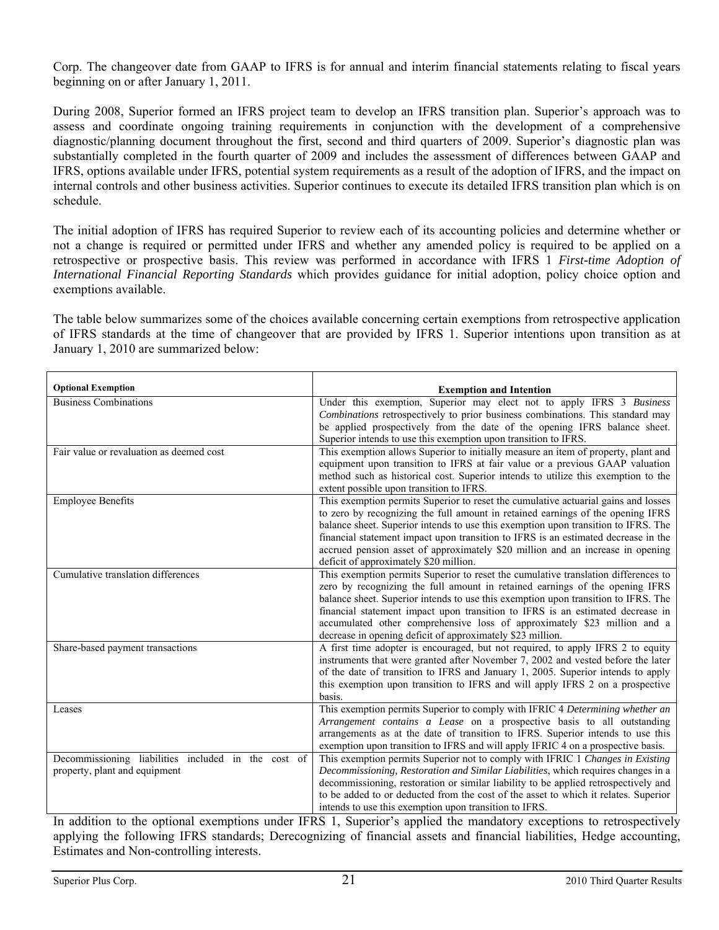Corp. The changeover date from GAAP to IFRS is for annual and interim financial statements relating to fiscal years beginning on or after January 1, 2011.

During 2008, Superior formed an IFRS project team to develop an IFRS transition plan. Superior's approach was to assess and coordinate ongoing training requirements in conjunction with the development of a comprehensive diagnostic/planning document throughout the first, second and third quarters of 2009. Superior's diagnostic plan was substantially completed in the fourth quarter of 2009 and includes the assessment of differences between GAAP and IFRS, options available under IFRS, potential system requirements as a result of the adoption of IFRS, and the impact on internal controls and other business activities. Superior continues to execute its detailed IFRS transition plan which is on schedule.

The initial adoption of IFRS has required Superior to review each of its accounting policies and determine whether or not a change is required or permitted under IFRS and whether any amended policy is required to be applied on a retrospective or prospective basis. This review was performed in accordance with IFRS 1 *First-time Adoption of International Financial Reporting Standards* which provides guidance for initial adoption, policy choice option and exemptions available.

The table below summarizes some of the choices available concerning certain exemptions from retrospective application of IFRS standards at the time of changeover that are provided by IFRS 1. Superior intentions upon transition as at January 1, 2010 are summarized below:

| <b>Optional Exemption</b>                           |                                                                                                                                                                   |
|-----------------------------------------------------|-------------------------------------------------------------------------------------------------------------------------------------------------------------------|
| <b>Business Combinations</b>                        | <b>Exemption and Intention</b><br>Under this exemption, Superior may elect not to apply IFRS 3 Business                                                           |
|                                                     | Combinations retrospectively to prior business combinations. This standard may                                                                                    |
|                                                     | be applied prospectively from the date of the opening IFRS balance sheet.                                                                                         |
|                                                     | Superior intends to use this exemption upon transition to IFRS.                                                                                                   |
|                                                     |                                                                                                                                                                   |
| Fair value or revaluation as deemed cost            | This exemption allows Superior to initially measure an item of property, plant and                                                                                |
|                                                     | equipment upon transition to IFRS at fair value or a previous GAAP valuation<br>method such as historical cost. Superior intends to utilize this exemption to the |
|                                                     |                                                                                                                                                                   |
|                                                     | extent possible upon transition to IFRS.                                                                                                                          |
| <b>Employee Benefits</b>                            | This exemption permits Superior to reset the cumulative actuarial gains and losses                                                                                |
|                                                     | to zero by recognizing the full amount in retained earnings of the opening IFRS                                                                                   |
|                                                     | balance sheet. Superior intends to use this exemption upon transition to IFRS. The                                                                                |
|                                                     | financial statement impact upon transition to IFRS is an estimated decrease in the                                                                                |
|                                                     | accrued pension asset of approximately \$20 million and an increase in opening                                                                                    |
|                                                     | deficit of approximately \$20 million.                                                                                                                            |
| Cumulative translation differences                  | This exemption permits Superior to reset the cumulative translation differences to                                                                                |
|                                                     | zero by recognizing the full amount in retained earnings of the opening IFRS                                                                                      |
|                                                     | balance sheet. Superior intends to use this exemption upon transition to IFRS. The                                                                                |
|                                                     | financial statement impact upon transition to IFRS is an estimated decrease in                                                                                    |
|                                                     | accumulated other comprehensive loss of approximately \$23 million and a                                                                                          |
|                                                     | decrease in opening deficit of approximately \$23 million.                                                                                                        |
| Share-based payment transactions                    | A first time adopter is encouraged, but not required, to apply IFRS 2 to equity                                                                                   |
|                                                     | instruments that were granted after November 7, 2002 and vested before the later                                                                                  |
|                                                     | of the date of transition to IFRS and January 1, 2005. Superior intends to apply                                                                                  |
|                                                     | this exemption upon transition to IFRS and will apply IFRS 2 on a prospective                                                                                     |
|                                                     | basis.                                                                                                                                                            |
| Leases                                              | This exemption permits Superior to comply with IFRIC 4 Determining whether an                                                                                     |
|                                                     | Arrangement contains a Lease on a prospective basis to all outstanding                                                                                            |
|                                                     | arrangements as at the date of transition to IFRS. Superior intends to use this                                                                                   |
|                                                     | exemption upon transition to IFRS and will apply IFRIC 4 on a prospective basis.                                                                                  |
| Decommissioning liabilities included in the cost of | This exemption permits Superior not to comply with IFRIC 1 Changes in Existing                                                                                    |
| property, plant and equipment                       | Decommissioning, Restoration and Similar Liabilities, which requires changes in a                                                                                 |
|                                                     | decommissioning, restoration or similar liability to be applied retrospectively and                                                                               |
|                                                     | to be added to or deducted from the cost of the asset to which it relates. Superior                                                                               |
|                                                     | intends to use this exemption upon transition to IFRS.                                                                                                            |

In addition to the optional exemptions under IFRS 1, Superior's applied the mandatory exceptions to retrospectively applying the following IFRS standards; Derecognizing of financial assets and financial liabilities, Hedge accounting, Estimates and Non-controlling interests.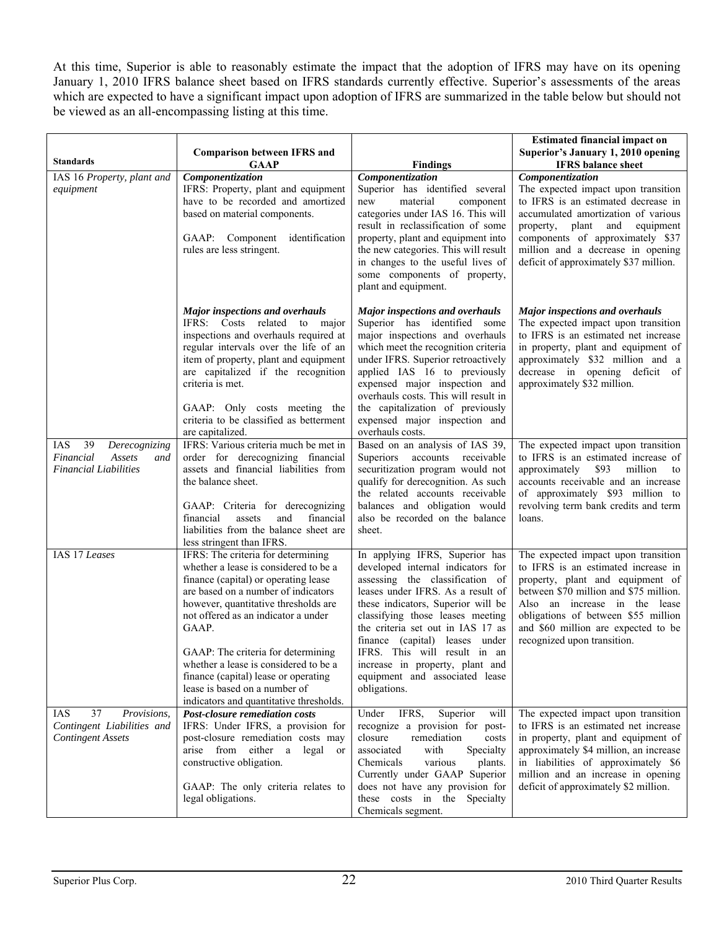At this time, Superior is able to reasonably estimate the impact that the adoption of IFRS may have on its opening January 1, 2010 IFRS balance sheet based on IFRS standards currently effective. Superior's assessments of the areas which are expected to have a significant impact upon adoption of IFRS are summarized in the table below but should not be viewed as an all-encompassing listing at this time.

| Standards                                                                                 | <b>Comparison between IFRS and</b><br><b>GAAP</b>                                                                                                                                                                                                                                                                                                                                                                                                     | <b>Findings</b>                                                                                                                                                                                                                                                                                                                                                                                                   | <b>Estimated financial impact on</b><br>Superior's January 1, 2010 opening<br><b>IFRS</b> balance sheet                                                                                                                                                                                                |
|-------------------------------------------------------------------------------------------|-------------------------------------------------------------------------------------------------------------------------------------------------------------------------------------------------------------------------------------------------------------------------------------------------------------------------------------------------------------------------------------------------------------------------------------------------------|-------------------------------------------------------------------------------------------------------------------------------------------------------------------------------------------------------------------------------------------------------------------------------------------------------------------------------------------------------------------------------------------------------------------|--------------------------------------------------------------------------------------------------------------------------------------------------------------------------------------------------------------------------------------------------------------------------------------------------------|
|                                                                                           |                                                                                                                                                                                                                                                                                                                                                                                                                                                       |                                                                                                                                                                                                                                                                                                                                                                                                                   |                                                                                                                                                                                                                                                                                                        |
| IAS 16 Property, plant and<br>equipment                                                   | Componentization<br>IFRS: Property, plant and equipment<br>have to be recorded and amortized<br>based on material components.<br>GAAP: Component identification<br>rules are less stringent.                                                                                                                                                                                                                                                          | Componentization<br>Superior has identified several<br>new<br>material<br>component<br>categories under IAS 16. This will<br>result in reclassification of some<br>property, plant and equipment into<br>the new categories. This will result<br>in changes to the useful lives of<br>some components of property,<br>plant and equipment.                                                                        | Componentization<br>The expected impact upon transition<br>to IFRS is an estimated decrease in<br>accumulated amortization of various<br>property,<br>plant<br>and<br>equipment<br>components of approximately \$37<br>million and a decrease in opening<br>deficit of approximately \$37 million.     |
|                                                                                           | <b>Major inspections and overhauls</b><br>IFRS: Costs related to major<br>inspections and overhauls required at<br>regular intervals over the life of an<br>item of property, plant and equipment<br>are capitalized if the recognition<br>criteria is met.<br>GAAP: Only costs meeting the<br>criteria to be classified as betterment<br>are capitalized.                                                                                            | <b>Major inspections and overhauls</b><br>Superior has identified some<br>major inspections and overhauls<br>which meet the recognition criteria<br>under IFRS. Superior retroactively<br>applied IAS 16 to previously<br>expensed major inspection and<br>overhauls costs. This will result in<br>the capitalization of previously<br>expensed major inspection and<br>overhauls costs.                          | Major inspections and overhauls<br>The expected impact upon transition<br>to IFRS is an estimated net increase<br>in property, plant and equipment of<br>approximately \$32 million and a<br>decrease in opening deficit of<br>approximately \$32 million.                                             |
| IAS<br>39<br>Derecognizing<br>Financial<br>Assets<br>and<br><b>Financial Liabilities</b>  | IFRS: Various criteria much be met in<br>order for derecognizing financial<br>assets and financial liabilities from<br>the balance sheet.<br>GAAP: Criteria for derecognizing<br>financial<br>assets<br>and<br>financial<br>liabilities from the balance sheet are<br>less stringent than IFRS.                                                                                                                                                       | Based on an analysis of IAS 39,<br>Superiors<br>accounts<br>receivable<br>securitization program would not<br>qualify for derecognition. As such<br>the related accounts receivable<br>balances and obligation would<br>also be recorded on the balance<br>sheet.                                                                                                                                                 | The expected impact upon transition<br>to IFRS is an estimated increase of<br>approximately<br>\$93<br>million<br>to<br>accounts receivable and an increase<br>of approximately \$93 million to<br>revolving term bank credits and term<br>loans.                                                      |
| IAS 17 Leases                                                                             | IFRS: The criteria for determining<br>whether a lease is considered to be a<br>finance (capital) or operating lease<br>are based on a number of indicators<br>however, quantitative thresholds are<br>not offered as an indicator a under<br>GAAP.<br>GAAP: The criteria for determining<br>whether a lease is considered to be a<br>finance (capital) lease or operating<br>lease is based on a number of<br>indicators and quantitative thresholds. | In applying IFRS, Superior has<br>developed internal indicators for<br>assessing the classification of<br>leases under IFRS. As a result of<br>these indicators, Superior will be<br>classifying those leases meeting<br>the criteria set out in IAS 17 as<br>finance (capital) leases under<br>IFRS. This will result in an<br>increase in property, plant and<br>equipment and associated lease<br>obligations. | The expected impact upon transition<br>to IFRS is an estimated increase in<br>property, plant and equipment of<br>between \$70 million and \$75 million.<br>Also an increase in the lease<br>obligations of between \$55 million<br>and \$60 million are expected to be<br>recognized upon transition. |
| 37<br><b>IAS</b><br>Provisions,<br>Contingent Liabilities and<br><b>Contingent Assets</b> | Post-closure remediation costs<br>IFRS: Under IFRS, a provision for<br>post-closure remediation costs may<br>arise from either a<br>legal or<br>constructive obligation.<br>GAAP: The only criteria relates to<br>legal obligations.                                                                                                                                                                                                                  | Under<br>IFRS,<br>Superior<br>will<br>recognize a provision for post-<br>closure<br>remediation<br>costs<br>associated<br>with<br>Specialty<br>Chemicals<br>various<br>plants.<br>Currently under GAAP Superior<br>does not have any provision for<br>these costs in the Specialty<br>Chemicals segment.                                                                                                          | The expected impact upon transition<br>to IFRS is an estimated net increase<br>in property, plant and equipment of<br>approximately \$4 million, an increase<br>in liabilities of approximately \$6<br>million and an increase in opening<br>deficit of approximately \$2 million.                     |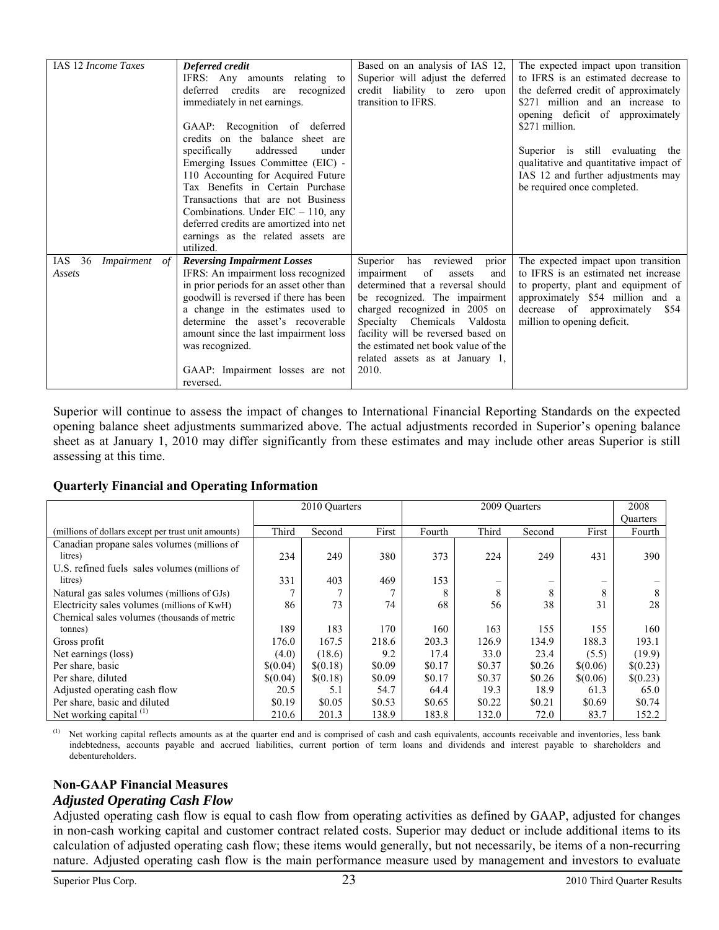| <b>IAS 12 Income Taxes</b> | Deferred credit                                                                  | Based on an analysis of IAS 12,      | The expected impact upon transition    |
|----------------------------|----------------------------------------------------------------------------------|--------------------------------------|----------------------------------------|
|                            | IFRS: Any amounts relating to                                                    | Superior will adjust the deferred    | to IFRS is an estimated decrease to    |
|                            | deferred credits are recognized                                                  | credit liability to zero upon        | the deferred credit of approximately   |
|                            | immediately in net earnings.                                                     | transition to IFRS.                  | \$271 million and an increase to       |
|                            |                                                                                  |                                      | opening deficit of approximately       |
|                            | GAAP: Recognition of deferred                                                    |                                      | \$271 million.                         |
|                            | credits on the balance sheet are                                                 |                                      |                                        |
|                            | specifically<br>addressed<br>under                                               |                                      | Superior is still evaluating the       |
|                            | Emerging Issues Committee (EIC) -                                                |                                      | qualitative and quantitative impact of |
|                            | 110 Accounting for Acquired Future                                               |                                      | IAS 12 and further adjustments may     |
|                            | Tax Benefits in Certain Purchase                                                 |                                      | be required once completed.            |
|                            | Transactions that are not Business                                               |                                      |                                        |
|                            | Combinations. Under $EIC - 110$ , any<br>deferred credits are amortized into net |                                      |                                        |
|                            |                                                                                  |                                      |                                        |
|                            | earnings as the related assets are<br>utilized.                                  |                                      |                                        |
| $IAS$ 36<br>Impairment of  | <b>Reversing Impairment Losses</b>                                               | Superior<br>reviewed<br>has<br>prior | The expected impact upon transition    |
| Assets                     | IFRS: An impairment loss recognized                                              | of<br>impairment<br>assets<br>and    | to IFRS is an estimated net increase   |
|                            | in prior periods for an asset other than                                         | determined that a reversal should    | to property, plant and equipment of    |
|                            | goodwill is reversed if there has been                                           | be recognized. The impairment        | approximately \$54 million and a       |
|                            | a change in the estimates used to                                                | charged recognized in 2005 on        | decrease of approximately<br>\$54      |
|                            | determine the asset's recoverable                                                | Specialty Chemicals Valdosta         | million to opening deficit.            |
|                            | amount since the last impairment loss                                            | facility will be reversed based on   |                                        |
|                            | was recognized.                                                                  | the estimated net book value of the  |                                        |
|                            |                                                                                  | related assets as at January 1,      |                                        |
|                            | GAAP: Impairment losses are not                                                  | 2010.                                |                                        |
|                            | reversed.                                                                        |                                      |                                        |

Superior will continue to assess the impact of changes to International Financial Reporting Standards on the expected opening balance sheet adjustments summarized above. The actual adjustments recorded in Superior's opening balance sheet as at January 1, 2010 may differ significantly from these estimates and may include other areas Superior is still assessing at this time.

**Quarterly Financial and Operating Information** 

|                                                     | 2010 Quarters |          |        | 2009 Quarters |        |        |          | 2008            |
|-----------------------------------------------------|---------------|----------|--------|---------------|--------|--------|----------|-----------------|
|                                                     |               |          |        |               |        |        |          | <b>Ouarters</b> |
| (millions of dollars except per trust unit amounts) | Third         | Second   | First  | Fourth        | Third  | Second | First    | Fourth          |
| Canadian propane sales volumes (millions of         |               |          |        |               |        |        |          |                 |
| litres)                                             | 234           | 249      | 380    | 373           | 224    | 249    | 431      | 390             |
| U.S. refined fuels sales volumes (millions of       |               |          |        |               |        |        |          |                 |
| litres)                                             | 331           | 403      | 469    | 153           | —      |        |          |                 |
| Natural gas sales volumes (millions of GJs)         |               |          |        | 8             | 8      | 8      | 8        |                 |
| Electricity sales volumes (millions of KwH)         | 86            | 73       | 74     | 68            | 56     | 38     | 31       | 28              |
| Chemical sales volumes (thousands of metric         |               |          |        |               |        |        |          |                 |
| tonnes)                                             | 189           | 183      | 170    | 160           | 163    | 155    | 155      | 160             |
| Gross profit                                        | 176.0         | 167.5    | 218.6  | 203.3         | 126.9  | 134.9  | 188.3    | 193.1           |
| Net earnings (loss)                                 | (4.0)         | (18.6)   | 9.2    | 17.4          | 33.0   | 23.4   | (5.5)    | (19.9)          |
| Per share, basic                                    | \$(0.04)      | \$(0.18) | \$0.09 | \$0.17        | \$0.37 | \$0.26 | \$(0.06) | \$(0.23)        |
| Per share, diluted                                  | \$(0.04)      | \$(0.18) | \$0.09 | \$0.17        | \$0.37 | \$0.26 | \$(0.06) | \$(0.23)        |
| Adjusted operating cash flow                        | 20.5          | 5.1      | 54.7   | 64.4          | 19.3   | 18.9   | 61.3     | 65.0            |
| Per share, basic and diluted                        | \$0.19        | \$0.05   | \$0.53 | \$0.65        | \$0.22 | \$0.21 | \$0.69   | \$0.74          |
| Net working capital $(1)$                           | 210.6         | 201.3    | 138.9  | 183.8         | 132.0  | 72.0   | 83.7     | 152.2           |

<sup>(1)</sup> Net working capital reflects amounts as at the quarter end and is comprised of cash and cash equivalents, accounts receivable and inventories, less bank indebtedness, accounts payable and accrued liabilities, current portion of term loans and dividends and interest payable to shareholders and debentureholders.

## **Non-GAAP Financial Measures**  *Adjusted Operating Cash Flow*

Adjusted operating cash flow is equal to cash flow from operating activities as defined by GAAP, adjusted for changes in non-cash working capital and customer contract related costs. Superior may deduct or include additional items to its calculation of adjusted operating cash flow; these items would generally, but not necessarily, be items of a non-recurring nature. Adjusted operating cash flow is the main performance measure used by management and investors to evaluate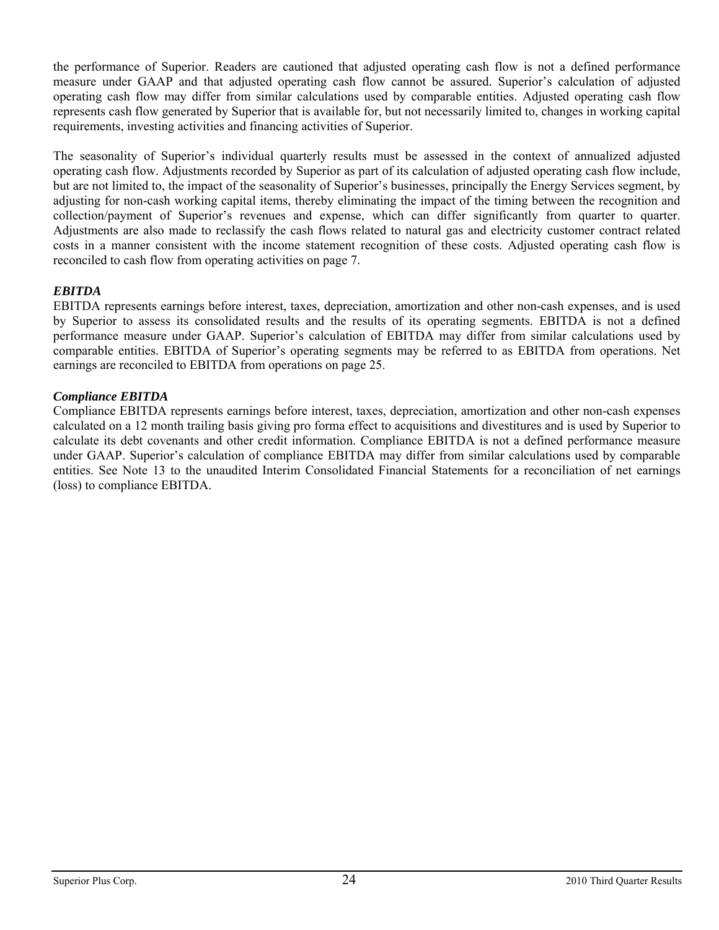the performance of Superior. Readers are cautioned that adjusted operating cash flow is not a defined performance measure under GAAP and that adjusted operating cash flow cannot be assured. Superior's calculation of adjusted operating cash flow may differ from similar calculations used by comparable entities. Adjusted operating cash flow represents cash flow generated by Superior that is available for, but not necessarily limited to, changes in working capital requirements, investing activities and financing activities of Superior.

The seasonality of Superior's individual quarterly results must be assessed in the context of annualized adjusted operating cash flow. Adjustments recorded by Superior as part of its calculation of adjusted operating cash flow include, but are not limited to, the impact of the seasonality of Superior's businesses, principally the Energy Services segment, by adjusting for non-cash working capital items, thereby eliminating the impact of the timing between the recognition and collection/payment of Superior's revenues and expense, which can differ significantly from quarter to quarter. Adjustments are also made to reclassify the cash flows related to natural gas and electricity customer contract related costs in a manner consistent with the income statement recognition of these costs. Adjusted operating cash flow is reconciled to cash flow from operating activities on page 7.

## *EBITDA*

EBITDA represents earnings before interest, taxes, depreciation, amortization and other non-cash expenses, and is used by Superior to assess its consolidated results and the results of its operating segments. EBITDA is not a defined performance measure under GAAP. Superior's calculation of EBITDA may differ from similar calculations used by comparable entities. EBITDA of Superior's operating segments may be referred to as EBITDA from operations. Net earnings are reconciled to EBITDA from operations on page 25.

## *Compliance EBITDA*

Compliance EBITDA represents earnings before interest, taxes, depreciation, amortization and other non-cash expenses calculated on a 12 month trailing basis giving pro forma effect to acquisitions and divestitures and is used by Superior to calculate its debt covenants and other credit information. Compliance EBITDA is not a defined performance measure under GAAP. Superior's calculation of compliance EBITDA may differ from similar calculations used by comparable entities. See Note 13 to the unaudited Interim Consolidated Financial Statements for a reconciliation of net earnings (loss) to compliance EBITDA.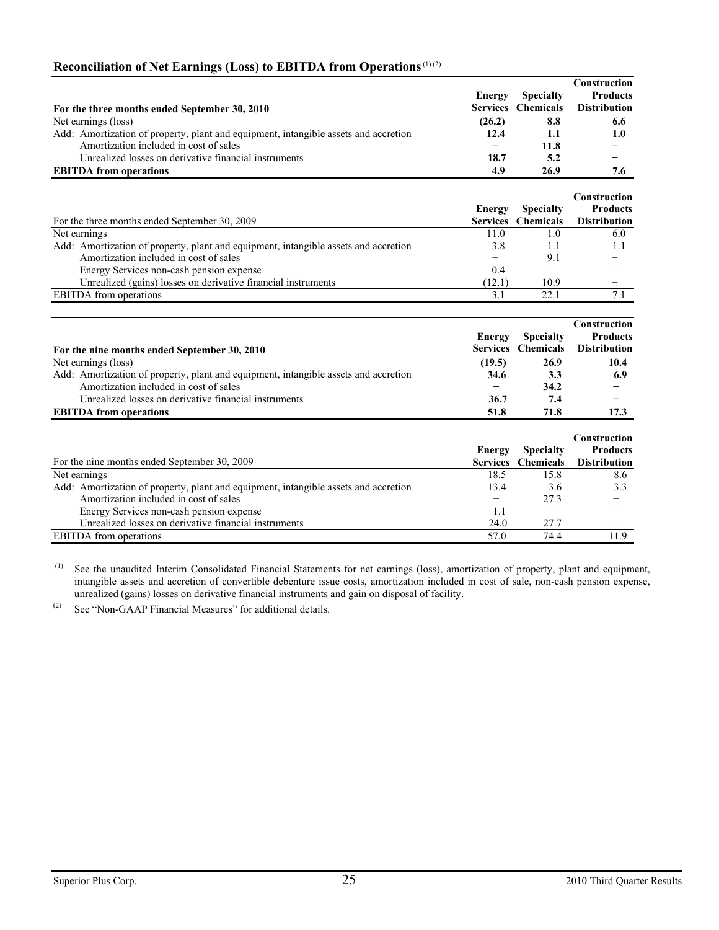## **Reconciliation of Net Earnings (Loss) to EBITDA from Operations** (1) (2)

| For the three months ended September 30, 2010                                       | Energy<br><b>Services</b> | <b>Specialty</b><br><b>Chemicals</b> | Construction<br><b>Products</b><br><b>Distribution</b> |
|-------------------------------------------------------------------------------------|---------------------------|--------------------------------------|--------------------------------------------------------|
| Net earnings (loss)                                                                 | (26.2)                    | 8.8                                  | 6.6                                                    |
| Add: Amortization of property, plant and equipment, intangible assets and accretion | 12.4                      | 1.1                                  | 1.0                                                    |
| Amortization included in cost of sales                                              |                           | 11.8                                 |                                                        |
| Unrealized losses on derivative financial instruments                               | 18.7                      | 5.2                                  | -                                                      |
| <b>EBITDA</b> from operations                                                       | 4.9                       | 26.9                                 | 7.6                                                    |
|                                                                                     | Energy                    | <b>Specialty</b>                     | <b>Construction</b><br><b>Products</b>                 |
| For the three months ended September 30, 2009                                       | <b>Services</b>           | <b>Chemicals</b>                     | <b>Distribution</b>                                    |
| Net earnings                                                                        | 11.0                      | 1.0                                  | 6.0                                                    |
| Add: Amortization of property, plant and equipment, intangible assets and accretion | 3.8                       | 1.1                                  | 1.1                                                    |
| Amortization included in cost of sales                                              |                           | 9.1                                  |                                                        |
| Energy Services non-cash pension expense                                            | 0.4                       |                                      |                                                        |
| Unrealized (gains) losses on derivative financial instruments                       | (12.1)                    | 10.9                                 |                                                        |
| <b>EBITDA</b> from operations                                                       | 3.1                       | 22.1                                 | 7.1                                                    |
|                                                                                     |                           |                                      | <b>Construction</b>                                    |
|                                                                                     | <b>Energy</b>             | <b>Specialty</b>                     | <b>Products</b>                                        |
| For the nine months ended September 30, 2010                                        | <b>Services</b>           | <b>Chemicals</b>                     | <b>Distribution</b>                                    |
| Net earnings (loss)                                                                 | (19.5)                    | 26.9                                 | 10.4                                                   |
| Add: Amortization of property, plant and equipment, intangible assets and accretion | 34.6                      | 3.3                                  | 6.9                                                    |
| Amortization included in cost of sales                                              |                           | 34.2                                 |                                                        |
| Unrealized losses on derivative financial instruments                               | 36.7                      | 7.4                                  |                                                        |
| <b>EBITDA</b> from operations                                                       | 51.8                      | 71.8                                 | 17.3                                                   |
|                                                                                     | Enerov                    | <b>Specialty</b>                     | <b>Construction</b><br><b>Products</b>                 |

|                                                                                     | Energy | <b>Specialty</b>          | Construction<br><b>Products</b> |
|-------------------------------------------------------------------------------------|--------|---------------------------|---------------------------------|
| For the nine months ended September 30, 2009                                        |        | <b>Services Chemicals</b> | <b>Distribution</b>             |
| Net earnings                                                                        | 18.5   | 15.8                      | 8.6                             |
| Add: Amortization of property, plant and equipment, intangible assets and accretion | 13.4   | 3.6                       | 3.3                             |
| Amortization included in cost of sales                                              |        | 27.3                      |                                 |
| Energy Services non-cash pension expense                                            | 1.1    |                           |                                 |
| Unrealized losses on derivative financial instruments                               | 24.0   | 27.7                      |                                 |
| <b>EBITDA</b> from operations                                                       | 57.0   | 74.4                      | 119                             |

 (1) See the unaudited Interim Consolidated Financial Statements for net earnings (loss), amortization of property, plant and equipment, intangible assets and accretion of convertible debenture issue costs, amortization included in cost of sale, non-cash pension expense, unrealized (gains) losses on derivative financial instruments and gain on disposal of facility.

(2) See "Non-GAAP Financial Measures" for additional details.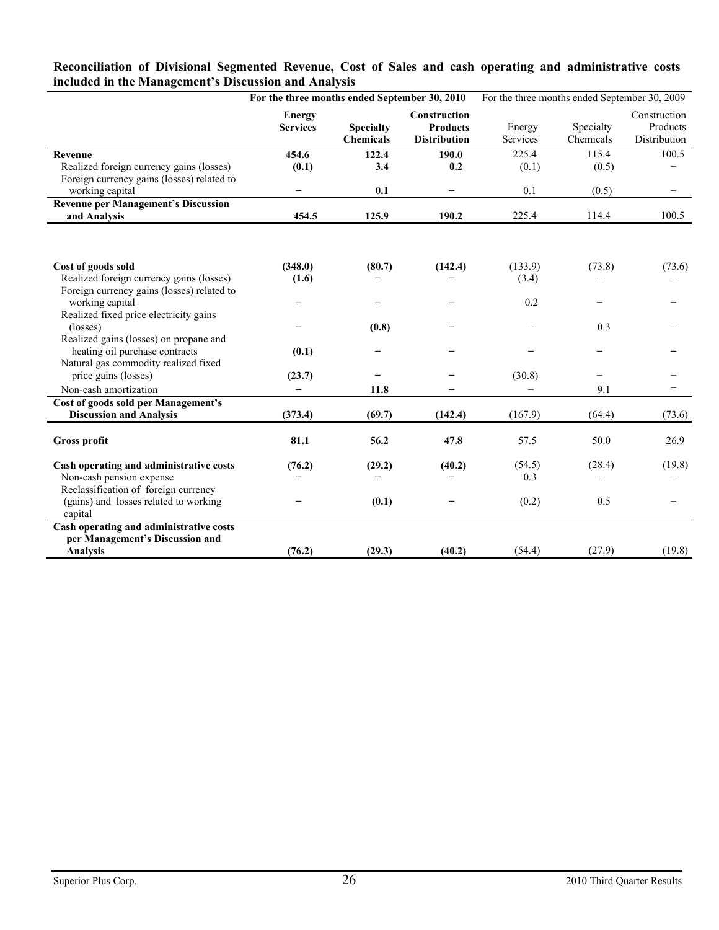|                                                                                                                  | For the three months ended September 30, 2010 |                                      | For the three months ended September 30, 2009          |                    |                        |                                          |
|------------------------------------------------------------------------------------------------------------------|-----------------------------------------------|--------------------------------------|--------------------------------------------------------|--------------------|------------------------|------------------------------------------|
|                                                                                                                  | Energy<br><b>Services</b>                     | <b>Specialty</b><br><b>Chemicals</b> | Construction<br><b>Products</b><br><b>Distribution</b> | Energy<br>Services | Specialty<br>Chemicals | Construction<br>Products<br>Distribution |
| Revenue                                                                                                          | 454.6                                         | 122.4                                | 190.0                                                  | 225.4              | 115.4                  | 100.5                                    |
| Realized foreign currency gains (losses)                                                                         | (0.1)                                         | 3.4                                  | 0.2                                                    | (0.1)              | (0.5)                  |                                          |
| Foreign currency gains (losses) related to                                                                       |                                               |                                      |                                                        |                    |                        |                                          |
| working capital                                                                                                  | $\qquad \qquad -$                             | 0.1                                  |                                                        | 0.1                | (0.5)                  |                                          |
| <b>Revenue per Management's Discussion</b>                                                                       |                                               |                                      |                                                        |                    |                        |                                          |
| and Analysis                                                                                                     | 454.5                                         | 125.9                                | 190.2                                                  | 225.4              | 114.4                  | 100.5                                    |
| Cost of goods sold                                                                                               | (348.0)                                       | (80.7)                               | (142.4)                                                | (133.9)            | (73.8)                 | (73.6)                                   |
| Realized foreign currency gains (losses)                                                                         | (1.6)                                         |                                      |                                                        | (3.4)              |                        |                                          |
| Foreign currency gains (losses) related to<br>working capital<br>Realized fixed price electricity gains          |                                               |                                      |                                                        | 0.2                |                        |                                          |
| $(\text{losses})$                                                                                                |                                               | (0.8)                                |                                                        |                    | 0.3                    |                                          |
| Realized gains (losses) on propane and<br>heating oil purchase contracts<br>Natural gas commodity realized fixed | (0.1)                                         |                                      |                                                        |                    |                        |                                          |
| price gains (losses)                                                                                             | (23.7)                                        |                                      |                                                        | (30.8)             |                        |                                          |
| Non-cash amortization                                                                                            |                                               | 11.8                                 |                                                        |                    | 9.1                    |                                          |
| Cost of goods sold per Management's<br><b>Discussion and Analysis</b>                                            | (373.4)                                       | (69.7)                               | (142.4)                                                | (167.9)            | (64.4)                 | (73.6)                                   |
| <b>Gross profit</b>                                                                                              | 81.1                                          | 56.2                                 | 47.8                                                   | 57.5               | 50.0                   | 26.9                                     |
| Cash operating and administrative costs<br>Non-cash pension expense                                              | (76.2)                                        | (29.2)                               | (40.2)                                                 | (54.5)<br>0.3      | (28.4)                 | (19.8)                                   |
| Reclassification of foreign currency<br>(gains) and losses related to working<br>capital                         |                                               | (0.1)                                |                                                        | (0.2)              | 0.5                    |                                          |
| Cash operating and administrative costs<br>per Management's Discussion and                                       |                                               |                                      |                                                        |                    |                        |                                          |
| <b>Analysis</b>                                                                                                  | (76.2)                                        | (29.3)                               | (40.2)                                                 | (54.4)             | (27.9)                 | (19.8)                                   |

## **Reconciliation of Divisional Segmented Revenue, Cost of Sales and cash operating and administrative costs included in the Management's Discussion and Analysis**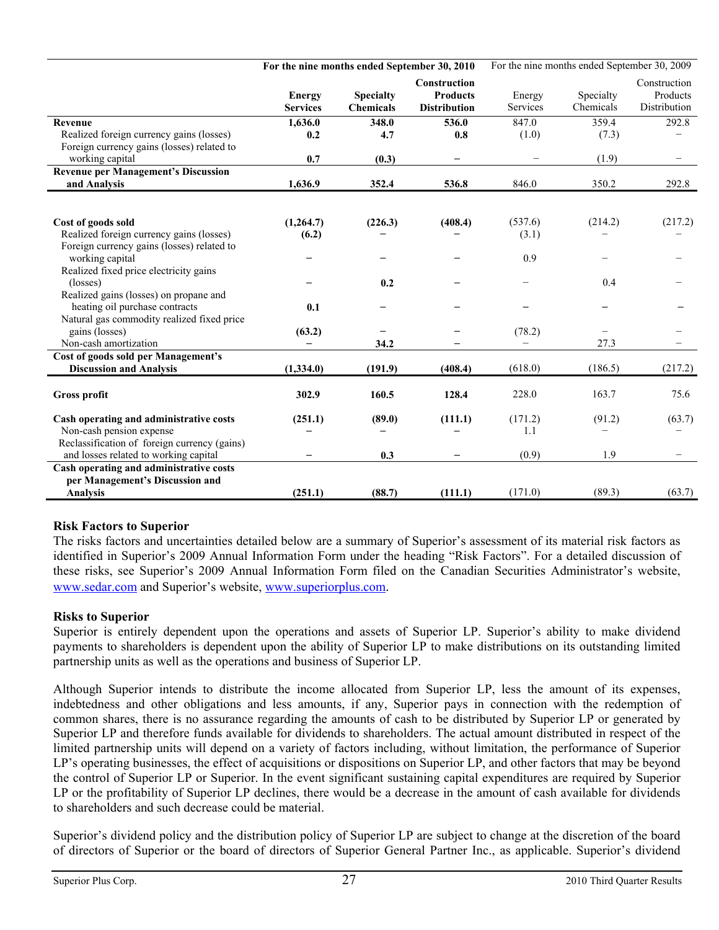|                                              | For the nine months ended September 30, 2010 |                                      | For the nine months ended September 30, 2009           |                    |                        |                                          |
|----------------------------------------------|----------------------------------------------|--------------------------------------|--------------------------------------------------------|--------------------|------------------------|------------------------------------------|
|                                              | <b>Energy</b><br><b>Services</b>             | <b>Specialty</b><br><b>Chemicals</b> | Construction<br><b>Products</b><br><b>Distribution</b> | Energy<br>Services | Specialty<br>Chemicals | Construction<br>Products<br>Distribution |
| Revenue                                      | 1.636.0                                      | 348.0                                | $\overline{536.0}$                                     | 847.0              | 359.4                  | 292.8                                    |
| Realized foreign currency gains (losses)     | 0.2                                          | 4.7                                  | 0.8                                                    | (1.0)              | (7.3)                  |                                          |
| Foreign currency gains (losses) related to   |                                              |                                      |                                                        |                    |                        |                                          |
| working capital                              | 0.7                                          | (0.3)                                |                                                        |                    | (1.9)                  |                                          |
| <b>Revenue per Management's Discussion</b>   |                                              |                                      |                                                        |                    |                        |                                          |
| and Analysis                                 | 1,636.9                                      | 352.4                                | 536.8                                                  | 846.0              | 350.2                  | 292.8                                    |
|                                              |                                              |                                      |                                                        |                    |                        |                                          |
| Cost of goods sold                           | (1,264.7)                                    | (226.3)                              | (408.4)                                                | (537.6)            | (214.2)                | (217.2)                                  |
| Realized foreign currency gains (losses)     | (6.2)                                        |                                      |                                                        | (3.1)              |                        |                                          |
| Foreign currency gains (losses) related to   |                                              |                                      |                                                        |                    |                        |                                          |
| working capital                              |                                              |                                      |                                                        | 0.9                |                        |                                          |
| Realized fixed price electricity gains       |                                              |                                      |                                                        |                    |                        |                                          |
| $(\text{losses})$                            |                                              | 0.2                                  |                                                        |                    | 0.4                    |                                          |
| Realized gains (losses) on propane and       |                                              |                                      |                                                        |                    |                        |                                          |
| heating oil purchase contracts               | 0.1                                          |                                      |                                                        |                    |                        |                                          |
| Natural gas commodity realized fixed price   |                                              |                                      |                                                        |                    |                        |                                          |
| gains (losses)<br>Non-cash amortization      | (63.2)                                       |                                      |                                                        | (78.2)             | 27.3                   |                                          |
| <b>Cost of goods sold per Management's</b>   |                                              | 34.2                                 |                                                        |                    |                        |                                          |
| <b>Discussion and Analysis</b>               | (1,334.0)                                    | (191.9)                              | (408.4)                                                | (618.0)            | (186.5)                | (217.2)                                  |
|                                              |                                              |                                      |                                                        |                    |                        |                                          |
| <b>Gross profit</b>                          | 302.9                                        | 160.5                                | 128.4                                                  | 228.0              | 163.7                  | 75.6                                     |
| Cash operating and administrative costs      | (251.1)                                      | (89.0)                               | (111.1)                                                | (171.2)            | (91.2)                 | (63.7)                                   |
| Non-cash pension expense                     |                                              |                                      |                                                        | 1.1                |                        |                                          |
| Reclassification of foreign currency (gains) |                                              |                                      |                                                        |                    |                        |                                          |
| and losses related to working capital        |                                              | 0.3                                  |                                                        | (0.9)              | 1.9                    |                                          |
| Cash operating and administrative costs      |                                              |                                      |                                                        |                    |                        |                                          |
| per Management's Discussion and              |                                              |                                      |                                                        |                    |                        |                                          |
| <b>Analysis</b>                              | (251.1)                                      | (88.7)                               | (111.1)                                                | (171.0)            | (89.3)                 | (63.7)                                   |

## **Risk Factors to Superior**

The risks factors and uncertainties detailed below are a summary of Superior's assessment of its material risk factors as identified in Superior's 2009 Annual Information Form under the heading "Risk Factors". For a detailed discussion of these risks, see Superior's 2009 Annual Information Form filed on the Canadian Securities Administrator's website, www.sedar.com and Superior's website, www.superiorplus.com.

## **Risks to Superior**

Superior is entirely dependent upon the operations and assets of Superior LP. Superior's ability to make dividend payments to shareholders is dependent upon the ability of Superior LP to make distributions on its outstanding limited partnership units as well as the operations and business of Superior LP.

Although Superior intends to distribute the income allocated from Superior LP, less the amount of its expenses, indebtedness and other obligations and less amounts, if any, Superior pays in connection with the redemption of common shares, there is no assurance regarding the amounts of cash to be distributed by Superior LP or generated by Superior LP and therefore funds available for dividends to shareholders. The actual amount distributed in respect of the limited partnership units will depend on a variety of factors including, without limitation, the performance of Superior LP's operating businesses, the effect of acquisitions or dispositions on Superior LP, and other factors that may be beyond the control of Superior LP or Superior. In the event significant sustaining capital expenditures are required by Superior LP or the profitability of Superior LP declines, there would be a decrease in the amount of cash available for dividends to shareholders and such decrease could be material.

Superior's dividend policy and the distribution policy of Superior LP are subject to change at the discretion of the board of directors of Superior or the board of directors of Superior General Partner Inc., as applicable. Superior's dividend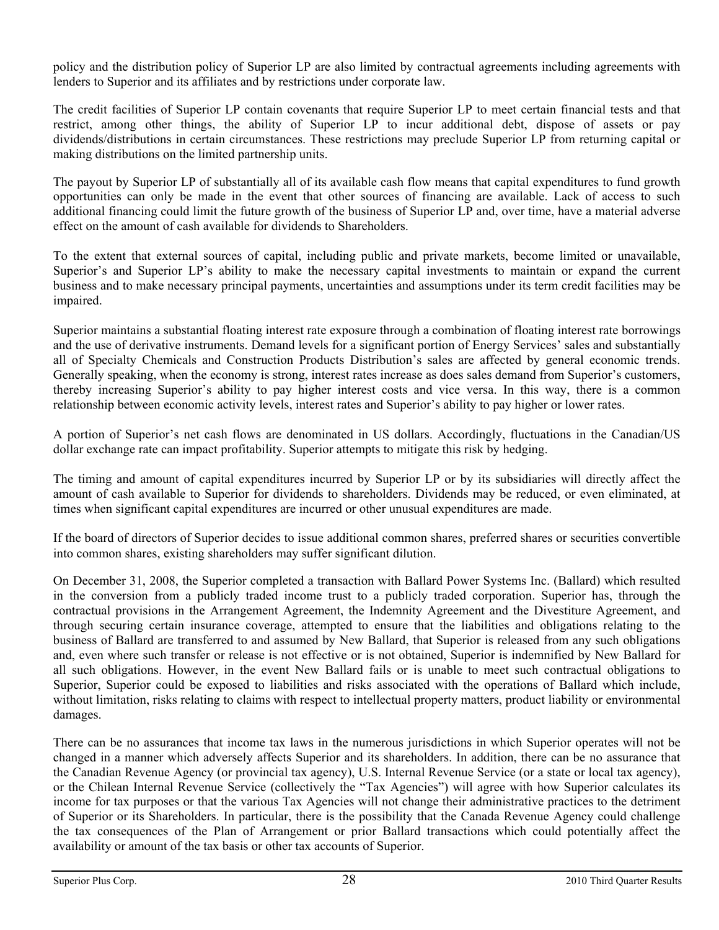policy and the distribution policy of Superior LP are also limited by contractual agreements including agreements with lenders to Superior and its affiliates and by restrictions under corporate law.

The credit facilities of Superior LP contain covenants that require Superior LP to meet certain financial tests and that restrict, among other things, the ability of Superior LP to incur additional debt, dispose of assets or pay dividends/distributions in certain circumstances. These restrictions may preclude Superior LP from returning capital or making distributions on the limited partnership units.

The payout by Superior LP of substantially all of its available cash flow means that capital expenditures to fund growth opportunities can only be made in the event that other sources of financing are available. Lack of access to such additional financing could limit the future growth of the business of Superior LP and, over time, have a material adverse effect on the amount of cash available for dividends to Shareholders.

To the extent that external sources of capital, including public and private markets, become limited or unavailable, Superior's and Superior LP's ability to make the necessary capital investments to maintain or expand the current business and to make necessary principal payments, uncertainties and assumptions under its term credit facilities may be impaired.

Superior maintains a substantial floating interest rate exposure through a combination of floating interest rate borrowings and the use of derivative instruments. Demand levels for a significant portion of Energy Services' sales and substantially all of Specialty Chemicals and Construction Products Distribution's sales are affected by general economic trends. Generally speaking, when the economy is strong, interest rates increase as does sales demand from Superior's customers, thereby increasing Superior's ability to pay higher interest costs and vice versa. In this way, there is a common relationship between economic activity levels, interest rates and Superior's ability to pay higher or lower rates.

A portion of Superior's net cash flows are denominated in US dollars. Accordingly, fluctuations in the Canadian/US dollar exchange rate can impact profitability. Superior attempts to mitigate this risk by hedging.

The timing and amount of capital expenditures incurred by Superior LP or by its subsidiaries will directly affect the amount of cash available to Superior for dividends to shareholders. Dividends may be reduced, or even eliminated, at times when significant capital expenditures are incurred or other unusual expenditures are made.

If the board of directors of Superior decides to issue additional common shares, preferred shares or securities convertible into common shares, existing shareholders may suffer significant dilution.

On December 31, 2008, the Superior completed a transaction with Ballard Power Systems Inc. (Ballard) which resulted in the conversion from a publicly traded income trust to a publicly traded corporation. Superior has, through the contractual provisions in the Arrangement Agreement, the Indemnity Agreement and the Divestiture Agreement, and through securing certain insurance coverage, attempted to ensure that the liabilities and obligations relating to the business of Ballard are transferred to and assumed by New Ballard, that Superior is released from any such obligations and, even where such transfer or release is not effective or is not obtained, Superior is indemnified by New Ballard for all such obligations. However, in the event New Ballard fails or is unable to meet such contractual obligations to Superior, Superior could be exposed to liabilities and risks associated with the operations of Ballard which include, without limitation, risks relating to claims with respect to intellectual property matters, product liability or environmental damages.

There can be no assurances that income tax laws in the numerous jurisdictions in which Superior operates will not be changed in a manner which adversely affects Superior and its shareholders. In addition, there can be no assurance that the Canadian Revenue Agency (or provincial tax agency), U.S. Internal Revenue Service (or a state or local tax agency), or the Chilean Internal Revenue Service (collectively the "Tax Agencies") will agree with how Superior calculates its income for tax purposes or that the various Tax Agencies will not change their administrative practices to the detriment of Superior or its Shareholders. In particular, there is the possibility that the Canada Revenue Agency could challenge the tax consequences of the Plan of Arrangement or prior Ballard transactions which could potentially affect the availability or amount of the tax basis or other tax accounts of Superior.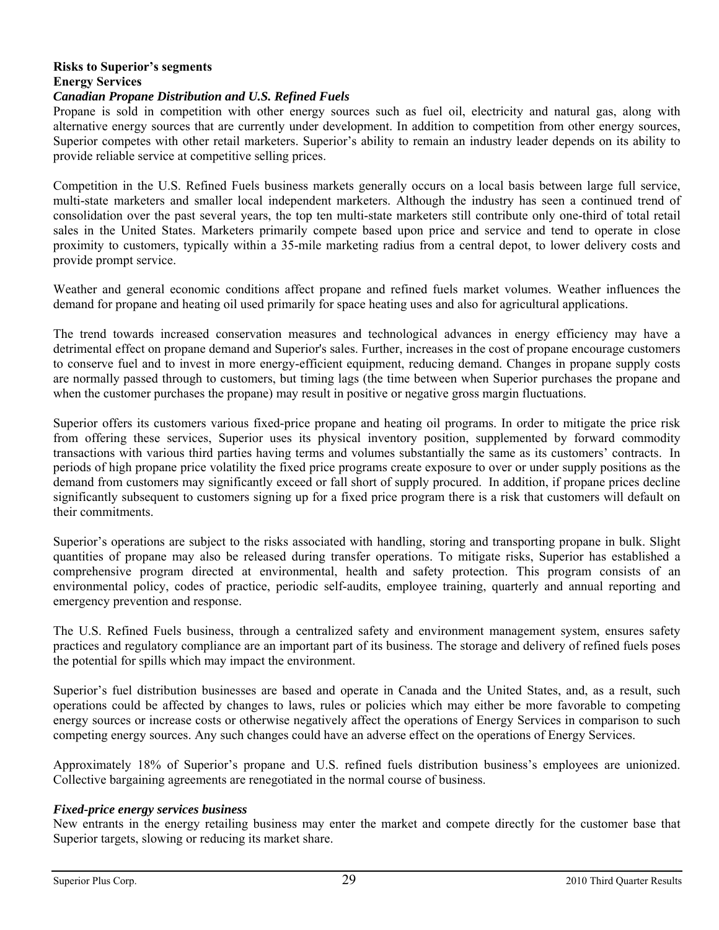## **Risks to Superior's segments Energy Services**

### *Canadian Propane Distribution and U.S. Refined Fuels*

Propane is sold in competition with other energy sources such as fuel oil, electricity and natural gas, along with alternative energy sources that are currently under development. In addition to competition from other energy sources, Superior competes with other retail marketers. Superior's ability to remain an industry leader depends on its ability to provide reliable service at competitive selling prices.

Competition in the U.S. Refined Fuels business markets generally occurs on a local basis between large full service, multi-state marketers and smaller local independent marketers. Although the industry has seen a continued trend of consolidation over the past several years, the top ten multi-state marketers still contribute only one-third of total retail sales in the United States. Marketers primarily compete based upon price and service and tend to operate in close proximity to customers, typically within a 35-mile marketing radius from a central depot, to lower delivery costs and provide prompt service.

Weather and general economic conditions affect propane and refined fuels market volumes. Weather influences the demand for propane and heating oil used primarily for space heating uses and also for agricultural applications.

The trend towards increased conservation measures and technological advances in energy efficiency may have a detrimental effect on propane demand and Superior's sales. Further, increases in the cost of propane encourage customers to conserve fuel and to invest in more energy-efficient equipment, reducing demand. Changes in propane supply costs are normally passed through to customers, but timing lags (the time between when Superior purchases the propane and when the customer purchases the propane) may result in positive or negative gross margin fluctuations.

Superior offers its customers various fixed-price propane and heating oil programs. In order to mitigate the price risk from offering these services, Superior uses its physical inventory position, supplemented by forward commodity transactions with various third parties having terms and volumes substantially the same as its customers' contracts. In periods of high propane price volatility the fixed price programs create exposure to over or under supply positions as the demand from customers may significantly exceed or fall short of supply procured. In addition, if propane prices decline significantly subsequent to customers signing up for a fixed price program there is a risk that customers will default on their commitments.

Superior's operations are subject to the risks associated with handling, storing and transporting propane in bulk. Slight quantities of propane may also be released during transfer operations. To mitigate risks, Superior has established a comprehensive program directed at environmental, health and safety protection. This program consists of an environmental policy, codes of practice, periodic self-audits, employee training, quarterly and annual reporting and emergency prevention and response.

The U.S. Refined Fuels business, through a centralized safety and environment management system, ensures safety practices and regulatory compliance are an important part of its business. The storage and delivery of refined fuels poses the potential for spills which may impact the environment.

Superior's fuel distribution businesses are based and operate in Canada and the United States, and, as a result, such operations could be affected by changes to laws, rules or policies which may either be more favorable to competing energy sources or increase costs or otherwise negatively affect the operations of Energy Services in comparison to such competing energy sources. Any such changes could have an adverse effect on the operations of Energy Services.

Approximately 18% of Superior's propane and U.S. refined fuels distribution business's employees are unionized. Collective bargaining agreements are renegotiated in the normal course of business.

## *Fixed-price energy services business*

New entrants in the energy retailing business may enter the market and compete directly for the customer base that Superior targets, slowing or reducing its market share.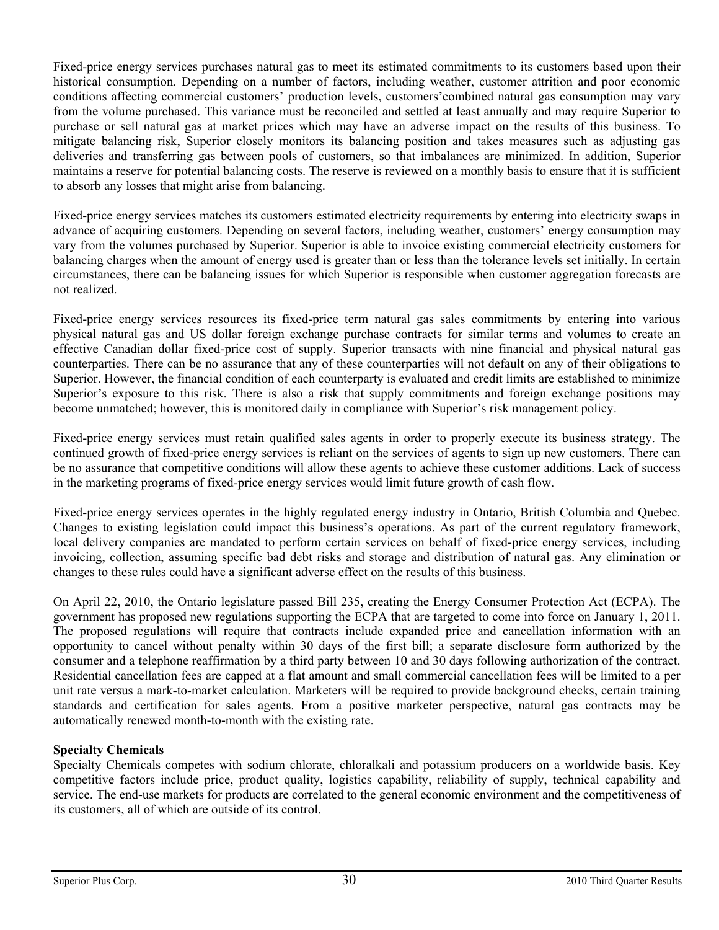Fixed-price energy services purchases natural gas to meet its estimated commitments to its customers based upon their historical consumption. Depending on a number of factors, including weather, customer attrition and poor economic conditions affecting commercial customers' production levels, customers'combined natural gas consumption may vary from the volume purchased. This variance must be reconciled and settled at least annually and may require Superior to purchase or sell natural gas at market prices which may have an adverse impact on the results of this business. To mitigate balancing risk, Superior closely monitors its balancing position and takes measures such as adjusting gas deliveries and transferring gas between pools of customers, so that imbalances are minimized. In addition, Superior maintains a reserve for potential balancing costs. The reserve is reviewed on a monthly basis to ensure that it is sufficient to absorb any losses that might arise from balancing.

Fixed-price energy services matches its customers estimated electricity requirements by entering into electricity swaps in advance of acquiring customers. Depending on several factors, including weather, customers' energy consumption may vary from the volumes purchased by Superior. Superior is able to invoice existing commercial electricity customers for balancing charges when the amount of energy used is greater than or less than the tolerance levels set initially. In certain circumstances, there can be balancing issues for which Superior is responsible when customer aggregation forecasts are not realized.

Fixed-price energy services resources its fixed-price term natural gas sales commitments by entering into various physical natural gas and US dollar foreign exchange purchase contracts for similar terms and volumes to create an effective Canadian dollar fixed-price cost of supply. Superior transacts with nine financial and physical natural gas counterparties. There can be no assurance that any of these counterparties will not default on any of their obligations to Superior. However, the financial condition of each counterparty is evaluated and credit limits are established to minimize Superior's exposure to this risk. There is also a risk that supply commitments and foreign exchange positions may become unmatched; however, this is monitored daily in compliance with Superior's risk management policy.

Fixed-price energy services must retain qualified sales agents in order to properly execute its business strategy. The continued growth of fixed-price energy services is reliant on the services of agents to sign up new customers. There can be no assurance that competitive conditions will allow these agents to achieve these customer additions. Lack of success in the marketing programs of fixed-price energy services would limit future growth of cash flow.

Fixed-price energy services operates in the highly regulated energy industry in Ontario, British Columbia and Quebec. Changes to existing legislation could impact this business's operations. As part of the current regulatory framework, local delivery companies are mandated to perform certain services on behalf of fixed-price energy services, including invoicing, collection, assuming specific bad debt risks and storage and distribution of natural gas. Any elimination or changes to these rules could have a significant adverse effect on the results of this business.

On April 22, 2010, the Ontario legislature passed Bill 235, creating the Energy Consumer Protection Act (ECPA). The government has proposed new regulations supporting the ECPA that are targeted to come into force on January 1, 2011. The proposed regulations will require that contracts include expanded price and cancellation information with an opportunity to cancel without penalty within 30 days of the first bill; a separate disclosure form authorized by the consumer and a telephone reaffirmation by a third party between 10 and 30 days following authorization of the contract. Residential cancellation fees are capped at a flat amount and small commercial cancellation fees will be limited to a per unit rate versus a mark-to-market calculation. Marketers will be required to provide background checks, certain training standards and certification for sales agents. From a positive marketer perspective, natural gas contracts may be automatically renewed month-to-month with the existing rate.

## **Specialty Chemicals**

Specialty Chemicals competes with sodium chlorate, chloralkali and potassium producers on a worldwide basis. Key competitive factors include price, product quality, logistics capability, reliability of supply, technical capability and service. The end-use markets for products are correlated to the general economic environment and the competitiveness of its customers, all of which are outside of its control.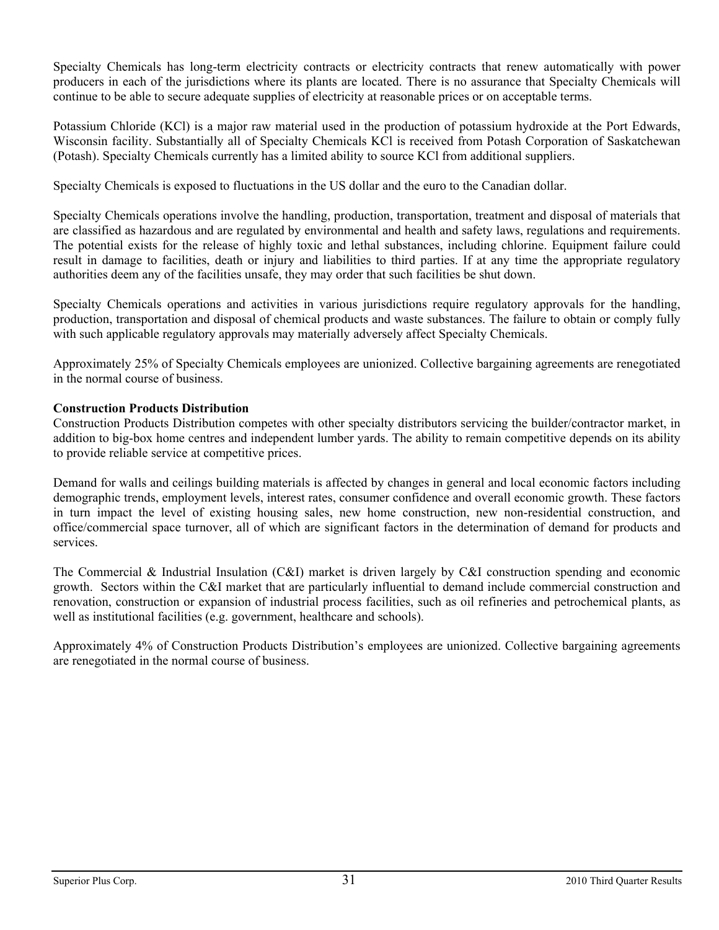Specialty Chemicals has long-term electricity contracts or electricity contracts that renew automatically with power producers in each of the jurisdictions where its plants are located. There is no assurance that Specialty Chemicals will continue to be able to secure adequate supplies of electricity at reasonable prices or on acceptable terms.

Potassium Chloride (KCl) is a major raw material used in the production of potassium hydroxide at the Port Edwards, Wisconsin facility. Substantially all of Specialty Chemicals KCl is received from Potash Corporation of Saskatchewan (Potash). Specialty Chemicals currently has a limited ability to source KCl from additional suppliers.

Specialty Chemicals is exposed to fluctuations in the US dollar and the euro to the Canadian dollar.

Specialty Chemicals operations involve the handling, production, transportation, treatment and disposal of materials that are classified as hazardous and are regulated by environmental and health and safety laws, regulations and requirements. The potential exists for the release of highly toxic and lethal substances, including chlorine. Equipment failure could result in damage to facilities, death or injury and liabilities to third parties. If at any time the appropriate regulatory authorities deem any of the facilities unsafe, they may order that such facilities be shut down.

Specialty Chemicals operations and activities in various jurisdictions require regulatory approvals for the handling, production, transportation and disposal of chemical products and waste substances. The failure to obtain or comply fully with such applicable regulatory approvals may materially adversely affect Specialty Chemicals.

Approximately 25% of Specialty Chemicals employees are unionized. Collective bargaining agreements are renegotiated in the normal course of business.

## **Construction Products Distribution**

Construction Products Distribution competes with other specialty distributors servicing the builder/contractor market, in addition to big-box home centres and independent lumber yards. The ability to remain competitive depends on its ability to provide reliable service at competitive prices.

Demand for walls and ceilings building materials is affected by changes in general and local economic factors including demographic trends, employment levels, interest rates, consumer confidence and overall economic growth. These factors in turn impact the level of existing housing sales, new home construction, new non-residential construction, and office/commercial space turnover, all of which are significant factors in the determination of demand for products and services.

The Commercial & Industrial Insulation (C&I) market is driven largely by C&I construction spending and economic growth. Sectors within the C&I market that are particularly influential to demand include commercial construction and renovation, construction or expansion of industrial process facilities, such as oil refineries and petrochemical plants, as well as institutional facilities (e.g. government, healthcare and schools).

Approximately 4% of Construction Products Distribution's employees are unionized. Collective bargaining agreements are renegotiated in the normal course of business.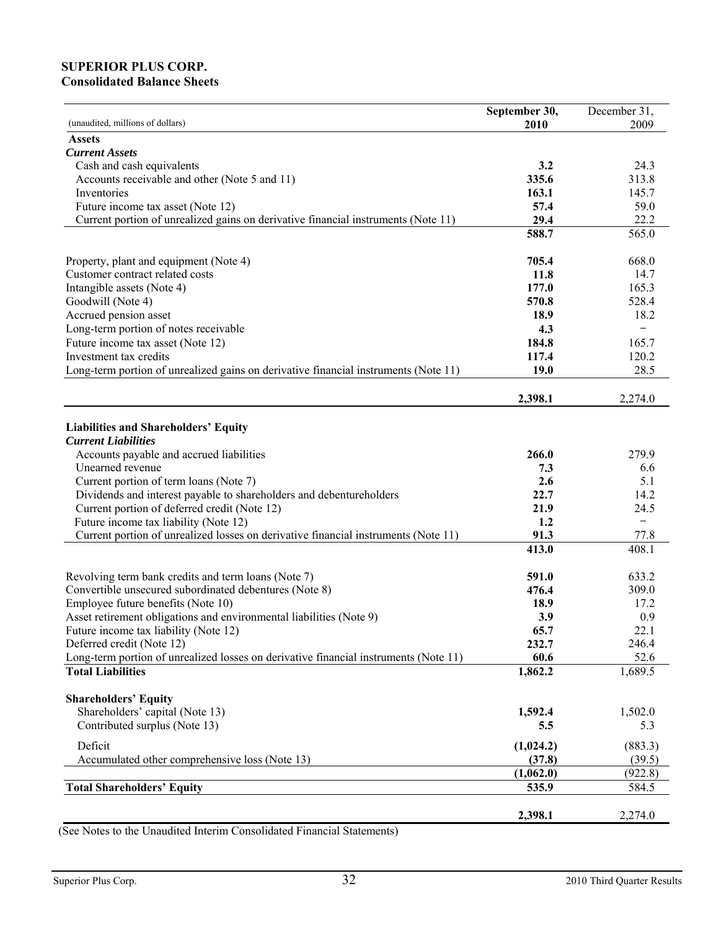## **SUPERIOR PLUS CORP. Consolidated Balance Sheets**

|                                                                                      | September 30, | December 31,             |
|--------------------------------------------------------------------------------------|---------------|--------------------------|
| (unaudited, millions of dollars)                                                     | 2010          | 2009                     |
| <b>Assets</b>                                                                        |               |                          |
| <b>Current Assets</b>                                                                |               |                          |
| Cash and cash equivalents                                                            | 3.2           | 24.3                     |
| Accounts receivable and other (Note 5 and 11)                                        | 335.6         | 313.8                    |
| Inventories                                                                          | 163.1         | 145.7                    |
| Future income tax asset (Note 12)                                                    | 57.4          | 59.0                     |
| Current portion of unrealized gains on derivative financial instruments (Note 11)    | 29.4          | 22.2                     |
|                                                                                      | 588.7         | 565.0                    |
| Property, plant and equipment (Note 4)                                               | 705.4         | 668.0                    |
| Customer contract related costs                                                      | 11.8          | 14.7                     |
| Intangible assets (Note 4)                                                           | 177.0         | 165.3                    |
| Goodwill (Note 4)                                                                    | 570.8         | 528.4                    |
| Accrued pension asset                                                                | 18.9          | 18.2                     |
| Long-term portion of notes receivable                                                | 4.3           | $\overline{\phantom{0}}$ |
| Future income tax asset (Note 12)                                                    | 184.8         | 165.7                    |
| Investment tax credits                                                               | 117.4         | 120.2                    |
| Long-term portion of unrealized gains on derivative financial instruments (Note 11)  | <b>19.0</b>   | 28.5                     |
|                                                                                      |               |                          |
|                                                                                      | 2,398.1       | 2,274.0                  |
| Liabilities and Shareholders' Equity                                                 |               |                          |
| <b>Current Liabilities</b>                                                           |               |                          |
| Accounts payable and accrued liabilities                                             | 266.0         | 279.9                    |
| Unearned revenue                                                                     | 7.3           | 6.6                      |
| Current portion of term loans (Note 7)                                               | 2.6           | 5.1                      |
| Dividends and interest payable to shareholders and debentureholders                  | 22.7          | 14.2                     |
| Current portion of deferred credit (Note 12)                                         | 21.9          | 24.5                     |
| Future income tax liability (Note 12)                                                | 1.2           | $\overline{\phantom{m}}$ |
| Current portion of unrealized losses on derivative financial instruments (Note 11)   | 91.3          | 77.8                     |
|                                                                                      | 413.0         | 408.1                    |
| Revolving term bank credits and term loans (Note 7)                                  | 591.0         | 633.2                    |
| Convertible unsecured subordinated debentures (Note 8)                               | 476.4         | 309.0                    |
| Employee future benefits (Note 10)                                                   | 18.9          | 17.2                     |
| Asset retirement obligations and environmental liabilities (Note 9)                  | 3.9           | 0.9                      |
| Future income tax liability (Note 12)                                                | 65.7          | 22.1                     |
| Deferred credit (Note 12)                                                            | 232.7         | 246.4                    |
| Long-term portion of unrealized losses on derivative financial instruments (Note 11) | 60.6          | 52.6                     |
| <b>Total Liabilities</b>                                                             | 1,862.2       | 1,689.5                  |
|                                                                                      |               |                          |
| <b>Shareholders' Equity</b><br>Shareholders' capital (Note 13)                       | 1,592.4       | 1,502.0                  |
| Contributed surplus (Note 13)                                                        |               |                          |
|                                                                                      | 5.5           | 5.3                      |
| Deficit                                                                              | (1,024.2)     | (883.3)                  |
| Accumulated other comprehensive loss (Note 13)                                       | (37.8)        | (39.5)                   |
|                                                                                      | (1,062.0)     | (922.8)                  |
| <b>Total Shareholders' Equity</b>                                                    | 535.9         | 584.5                    |
|                                                                                      | 2,398.1       | 2,274.0                  |

(See Notes to the Unaudited Interim Consolidated Financial Statements)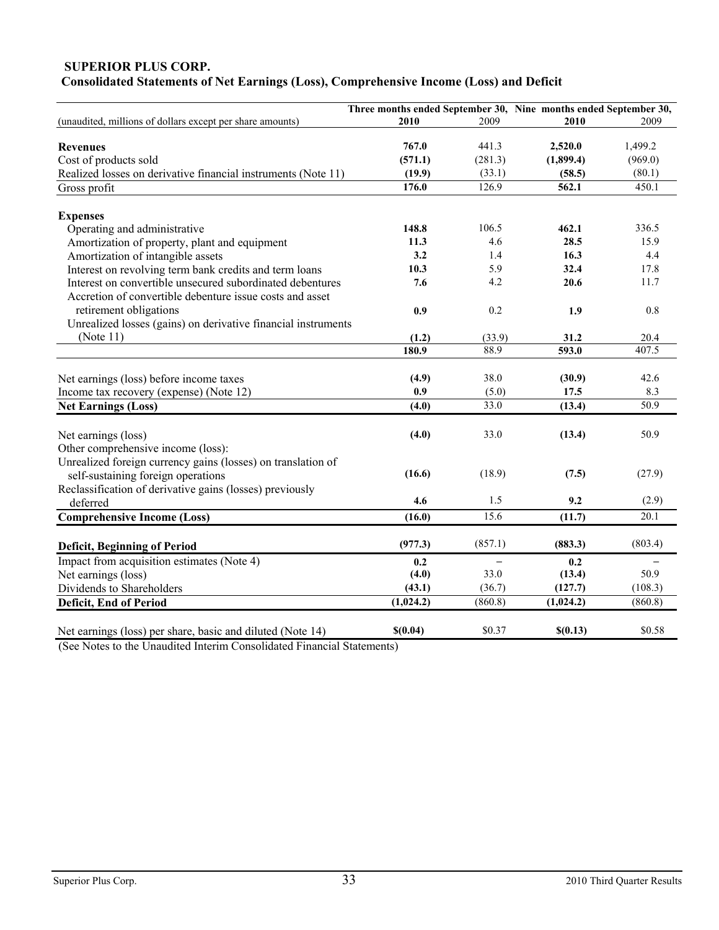## **SUPERIOR PLUS CORP. Consolidated Statements of Net Earnings (Loss), Comprehensive Income (Loss) and Deficit**

|                                                               | Three months ended September 30, Nine months ended September 30, |                          |           |         |
|---------------------------------------------------------------|------------------------------------------------------------------|--------------------------|-----------|---------|
| (unaudited, millions of dollars except per share amounts)     | 2010                                                             | 2009                     | 2010      | 2009    |
|                                                               |                                                                  |                          |           |         |
| <b>Revenues</b>                                               | 767.0                                                            | 441.3                    | 2,520.0   | 1,499.2 |
| Cost of products sold                                         | (571.1)                                                          | (281.3)                  | (1,899.4) | (969.0) |
| Realized losses on derivative financial instruments (Note 11) | (19.9)                                                           | (33.1)                   | (58.5)    | (80.1)  |
| Gross profit                                                  | 176.0                                                            | 126.9                    | 562.1     | 450.1   |
| <b>Expenses</b>                                               |                                                                  |                          |           |         |
| Operating and administrative                                  | 148.8                                                            | 106.5                    | 462.1     | 336.5   |
| Amortization of property, plant and equipment                 | 11.3                                                             | 4.6                      | 28.5      | 15.9    |
| Amortization of intangible assets                             | 3.2                                                              | 1.4                      | 16.3      | 4.4     |
| Interest on revolving term bank credits and term loans        | 10.3                                                             | 5.9                      | 32.4      | 17.8    |
| Interest on convertible unsecured subordinated debentures     | 7.6                                                              | 4.2                      | 20.6      | 11.7    |
| Accretion of convertible debenture issue costs and asset      |                                                                  |                          |           |         |
| retirement obligations                                        | 0.9                                                              | 0.2                      | 1.9       | 0.8     |
| Unrealized losses (gains) on derivative financial instruments |                                                                  |                          |           |         |
| (Note 11)                                                     | (1.2)                                                            | (33.9)                   | 31.2      | 20.4    |
|                                                               | 180.9                                                            | 88.9                     | 593.0     | 407.5   |
|                                                               |                                                                  |                          |           |         |
| Net earnings (loss) before income taxes                       | (4.9)                                                            | 38.0                     | (30.9)    | 42.6    |
| Income tax recovery (expense) (Note 12)                       | 0.9                                                              | (5.0)                    | 17.5      | 8.3     |
| <b>Net Earnings (Loss)</b>                                    | (4.0)                                                            | 33.0                     | (13.4)    | 50.9    |
|                                                               |                                                                  |                          |           |         |
| Net earnings (loss)                                           | (4.0)                                                            | 33.0                     | (13.4)    | 50.9    |
| Other comprehensive income (loss):                            |                                                                  |                          |           |         |
| Unrealized foreign currency gains (losses) on translation of  |                                                                  |                          |           |         |
| self-sustaining foreign operations                            | (16.6)                                                           | (18.9)                   | (7.5)     | (27.9)  |
| Reclassification of derivative gains (losses) previously      |                                                                  |                          |           |         |
| deferred                                                      | 4.6                                                              | 1.5                      | 9.2       | (2.9)   |
| <b>Comprehensive Income (Loss)</b>                            | (16.0)                                                           | 15.6                     | (11.7)    | 20.1    |
|                                                               | (977.3)                                                          | (857.1)                  | (883.3)   | (803.4) |
| <b>Deficit, Beginning of Period</b>                           |                                                                  |                          |           |         |
| Impact from acquisition estimates (Note 4)                    | 0.2                                                              | $\overline{\phantom{0}}$ | 0.2       |         |
| Net earnings (loss)                                           | (4.0)                                                            | 33.0                     | (13.4)    | 50.9    |
| Dividends to Shareholders                                     | (43.1)                                                           | (36.7)                   | (127.7)   | (108.3) |
| Deficit, End of Period                                        | (1,024.2)                                                        | (860.8)                  | (1,024.2) | (860.8) |
| Net earnings (loss) per share, basic and diluted (Note 14)    | \$(0.04)                                                         | \$0.37                   | \$(0.13)  | \$0.58  |

(See Notes to the Unaudited Interim Consolidated Financial Statements)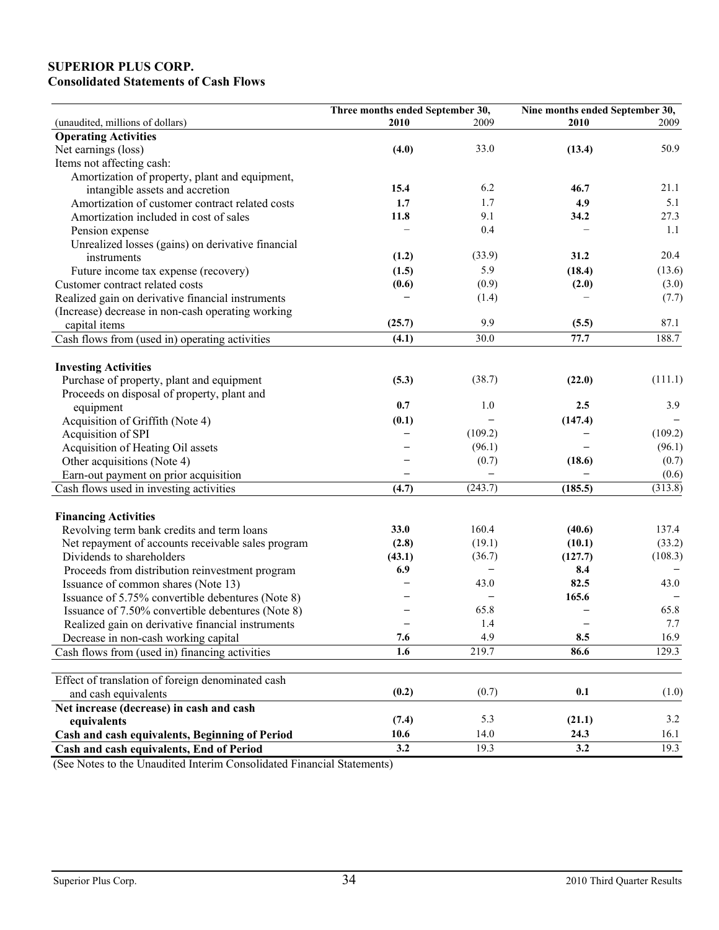## **SUPERIOR PLUS CORP. Consolidated Statements of Cash Flows**

|                                                                                                        | Three months ended September 30, |         | Nine months ended September 30, |         |
|--------------------------------------------------------------------------------------------------------|----------------------------------|---------|---------------------------------|---------|
| (unaudited, millions of dollars)                                                                       | 2010                             | 2009    | 2010                            | 2009    |
| <b>Operating Activities</b>                                                                            |                                  |         |                                 |         |
| Net earnings (loss)                                                                                    | (4.0)                            | 33.0    | (13.4)                          | 50.9    |
| Items not affecting cash:                                                                              |                                  |         |                                 |         |
| Amortization of property, plant and equipment,                                                         |                                  |         |                                 |         |
| intangible assets and accretion                                                                        | 15.4                             | 6.2     | 46.7                            | 21.1    |
| Amortization of customer contract related costs                                                        | 1.7                              | 1.7     | 4.9                             | 5.1     |
| Amortization included in cost of sales                                                                 | 11.8                             | 9.1     | 34.2                            | 27.3    |
| Pension expense                                                                                        |                                  | 0.4     |                                 | 1.1     |
| Unrealized losses (gains) on derivative financial                                                      |                                  |         |                                 |         |
| instruments                                                                                            | (1.2)                            | (33.9)  | 31.2                            | 20.4    |
| Future income tax expense (recovery)                                                                   | (1.5)                            | 5.9     | (18.4)                          | (13.6)  |
| Customer contract related costs                                                                        | (0.6)                            | (0.9)   | (2.0)                           | (3.0)   |
| Realized gain on derivative financial instruments                                                      |                                  | (1.4)   |                                 | (7.7)   |
| (Increase) decrease in non-cash operating working                                                      |                                  |         |                                 |         |
| capital items                                                                                          | (25.7)                           | 9.9     | (5.5)                           | 87.1    |
| Cash flows from (used in) operating activities                                                         | (4.1)                            | 30.0    | 77.7                            | 188.7   |
|                                                                                                        |                                  |         |                                 |         |
| <b>Investing Activities</b>                                                                            |                                  |         |                                 |         |
| Purchase of property, plant and equipment                                                              | (5.3)                            | (38.7)  | (22.0)                          | (111.1) |
| Proceeds on disposal of property, plant and                                                            |                                  |         |                                 |         |
| equipment                                                                                              | 0.7                              | 1.0     | 2.5                             | 3.9     |
| Acquisition of Griffith (Note 4)                                                                       | (0.1)                            |         | (147.4)                         |         |
| Acquisition of SPI                                                                                     |                                  | (109.2) |                                 | (109.2) |
| Acquisition of Heating Oil assets                                                                      |                                  | (96.1)  |                                 | (96.1)  |
| Other acquisitions (Note 4)                                                                            |                                  | (0.7)   | (18.6)                          | (0.7)   |
| Earn-out payment on prior acquisition                                                                  |                                  |         |                                 | (0.6)   |
| Cash flows used in investing activities                                                                | (4.7)                            | (243.7) | (185.5)                         | (313.8) |
| <b>Financing Activities</b>                                                                            |                                  |         |                                 |         |
| Revolving term bank credits and term loans                                                             | 33.0                             | 160.4   | (40.6)                          | 137.4   |
| Net repayment of accounts receivable sales program                                                     | (2.8)                            | (19.1)  | (10.1)                          | (33.2)  |
| Dividends to shareholders                                                                              | (43.1)                           | (36.7)  | (127.7)                         | (108.3) |
| Proceeds from distribution reinvestment program                                                        | 6.9                              |         | 8.4                             |         |
| Issuance of common shares (Note 13)                                                                    |                                  | 43.0    | 82.5                            | 43.0    |
| Issuance of 5.75% convertible debentures (Note 8)                                                      |                                  |         | 165.6                           |         |
|                                                                                                        |                                  | 65.8    |                                 | 65.8    |
| Issuance of 7.50% convertible debentures (Note 8)<br>Realized gain on derivative financial instruments |                                  | 1.4     |                                 | 7.7     |
|                                                                                                        |                                  | 4.9     | 8.5                             | 16.9    |
| Decrease in non-cash working capital                                                                   | 7.6                              | 219.7   |                                 |         |
| Cash flows from (used in) financing activities                                                         | 1.6                              |         | 86.6                            | 129.3   |
| Effect of translation of foreign denominated cash                                                      |                                  |         |                                 |         |
| and cash equivalents                                                                                   | (0.2)                            | (0.7)   | 0.1                             | (1.0)   |
| Net increase (decrease) in cash and cash                                                               |                                  |         |                                 |         |
| equivalents                                                                                            | (7.4)                            | 5.3     | (21.1)                          | 3.2     |
| Cash and cash equivalents, Beginning of Period                                                         | 10.6                             | 14.0    | 24.3                            | 16.1    |
| Cash and cash equivalents, End of Period                                                               | 3.2                              | 19.3    | 3.2                             | 19.3    |

(See Notes to the Unaudited Interim Consolidated Financial Statements)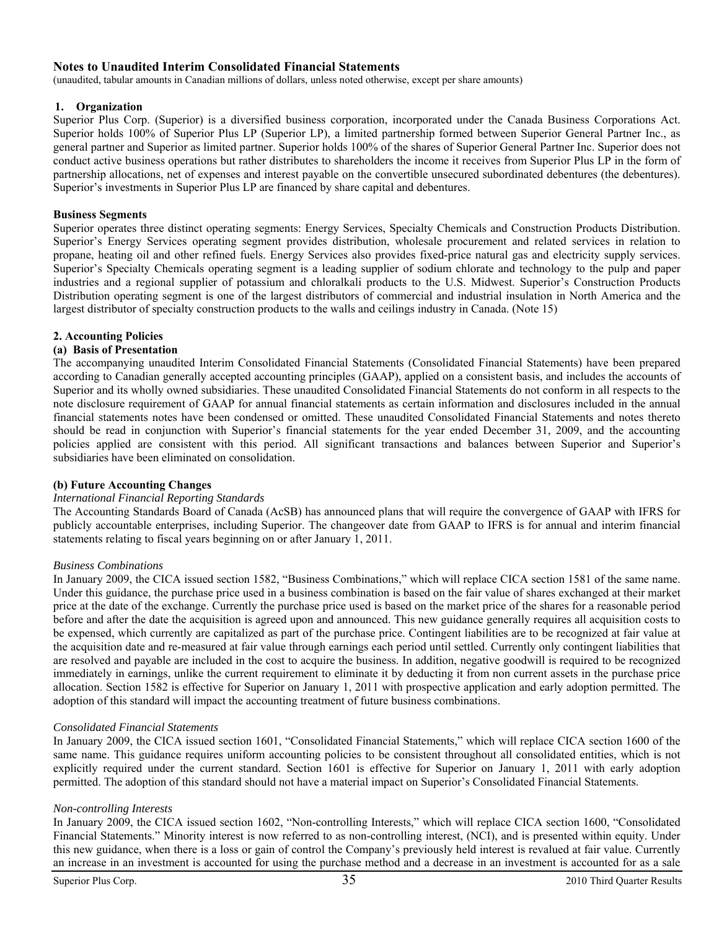### **Notes to Unaudited Interim Consolidated Financial Statements**

(unaudited, tabular amounts in Canadian millions of dollars, unless noted otherwise, except per share amounts)

#### **1. Organization**

Superior Plus Corp. (Superior) is a diversified business corporation, incorporated under the Canada Business Corporations Act. Superior holds 100% of Superior Plus LP (Superior LP), a limited partnership formed between Superior General Partner Inc., as general partner and Superior as limited partner. Superior holds 100% of the shares of Superior General Partner Inc. Superior does not conduct active business operations but rather distributes to shareholders the income it receives from Superior Plus LP in the form of partnership allocations, net of expenses and interest payable on the convertible unsecured subordinated debentures (the debentures). Superior's investments in Superior Plus LP are financed by share capital and debentures.

#### **Business Segments**

Superior operates three distinct operating segments: Energy Services, Specialty Chemicals and Construction Products Distribution. Superior's Energy Services operating segment provides distribution, wholesale procurement and related services in relation to propane, heating oil and other refined fuels. Energy Services also provides fixed-price natural gas and electricity supply services. Superior's Specialty Chemicals operating segment is a leading supplier of sodium chlorate and technology to the pulp and paper industries and a regional supplier of potassium and chloralkali products to the U.S. Midwest. Superior's Construction Products Distribution operating segment is one of the largest distributors of commercial and industrial insulation in North America and the largest distributor of specialty construction products to the walls and ceilings industry in Canada. (Note 15)

#### **2. Accounting Policies**

#### **(a) Basis of Presentation**

The accompanying unaudited Interim Consolidated Financial Statements (Consolidated Financial Statements) have been prepared according to Canadian generally accepted accounting principles (GAAP), applied on a consistent basis, and includes the accounts of Superior and its wholly owned subsidiaries. These unaudited Consolidated Financial Statements do not conform in all respects to the note disclosure requirement of GAAP for annual financial statements as certain information and disclosures included in the annual financial statements notes have been condensed or omitted. These unaudited Consolidated Financial Statements and notes thereto should be read in conjunction with Superior's financial statements for the year ended December 31, 2009, and the accounting policies applied are consistent with this period. All significant transactions and balances between Superior and Superior's subsidiaries have been eliminated on consolidation.

#### **(b) Future Accounting Changes**

#### *International Financial Reporting Standards*

The Accounting Standards Board of Canada (AcSB) has announced plans that will require the convergence of GAAP with IFRS for publicly accountable enterprises, including Superior. The changeover date from GAAP to IFRS is for annual and interim financial statements relating to fiscal years beginning on or after January 1, 2011.

### *Business Combinations*

In January 2009, the CICA issued section 1582, "Business Combinations," which will replace CICA section 1581 of the same name. Under this guidance, the purchase price used in a business combination is based on the fair value of shares exchanged at their market price at the date of the exchange. Currently the purchase price used is based on the market price of the shares for a reasonable period before and after the date the acquisition is agreed upon and announced. This new guidance generally requires all acquisition costs to be expensed, which currently are capitalized as part of the purchase price. Contingent liabilities are to be recognized at fair value at the acquisition date and re-measured at fair value through earnings each period until settled. Currently only contingent liabilities that are resolved and payable are included in the cost to acquire the business. In addition, negative goodwill is required to be recognized immediately in earnings, unlike the current requirement to eliminate it by deducting it from non current assets in the purchase price allocation. Section 1582 is effective for Superior on January 1, 2011 with prospective application and early adoption permitted. The adoption of this standard will impact the accounting treatment of future business combinations.

#### *Consolidated Financial Statements*

In January 2009, the CICA issued section 1601, "Consolidated Financial Statements," which will replace CICA section 1600 of the same name. This guidance requires uniform accounting policies to be consistent throughout all consolidated entities, which is not explicitly required under the current standard. Section 1601 is effective for Superior on January 1, 2011 with early adoption permitted. The adoption of this standard should not have a material impact on Superior's Consolidated Financial Statements.

#### *Non-controlling Interests*

In January 2009, the CICA issued section 1602, "Non-controlling Interests," which will replace CICA section 1600, "Consolidated Financial Statements." Minority interest is now referred to as non-controlling interest, (NCI), and is presented within equity. Under this new guidance, when there is a loss or gain of control the Company's previously held interest is revalued at fair value. Currently an increase in an investment is accounted for using the purchase method and a decrease in an investment is accounted for as a sale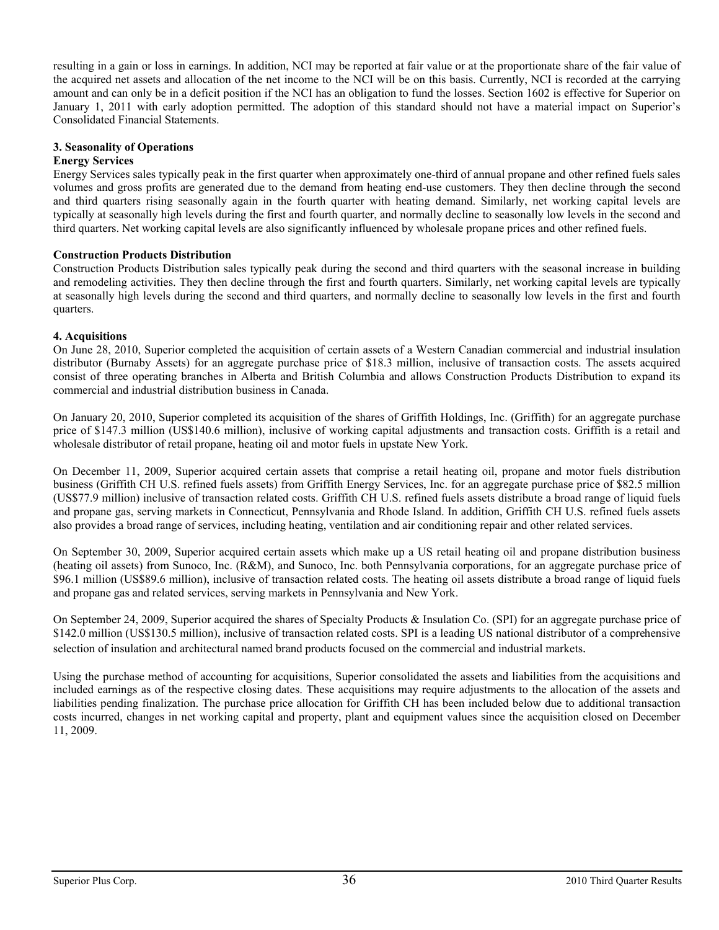resulting in a gain or loss in earnings. In addition, NCI may be reported at fair value or at the proportionate share of the fair value of the acquired net assets and allocation of the net income to the NCI will be on this basis. Currently, NCI is recorded at the carrying amount and can only be in a deficit position if the NCI has an obligation to fund the losses. Section 1602 is effective for Superior on January 1, 2011 with early adoption permitted. The adoption of this standard should not have a material impact on Superior's Consolidated Financial Statements.

### **3. Seasonality of Operations**

### **Energy Services**

Energy Services sales typically peak in the first quarter when approximately one-third of annual propane and other refined fuels sales volumes and gross profits are generated due to the demand from heating end-use customers. They then decline through the second and third quarters rising seasonally again in the fourth quarter with heating demand. Similarly, net working capital levels are typically at seasonally high levels during the first and fourth quarter, and normally decline to seasonally low levels in the second and third quarters. Net working capital levels are also significantly influenced by wholesale propane prices and other refined fuels.

### **Construction Products Distribution**

Construction Products Distribution sales typically peak during the second and third quarters with the seasonal increase in building and remodeling activities. They then decline through the first and fourth quarters. Similarly, net working capital levels are typically at seasonally high levels during the second and third quarters, and normally decline to seasonally low levels in the first and fourth quarters.

### **4. Acquisitions**

On June 28, 2010, Superior completed the acquisition of certain assets of a Western Canadian commercial and industrial insulation distributor (Burnaby Assets) for an aggregate purchase price of \$18.3 million, inclusive of transaction costs. The assets acquired consist of three operating branches in Alberta and British Columbia and allows Construction Products Distribution to expand its commercial and industrial distribution business in Canada.

On January 20, 2010, Superior completed its acquisition of the shares of Griffith Holdings, Inc. (Griffith) for an aggregate purchase price of \$147.3 million (US\$140.6 million), inclusive of working capital adjustments and transaction costs. Griffith is a retail and wholesale distributor of retail propane, heating oil and motor fuels in upstate New York.

On December 11, 2009, Superior acquired certain assets that comprise a retail heating oil, propane and motor fuels distribution business (Griffith CH U.S. refined fuels assets) from Griffith Energy Services, Inc. for an aggregate purchase price of \$82.5 million (US\$77.9 million) inclusive of transaction related costs. Griffith CH U.S. refined fuels assets distribute a broad range of liquid fuels and propane gas, serving markets in Connecticut, Pennsylvania and Rhode Island. In addition, Griffith CH U.S. refined fuels assets also provides a broad range of services, including heating, ventilation and air conditioning repair and other related services.

On September 30, 2009, Superior acquired certain assets which make up a US retail heating oil and propane distribution business (heating oil assets) from Sunoco, Inc. (R&M), and Sunoco, Inc. both Pennsylvania corporations, for an aggregate purchase price of \$96.1 million (US\$89.6 million), inclusive of transaction related costs. The heating oil assets distribute a broad range of liquid fuels and propane gas and related services, serving markets in Pennsylvania and New York.

On September 24, 2009, Superior acquired the shares of Specialty Products & Insulation Co. (SPI) for an aggregate purchase price of \$142.0 million (US\$130.5 million), inclusive of transaction related costs. SPI is a leading US national distributor of a comprehensive selection of insulation and architectural named brand products focused on the commercial and industrial markets.

Using the purchase method of accounting for acquisitions, Superior consolidated the assets and liabilities from the acquisitions and included earnings as of the respective closing dates. These acquisitions may require adjustments to the allocation of the assets and liabilities pending finalization. The purchase price allocation for Griffith CH has been included below due to additional transaction costs incurred, changes in net working capital and property, plant and equipment values since the acquisition closed on December 11, 2009.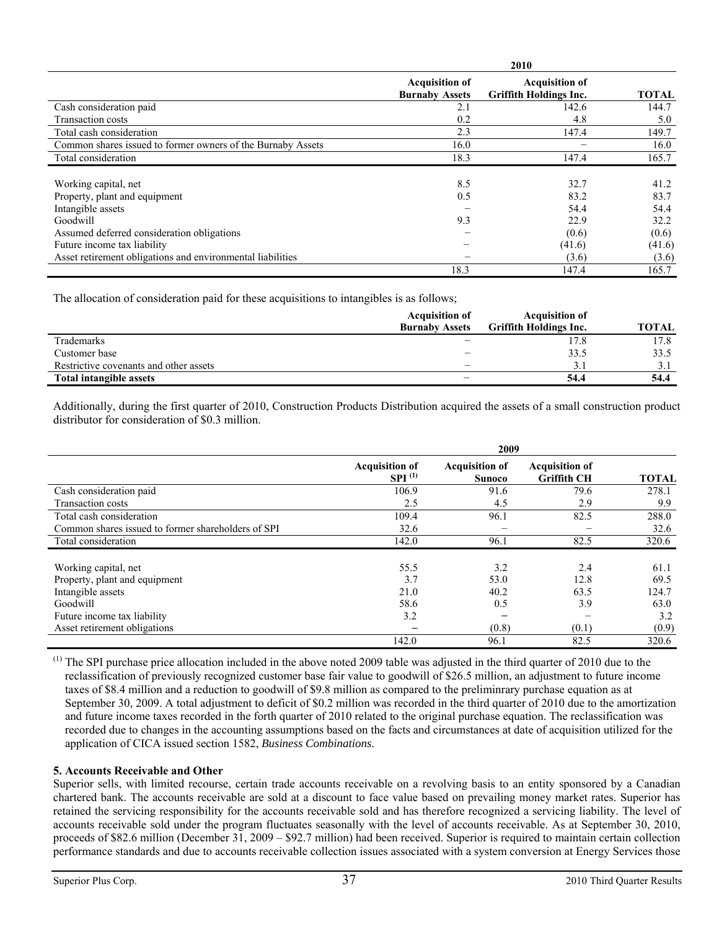|                                                                                                                                                                                                                                   | 2010                                           |                                                          |                                                          |  |
|-----------------------------------------------------------------------------------------------------------------------------------------------------------------------------------------------------------------------------------|------------------------------------------------|----------------------------------------------------------|----------------------------------------------------------|--|
|                                                                                                                                                                                                                                   | <b>Acquisition of</b><br><b>Burnaby Assets</b> | <b>Acquisition of</b><br><b>Griffith Holdings Inc.</b>   | <b>TOTAL</b>                                             |  |
| Cash consideration paid                                                                                                                                                                                                           | 2.1                                            | 142.6                                                    | 144.7                                                    |  |
| <b>Transaction costs</b>                                                                                                                                                                                                          | 0.2                                            | 4.8                                                      | 5.0                                                      |  |
| Total cash consideration                                                                                                                                                                                                          | 2.3                                            | 147.4                                                    | 149.7                                                    |  |
| Common shares issued to former owners of the Burnaby Assets                                                                                                                                                                       | 16.0                                           |                                                          | 16.0                                                     |  |
| Total consideration                                                                                                                                                                                                               | 18.3                                           | 147.4                                                    | 165.7                                                    |  |
| Working capital, net<br>Property, plant and equipment<br>Intangible assets<br>Goodwill<br>Assumed deferred consideration obligations<br>Future income tax liability<br>Asset retirement obligations and environmental liabilities | 8.5<br>0.5<br>9.3                              | 32.7<br>83.2<br>54.4<br>22.9<br>(0.6)<br>(41.6)<br>(3.6) | 41.2<br>83.7<br>54.4<br>32.2<br>(0.6)<br>(41.6)<br>(3.6) |  |
|                                                                                                                                                                                                                                   | 18.3                                           | 147.4                                                    | 165.7                                                    |  |

The allocation of consideration paid for these acquisitions to intangibles is as follows;

|                                        | <b>Acquisition of</b><br><b>Burnaby Assets</b> | <b>Acquisition of</b><br><b>Griffith Holdings Inc.</b> | <b>TOTAL</b> |
|----------------------------------------|------------------------------------------------|--------------------------------------------------------|--------------|
| Trademarks                             |                                                | l 7.8                                                  | 17.8         |
| Customer base                          |                                                | 33.5                                                   | 33.5         |
| Restrictive covenants and other assets |                                                |                                                        |              |
| Total intangible assets                | -                                              | 54.4                                                   | 54.4         |

Additionally, during the first quarter of 2010, Construction Products Distribution acquired the assets of a small construction product distributor for consideration of \$0.3 million.

|                                                    | 2009                                 |                                        |                                             |              |  |  |
|----------------------------------------------------|--------------------------------------|----------------------------------------|---------------------------------------------|--------------|--|--|
|                                                    | <b>Acquisition of</b><br>$SPI^{(1)}$ | <b>Acquisition of</b><br><b>Sunoco</b> | <b>Acquisition of</b><br><b>Griffith CH</b> | <b>TOTAL</b> |  |  |
| Cash consideration paid                            | 106.9                                | 91.6                                   | 79.6                                        | 278.1        |  |  |
| <b>Transaction costs</b>                           | 2.5                                  | 4.5                                    | 2.9                                         | 9.9          |  |  |
| Total cash consideration                           | 109.4                                | 96.1                                   | 82.5                                        | 288.0        |  |  |
| Common shares issued to former shareholders of SPI | 32.6                                 | -                                      |                                             | 32.6         |  |  |
| Total consideration                                | 142.0                                | 96.1                                   | 82.5                                        | 320.6        |  |  |
|                                                    |                                      |                                        |                                             |              |  |  |
| Working capital, net                               | 55.5                                 | 3.2                                    | 2.4                                         | 61.1         |  |  |
| Property, plant and equipment                      | 3.7                                  | 53.0                                   | 12.8                                        | 69.5         |  |  |
| Intangible assets                                  | 21.0                                 | 40.2                                   | 63.5                                        | 124.7        |  |  |
| Goodwill                                           | 58.6                                 | 0.5                                    | 3.9                                         | 63.0         |  |  |
| Future income tax liability                        | 3.2                                  |                                        |                                             | 3.2          |  |  |
| Asset retirement obligations                       |                                      | (0.8)                                  | (0.1)                                       | (0.9)        |  |  |
|                                                    | 142.0                                | 96.1                                   | 82.5                                        | 320.6        |  |  |

 $<sup>(1)</sup>$  The SPI purchase price allocation included in the above noted 2009 table was adjusted in the third quarter of 2010 due to the</sup> reclassification of previously recognized customer base fair value to goodwill of \$26.5 million, an adjustment to future income taxes of \$8.4 million and a reduction to goodwill of \$9.8 million as compared to the preliminrary purchase equation as at September 30, 2009. A total adjustment to deficit of \$0.2 million was recorded in the third quarter of 2010 due to the amortization and future income taxes recorded in the forth quarter of 2010 related to the original purchase equation. The reclassification was recorded due to changes in the accounting assumptions based on the facts and circumstances at date of acquisition utilized for the application of CICA issued section 1582, *Business Combinations*.

## **5. Accounts Receivable and Other**

Superior sells, with limited recourse, certain trade accounts receivable on a revolving basis to an entity sponsored by a Canadian chartered bank. The accounts receivable are sold at a discount to face value based on prevailing money market rates. Superior has retained the servicing responsibility for the accounts receivable sold and has therefore recognized a servicing liability. The level of accounts receivable sold under the program fluctuates seasonally with the level of accounts receivable. As at September 30, 2010, proceeds of \$82.6 million (December 31, 2009 – \$92.7 million) had been received. Superior is required to maintain certain collection performance standards and due to accounts receivable collection issues associated with a system conversion at Energy Services those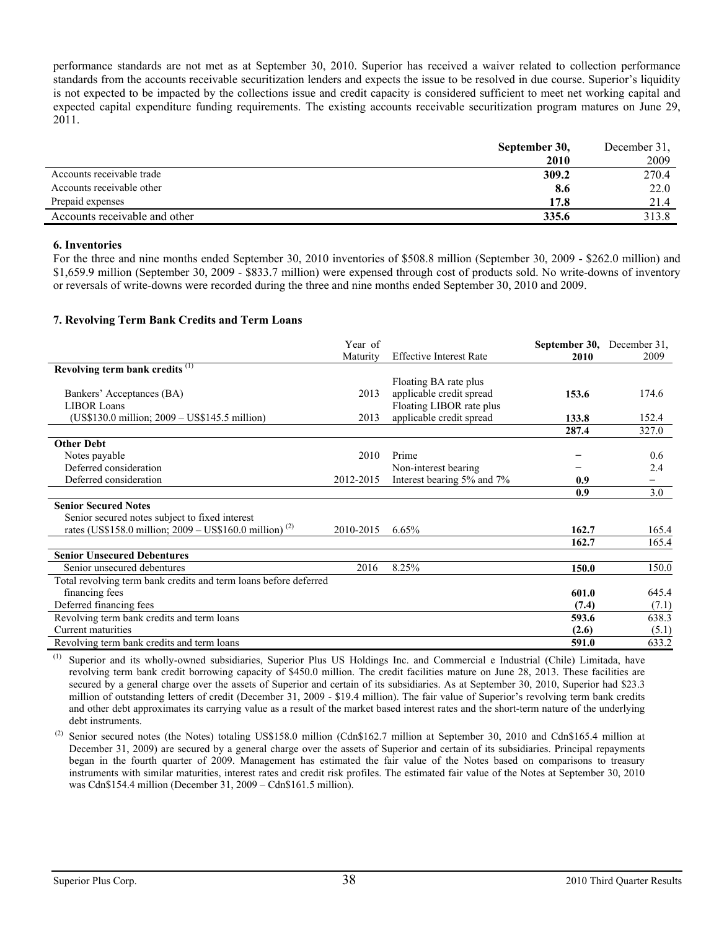performance standards are not met as at September 30, 2010. Superior has received a waiver related to collection performance standards from the accounts receivable securitization lenders and expects the issue to be resolved in due course. Superior's liquidity is not expected to be impacted by the collections issue and credit capacity is considered sufficient to meet net working capital and expected capital expenditure funding requirements. The existing accounts receivable securitization program matures on June 29, 2011.

|                               | September 30, | December 31. |
|-------------------------------|---------------|--------------|
|                               | 2010          | 2009         |
| Accounts receivable trade     | 309.2         | 270.4        |
| Accounts receivable other     | 8.6           | 22.0         |
| Prepaid expenses              | 17.8          | 21.4         |
| Accounts receivable and other | 335.6         | 313.8        |

#### **6. Inventories**

For the three and nine months ended September 30, 2010 inventories of \$508.8 million (September 30, 2009 - \$262.0 million) and \$1,659.9 million (September 30, 2009 - \$833.7 million) were expensed through cost of products sold. No write-downs of inventory or reversals of write-downs were recorded during the three and nine months ended September 30, 2010 and 2009.

#### **7. Revolving Term Bank Credits and Term Loans**

|                                                                     | Year of   |                                | September 30, December 31, |       |
|---------------------------------------------------------------------|-----------|--------------------------------|----------------------------|-------|
|                                                                     | Maturity  | <b>Effective Interest Rate</b> | 2010                       | 2009  |
| Revolving term bank credits <sup>(1)</sup>                          |           |                                |                            |       |
|                                                                     |           | Floating BA rate plus          |                            |       |
| Bankers' Acceptances (BA)                                           | 2013      | applicable credit spread       | 153.6                      | 174.6 |
| <b>LIBOR Loans</b>                                                  |           | Floating LIBOR rate plus       |                            |       |
| $(US$130.0 million; 2009 – US$145.5 million)$                       | 2013      | applicable credit spread       | 133.8                      | 152.4 |
|                                                                     |           |                                | 287.4                      | 327.0 |
| <b>Other Debt</b>                                                   |           |                                |                            |       |
| Notes payable                                                       | 2010      | Prime                          |                            | 0.6   |
| Deferred consideration                                              |           | Non-interest bearing           |                            | 2.4   |
| Deferred consideration                                              | 2012-2015 | Interest bearing 5% and 7%     | 0.9                        | -     |
|                                                                     |           |                                | 0.9                        | 3.0   |
| <b>Senior Secured Notes</b>                                         |           |                                |                            |       |
| Senior secured notes subject to fixed interest                      |           |                                |                            |       |
| rates (US\$158.0 million; $2009 - US$160.0$ million) <sup>(2)</sup> | 2010-2015 | 6.65%                          | 162.7                      | 165.4 |
|                                                                     |           |                                | 162.7                      | 165.4 |
| <b>Senior Unsecured Debentures</b>                                  |           |                                |                            |       |
| Senior unsecured debentures                                         | 2016      | 8.25%                          | 150.0                      | 150.0 |
| Total revolving term bank credits and term loans before deferred    |           |                                |                            |       |
| financing fees                                                      |           |                                | 601.0                      | 645.4 |
| Deferred financing fees                                             |           |                                | (7.4)                      | (7.1) |
| Revolving term bank credits and term loans                          |           |                                | 593.6                      | 638.3 |
| Current maturities                                                  |           |                                | (2.6)                      | (5.1) |
| Revolving term bank credits and term loans                          |           |                                | 591.0                      | 633.2 |

(1) Superior and its wholly-owned subsidiaries, Superior Plus US Holdings Inc. and Commercial e Industrial (Chile) Limitada, have revolving term bank credit borrowing capacity of \$450.0 million. The credit facilities mature on June 28, 2013. These facilities are secured by a general charge over the assets of Superior and certain of its subsidiaries. As at September 30, 2010, Superior had \$23.3 million of outstanding letters of credit (December 31, 2009 - \$19.4 million). The fair value of Superior's revolving term bank credits and other debt approximates its carrying value as a result of the market based interest rates and the short-term nature of the underlying debt instruments.

<sup>(2)</sup> Senior secured notes (the Notes) totaling US\$158.0 million (Cdn\$162.7 million at September 30, 2010 and Cdn\$165.4 million at December 31, 2009) are secured by a general charge over the assets of Superior and certain of its subsidiaries. Principal repayments began in the fourth quarter of 2009. Management has estimated the fair value of the Notes based on comparisons to treasury instruments with similar maturities, interest rates and credit risk profiles. The estimated fair value of the Notes at September 30, 2010 was Cdn\$154.4 million (December 31, 2009 – Cdn\$161.5 million).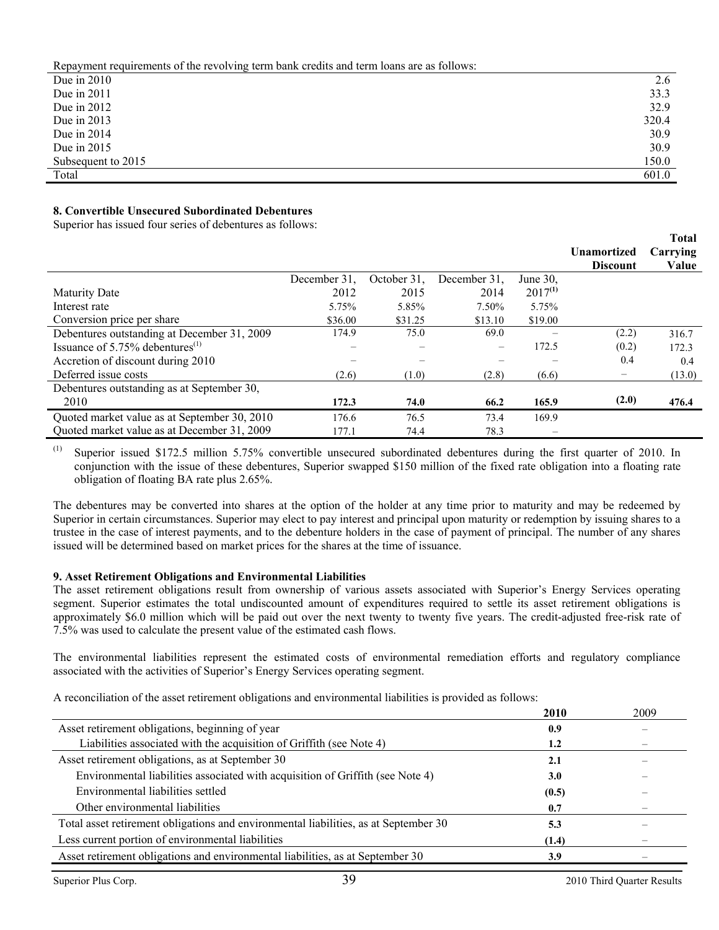Repayment requirements of the revolving term bank credits and term loans are as follows:

| repayment requirements of the revorting term officially dreats and term found are as follows. |       |
|-----------------------------------------------------------------------------------------------|-------|
| Due in $2010$                                                                                 | 2.6   |
| Due in $2011$                                                                                 | 33.3  |
| Due in $2012$                                                                                 | 32.9  |
| Due in $2013$                                                                                 | 320.4 |
| Due in $2014$                                                                                 | 30.9  |
| Due in $2015$                                                                                 | 30.9  |
| Subsequent to 2015                                                                            | 150.0 |
| Total                                                                                         | 601.0 |

### **8. Convertible Unsecured Subordinated Debentures**

Superior has issued four series of debentures as follows:

|                                                |              |             |              |              |                    | <b>Total</b> |
|------------------------------------------------|--------------|-------------|--------------|--------------|--------------------|--------------|
|                                                |              |             |              |              | <b>Unamortized</b> | Carrying     |
|                                                |              |             |              |              | <b>Discount</b>    | Value        |
|                                                | December 31. | October 31, | December 31, | June $30$ .  |                    |              |
| <b>Maturity Date</b>                           | 2012         | 2015        | 2014         | $2017^{(1)}$ |                    |              |
| Interest rate                                  | 5.75%        | 5.85%       | 7.50%        | 5.75%        |                    |              |
| Conversion price per share                     | \$36.00      | \$31.25     | \$13.10      | \$19.00      |                    |              |
| Debentures outstanding at December 31, 2009    | 174.9        | 75.0        | 69.0         |              | (2.2)              | 316.7        |
| Issuance of $5.75\%$ debentures <sup>(1)</sup> |              |             |              | 172.5        | (0.2)              | 172.3        |
| Accretion of discount during 2010              |              |             |              |              | 0.4                | 0.4          |
| Deferred issue costs                           | (2.6)        | (1.0)       | (2.8)        | (6.6)        |                    | (13.0)       |
| Debentures outstanding as at September 30,     |              |             |              |              |                    |              |
| 2010                                           | 172.3        | 74.0        | 66.2         | 165.9        | (2.0)              | 476.4        |
| Quoted market value as at September 30, 2010   | 176.6        | 76.5        | 73.4         | 169.9        |                    |              |
| Quoted market value as at December 31, 2009    | 177.1        | 74.4        | 78.3         |              |                    |              |

(1) Superior issued \$172.5 million 5.75% convertible unsecured subordinated debentures during the first quarter of 2010. In conjunction with the issue of these debentures, Superior swapped \$150 million of the fixed rate obligation into a floating rate obligation of floating BA rate plus 2.65%.

The debentures may be converted into shares at the option of the holder at any time prior to maturity and may be redeemed by Superior in certain circumstances. Superior may elect to pay interest and principal upon maturity or redemption by issuing shares to a trustee in the case of interest payments, and to the debenture holders in the case of payment of principal. The number of any shares issued will be determined based on market prices for the shares at the time of issuance.

#### **9. Asset Retirement Obligations and Environmental Liabilities**

The asset retirement obligations result from ownership of various assets associated with Superior's Energy Services operating segment. Superior estimates the total undiscounted amount of expenditures required to settle its asset retirement obligations is approximately \$6.0 million which will be paid out over the next twenty to twenty five years. The credit-adjusted free-risk rate of 7.5% was used to calculate the present value of the estimated cash flows.

The environmental liabilities represent the estimated costs of environmental remediation efforts and regulatory compliance associated with the activities of Superior's Energy Services operating segment.

A reconciliation of the asset retirement obligations and environmental liabilities is provided as follows:

|                                                                                      | 2010       | 2009 |
|--------------------------------------------------------------------------------------|------------|------|
| Asset retirement obligations, beginning of year                                      | 0.9        |      |
| Liabilities associated with the acquisition of Griffith (see Note 4)                 | 1.2        |      |
| Asset retirement obligations, as at September 30                                     | 2.1        |      |
| Environmental liabilities associated with acquisition of Griffith (see Note 4)       | <b>3.0</b> |      |
| Environmental liabilities settled                                                    | (0.5)      |      |
| Other environmental liabilities                                                      | 0.7        |      |
| Total asset retirement obligations and environmental liabilities, as at September 30 | 5.3        |      |
| Less current portion of environmental liabilities                                    | (1.4)      |      |
| Asset retirement obligations and environmental liabilities, as at September 30       | 3.9        |      |
|                                                                                      |            |      |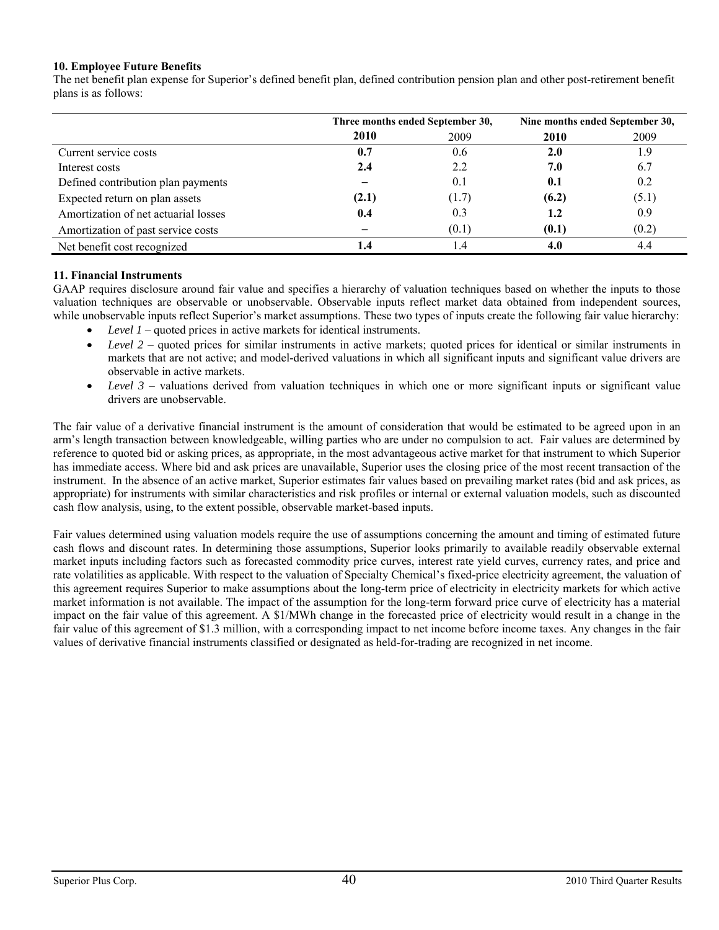### **10. Employee Future Benefits**

The net benefit plan expense for Superior's defined benefit plan, defined contribution pension plan and other post-retirement benefit plans is as follows:

|                                      | Three months ended September 30, |       | Nine months ended September 30, |       |
|--------------------------------------|----------------------------------|-------|---------------------------------|-------|
|                                      | 2010                             | 2009  | 2010                            | 2009  |
| Current service costs                | 0.7                              | 0.6   | 2.0                             | 1.9   |
| Interest costs                       | 2.4                              | 2.2   | 7.0                             | 6.7   |
| Defined contribution plan payments   |                                  | 0.1   | 0.1                             | 0.2   |
| Expected return on plan assets       | (2.1)                            | (1.7) | (6.2)                           | (5.1) |
| Amortization of net actuarial losses | 0.4                              | 0.3   | 1.2                             | 0.9   |
| Amortization of past service costs   |                                  | (0.1) | (0.1)                           | (0.2) |
| Net benefit cost recognized          | 1.4                              | 1.4   | 4.0                             | 4.4   |

### **11. Financial Instruments**

GAAP requires disclosure around fair value and specifies a hierarchy of valuation techniques based on whether the inputs to those valuation techniques are observable or unobservable. Observable inputs reflect market data obtained from independent sources, while unobservable inputs reflect Superior's market assumptions. These two types of inputs create the following fair value hierarchy:

- *Level 1* quoted prices in active markets for identical instruments.
- *Level* 2 quoted prices for similar instruments in active markets; quoted prices for identical or similar instruments in markets that are not active; and model-derived valuations in which all significant inputs and significant value drivers are observable in active markets.
- Level 3 valuations derived from valuation techniques in which one or more significant inputs or significant value drivers are unobservable.

The fair value of a derivative financial instrument is the amount of consideration that would be estimated to be agreed upon in an arm's length transaction between knowledgeable, willing parties who are under no compulsion to act. Fair values are determined by reference to quoted bid or asking prices, as appropriate, in the most advantageous active market for that instrument to which Superior has immediate access. Where bid and ask prices are unavailable, Superior uses the closing price of the most recent transaction of the instrument. In the absence of an active market, Superior estimates fair values based on prevailing market rates (bid and ask prices, as appropriate) for instruments with similar characteristics and risk profiles or internal or external valuation models, such as discounted cash flow analysis, using, to the extent possible, observable market-based inputs.

Fair values determined using valuation models require the use of assumptions concerning the amount and timing of estimated future cash flows and discount rates. In determining those assumptions, Superior looks primarily to available readily observable external market inputs including factors such as forecasted commodity price curves, interest rate yield curves, currency rates, and price and rate volatilities as applicable. With respect to the valuation of Specialty Chemical's fixed-price electricity agreement, the valuation of this agreement requires Superior to make assumptions about the long-term price of electricity in electricity markets for which active market information is not available. The impact of the assumption for the long-term forward price curve of electricity has a material impact on the fair value of this agreement. A \$1/MWh change in the forecasted price of electricity would result in a change in the fair value of this agreement of \$1.3 million, with a corresponding impact to net income before income taxes. Any changes in the fair values of derivative financial instruments classified or designated as held-for-trading are recognized in net income.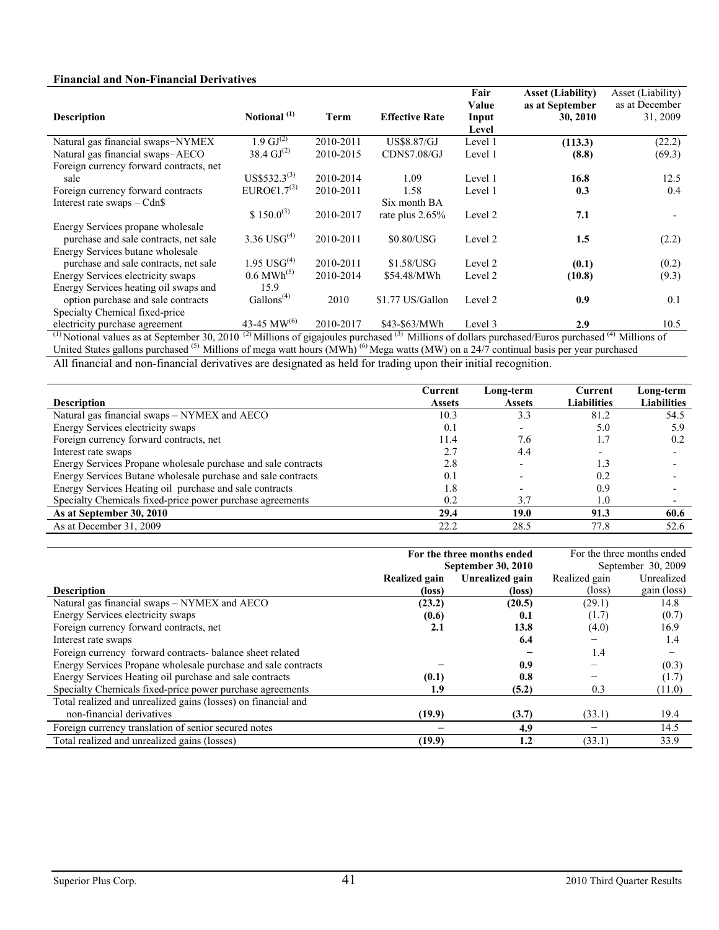## **Financial and Non-Financial Derivatives**

|                                                                                                                                                     |                           |           |                       | Fair    | <b>Asset (Liability)</b> | Asset (Liability) |
|-----------------------------------------------------------------------------------------------------------------------------------------------------|---------------------------|-----------|-----------------------|---------|--------------------------|-------------------|
|                                                                                                                                                     |                           |           |                       | Value   | as at September          | as at December    |
| <b>Description</b>                                                                                                                                  | Notional <sup>(1)</sup>   | Term      | <b>Effective Rate</b> | Input   | 30, 2010                 | 31, 2009          |
|                                                                                                                                                     |                           |           |                       | Level   |                          |                   |
| Natural gas financial swaps-NYMEX                                                                                                                   | $1.9 \text{ GJ}^{(2)}$    | 2010-2011 | <b>US\$8.87/GJ</b>    | Level 1 | (113.3)                  | (22.2)            |
| Natural gas financial swaps-AECO                                                                                                                    | 38.4 $GI^{(2)}$           | 2010-2015 | CDN\$7.08/GJ          | Level 1 | (8.8)                    | (69.3)            |
| Foreign currency forward contracts, net                                                                                                             |                           |           |                       |         |                          |                   |
| sale                                                                                                                                                | $US$532.3^{(3)}$          | 2010-2014 | 1.09                  | Level 1 | 16.8                     | 12.5              |
| Foreign currency forward contracts                                                                                                                  | EURO $61.7^{(3)}$         | 2010-2011 | 1.58                  | Level 1 | 0.3                      | 0.4               |
| Interest rate swaps $-\text{Cdn}\$$                                                                                                                 |                           |           | Six month BA          |         |                          |                   |
|                                                                                                                                                     | \$ $150.0^{(3)}$          | 2010-2017 | rate plus 2.65%       | Level 2 | 7.1                      |                   |
| Energy Services propane wholesale                                                                                                                   |                           |           |                       |         |                          |                   |
| purchase and sale contracts, net sale                                                                                                               | 3.36 USG <sup>(4)</sup>   | 2010-2011 | \$0.80/USG            | Level 2 | 1.5                      | (2.2)             |
| Energy Services butane wholesale                                                                                                                    |                           |           |                       |         |                          |                   |
| purchase and sale contracts, net sale                                                                                                               | $1.95$ USG <sup>(4)</sup> | 2010-2011 | \$1.58/USG            | Level 2 | (0.1)                    | (0.2)             |
| Energy Services electricity swaps                                                                                                                   | $0.6 \text{ MWh}^{(5)}$   | 2010-2014 | \$54.48/MWh           | Level 2 | (10.8)                   | (9.3)             |
| Energy Services heating oil swaps and                                                                                                               | 15.9                      |           |                       |         |                          |                   |
| option purchase and sale contracts                                                                                                                  | Gallons <sup>(4)</sup>    | 2010      | \$1.77 US/Gallon      | Level 2 | 0.9                      | 0.1               |
| Specialty Chemical fixed-price                                                                                                                      |                           |           |                       |         |                          |                   |
| electricity purchase agreement                                                                                                                      | 43-45 MW <sup>(6)</sup>   | 2010-2017 | \$43-\$63/MWh         | Level 3 | 2.9                      | 10.5              |
| (1) Motional values as at Soptember 20, 2010 (2) Millions of gigaioulas purchased (3) Millions of dollars purchased Euros purchased (4) Millions of |                           |           |                       |         |                          |                   |

<sup>(1)</sup> Notional values as at September 30, 2010<sup>(2)</sup> Millions of gigajoules purchased<sup>(3)</sup> Millions of dollars purchased/Euros purchased<sup>(4)</sup> Millions of United States gallons purchased <sup>(5)</sup> Millions of mega watt hours (MWh) <sup>(6)</sup> Mega watts (MW) on a 24/7 continual basis per year purchased

All financial and non-financial derivatives are designated as held for trading upon their initial recognition.

| <b>Description</b>                                            | Current<br><b>Assets</b> | Long-term<br><b>Assets</b> | Current<br><b>Liabilities</b> | Long-term<br><b>Liabilities</b> |
|---------------------------------------------------------------|--------------------------|----------------------------|-------------------------------|---------------------------------|
| Natural gas financial swaps – NYMEX and AECO                  | 10.3                     | 3.3                        | 81.2                          | 54.5                            |
| Energy Services electricity swaps                             | 0.1                      |                            | 5.0                           | 5.9                             |
| Foreign currency forward contracts, net                       | 11.4                     | 7.6                        | 1.7                           | 0.2                             |
| Interest rate swaps                                           | 2.7                      | 4.4                        |                               |                                 |
| Energy Services Propane wholesale purchase and sale contracts | 2.8                      |                            | 1.3                           |                                 |
| Energy Services Butane wholesale purchase and sale contracts  | 0.1                      |                            | 0.2                           |                                 |
| Energy Services Heating oil purchase and sale contracts       | 1.8                      |                            | 0.9                           |                                 |
| Specialty Chemicals fixed-price power purchase agreements     | 0.2                      | 3.7                        | 1.0                           |                                 |
| As at September 30, 2010                                      | 29.4                     | 19.0                       | 91.3                          | 60.6                            |
| As at December 31, 2009                                       | 22.2                     | 28.5                       | 77.8                          | 52.6                            |

|                                                               | For the three months ended |                           | For the three months ended |             |  |
|---------------------------------------------------------------|----------------------------|---------------------------|----------------------------|-------------|--|
|                                                               |                            | <b>September 30, 2010</b> | September 30, 2009         |             |  |
|                                                               | Realized gain              | Unrealized gain           | Realized gain              | Unrealized  |  |
| <b>Description</b>                                            | (loss)                     | (loss)                    | (loss)                     | gain (loss) |  |
| Natural gas financial swaps - NYMEX and AECO                  | (23.2)                     | (20.5)                    | (29.1)                     | 14.8        |  |
| Energy Services electricity swaps                             | (0.6)                      | 0.1                       | (1.7)                      | (0.7)       |  |
| Foreign currency forward contracts, net                       | 2.1                        | 13.8                      | (4.0)                      | 16.9        |  |
| Interest rate swaps                                           |                            | 6.4                       |                            | 1.4         |  |
| Foreign currency forward contracts-balance sheet related      |                            |                           | 1.4                        |             |  |
| Energy Services Propane wholesale purchase and sale contracts |                            | 0.9                       |                            | (0.3)       |  |
| Energy Services Heating oil purchase and sale contracts       | (0.1)                      | 0.8                       |                            | (1.7)       |  |
| Specialty Chemicals fixed-price power purchase agreements     | 1.9                        | (5.2)                     | 0.3                        | (11.0)      |  |
| Total realized and unrealized gains (losses) on financial and |                            |                           |                            |             |  |
| non-financial derivatives                                     | (19.9)                     | (3.7)                     | (33.1)                     | 19.4        |  |
| Foreign currency translation of senior secured notes          |                            | 4.9                       |                            | 14.5        |  |
| Total realized and unrealized gains (losses)                  | (19.9)                     | $1.2\,$                   | (33.1)                     | 33.9        |  |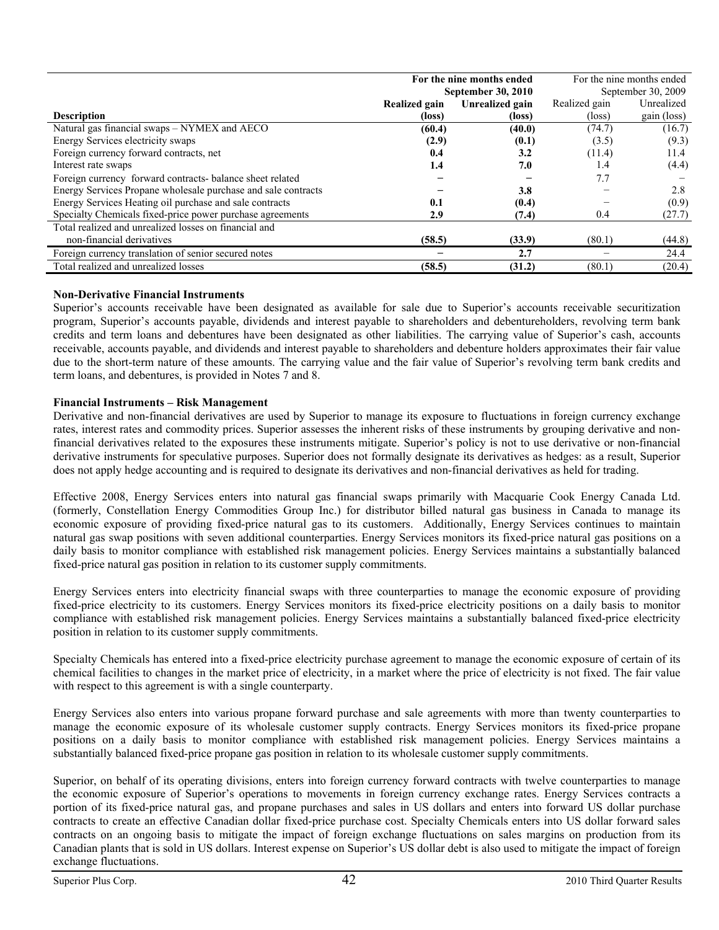|                                                               | For the nine months ended |                           | For the nine months ended |             |  |  |
|---------------------------------------------------------------|---------------------------|---------------------------|---------------------------|-------------|--|--|
|                                                               |                           | <b>September 30, 2010</b> | September 30, 2009        |             |  |  |
|                                                               | Realized gain             | Unrealized gain           | Realized gain             | Unrealized  |  |  |
| <b>Description</b>                                            | (loss)                    | (loss)                    | $(\text{loss})$           | gain (loss) |  |  |
| Natural gas financial swaps - NYMEX and AECO                  | (60.4)                    | (40.0)                    | (74.7)                    | (16.7)      |  |  |
| Energy Services electricity swaps                             | (2.9)                     | (0.1)                     | (3.5)                     | (9.3)       |  |  |
| Foreign currency forward contracts, net                       | 0.4                       | 3.2                       | (11.4)                    | 11.4        |  |  |
| Interest rate swaps                                           | 1.4                       | 7.0                       | 1.4                       | (4.4)       |  |  |
| Foreign currency forward contracts-balance sheet related      |                           |                           | 7.7                       |             |  |  |
| Energy Services Propane wholesale purchase and sale contracts |                           | <b>3.8</b>                |                           | 2.8         |  |  |
| Energy Services Heating oil purchase and sale contracts       | 0.1                       | (0.4)                     |                           | (0.9)       |  |  |
| Specialty Chemicals fixed-price power purchase agreements     | 2.9                       | (7.4)                     | 0.4                       | (27.7)      |  |  |
| Total realized and unrealized losses on financial and         |                           |                           |                           |             |  |  |
| non-financial derivatives                                     | (58.5)                    | (33.9)                    | (80.1)                    | (44.8)      |  |  |
| Foreign currency translation of senior secured notes          |                           | 2.7                       |                           | 24.4        |  |  |
| Total realized and unrealized losses                          | (58.5)                    | (31.2)                    | (80.1)                    | (20.4)      |  |  |

### **Non-Derivative Financial Instruments**

Superior's accounts receivable have been designated as available for sale due to Superior's accounts receivable securitization program, Superior's accounts payable, dividends and interest payable to shareholders and debentureholders, revolving term bank credits and term loans and debentures have been designated as other liabilities. The carrying value of Superior's cash, accounts receivable, accounts payable, and dividends and interest payable to shareholders and debenture holders approximates their fair value due to the short-term nature of these amounts. The carrying value and the fair value of Superior's revolving term bank credits and term loans, and debentures, is provided in Notes 7 and 8.

### **Financial Instruments – Risk Management**

Derivative and non-financial derivatives are used by Superior to manage its exposure to fluctuations in foreign currency exchange rates, interest rates and commodity prices. Superior assesses the inherent risks of these instruments by grouping derivative and nonfinancial derivatives related to the exposures these instruments mitigate. Superior's policy is not to use derivative or non-financial derivative instruments for speculative purposes. Superior does not formally designate its derivatives as hedges: as a result, Superior does not apply hedge accounting and is required to designate its derivatives and non-financial derivatives as held for trading.

Effective 2008, Energy Services enters into natural gas financial swaps primarily with Macquarie Cook Energy Canada Ltd. (formerly, Constellation Energy Commodities Group Inc.) for distributor billed natural gas business in Canada to manage its economic exposure of providing fixed-price natural gas to its customers. Additionally, Energy Services continues to maintain natural gas swap positions with seven additional counterparties. Energy Services monitors its fixed-price natural gas positions on a daily basis to monitor compliance with established risk management policies. Energy Services maintains a substantially balanced fixed-price natural gas position in relation to its customer supply commitments.

Energy Services enters into electricity financial swaps with three counterparties to manage the economic exposure of providing fixed-price electricity to its customers. Energy Services monitors its fixed-price electricity positions on a daily basis to monitor compliance with established risk management policies. Energy Services maintains a substantially balanced fixed-price electricity position in relation to its customer supply commitments.

Specialty Chemicals has entered into a fixed-price electricity purchase agreement to manage the economic exposure of certain of its chemical facilities to changes in the market price of electricity, in a market where the price of electricity is not fixed. The fair value with respect to this agreement is with a single counterparty.

Energy Services also enters into various propane forward purchase and sale agreements with more than twenty counterparties to manage the economic exposure of its wholesale customer supply contracts. Energy Services monitors its fixed-price propane positions on a daily basis to monitor compliance with established risk management policies. Energy Services maintains a substantially balanced fixed-price propane gas position in relation to its wholesale customer supply commitments.

Superior, on behalf of its operating divisions, enters into foreign currency forward contracts with twelve counterparties to manage the economic exposure of Superior's operations to movements in foreign currency exchange rates. Energy Services contracts a portion of its fixed-price natural gas, and propane purchases and sales in US dollars and enters into forward US dollar purchase contracts to create an effective Canadian dollar fixed-price purchase cost. Specialty Chemicals enters into US dollar forward sales contracts on an ongoing basis to mitigate the impact of foreign exchange fluctuations on sales margins on production from its Canadian plants that is sold in US dollars. Interest expense on Superior's US dollar debt is also used to mitigate the impact of foreign exchange fluctuations.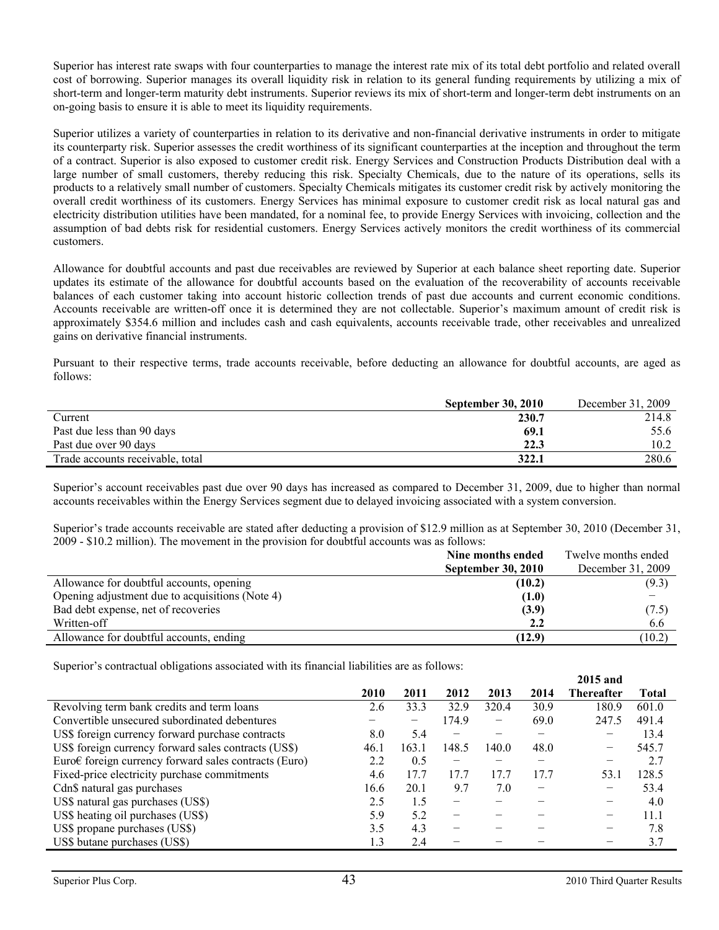Superior has interest rate swaps with four counterparties to manage the interest rate mix of its total debt portfolio and related overall cost of borrowing. Superior manages its overall liquidity risk in relation to its general funding requirements by utilizing a mix of short-term and longer-term maturity debt instruments. Superior reviews its mix of short-term and longer-term debt instruments on an on-going basis to ensure it is able to meet its liquidity requirements.

Superior utilizes a variety of counterparties in relation to its derivative and non-financial derivative instruments in order to mitigate its counterparty risk. Superior assesses the credit worthiness of its significant counterparties at the inception and throughout the term of a contract. Superior is also exposed to customer credit risk. Energy Services and Construction Products Distribution deal with a large number of small customers, thereby reducing this risk. Specialty Chemicals, due to the nature of its operations, sells its products to a relatively small number of customers. Specialty Chemicals mitigates its customer credit risk by actively monitoring the overall credit worthiness of its customers. Energy Services has minimal exposure to customer credit risk as local natural gas and electricity distribution utilities have been mandated, for a nominal fee, to provide Energy Services with invoicing, collection and the assumption of bad debts risk for residential customers. Energy Services actively monitors the credit worthiness of its commercial customers.

Allowance for doubtful accounts and past due receivables are reviewed by Superior at each balance sheet reporting date. Superior updates its estimate of the allowance for doubtful accounts based on the evaluation of the recoverability of accounts receivable balances of each customer taking into account historic collection trends of past due accounts and current economic conditions. Accounts receivable are written-off once it is determined they are not collectable. Superior's maximum amount of credit risk is approximately \$354.6 million and includes cash and cash equivalents, accounts receivable trade, other receivables and unrealized gains on derivative financial instruments.

Pursuant to their respective terms, trade accounts receivable, before deducting an allowance for doubtful accounts, are aged as follows:

|                                  | <b>September 30, 2010</b> | December 31, 2009 |
|----------------------------------|---------------------------|-------------------|
| Current                          | 230.7                     | 214.8             |
| Past due less than 90 days       | 69.1                      | 55.6              |
| Past due over 90 days            | 22.3                      | 10.2              |
| Trade accounts receivable, total | 322.1                     | 280.6             |

Superior's account receivables past due over 90 days has increased as compared to December 31, 2009, due to higher than normal accounts receivables within the Energy Services segment due to delayed invoicing associated with a system conversion.

Superior's trade accounts receivable are stated after deducting a provision of \$12.9 million as at September 30, 2010 (December 31, 2009 - \$10.2 million). The movement in the provision for doubtful accounts was as follows:

|                                                 | Nine months ended         | Twelve months ended |
|-------------------------------------------------|---------------------------|---------------------|
|                                                 | <b>September 30, 2010</b> | December 31, 2009   |
| Allowance for doubtful accounts, opening        | (10.2)                    | (9.3)               |
| Opening adjustment due to acquisitions (Note 4) | (1.0)                     |                     |
| Bad debt expense, net of recoveries             | (3.9)                     | (7.5)               |
| Written-off                                     | 2.2                       | 6.6                 |
| Allowance for doubtful accounts, ending         | (12.9)                    | (10.2)              |

Superior's contractual obligations associated with its financial liabilities are as follows:

|                                                                 |      |       |                          |                   |      | 2015 and   |       |
|-----------------------------------------------------------------|------|-------|--------------------------|-------------------|------|------------|-------|
|                                                                 | 2010 | 2011  | 2012                     | 2013              | 2014 | Thereafter | Total |
| Revolving term bank credits and term loans                      | 2.6  | 33.3  | 32.9                     | 320.4             | 30.9 | 180.9      | 601.0 |
| Convertible unsecured subordinated debentures                   | -    | —     | 174.9                    | $\qquad \qquad -$ | 69.0 | 247.5      | 491.4 |
| US\$ foreign currency forward purchase contracts                | 8.0  | 5.4   | $\overline{\phantom{0}}$ |                   |      |            | 13.4  |
| US\$ foreign currency forward sales contracts (US\$)            | 46.1 | 163.1 | 148.5                    | 140.0             | 48.0 |            | 545.7 |
| Euro $\epsilon$ foreign currency forward sales contracts (Euro) | 2.2  | 0.5   | $\overline{\phantom{m}}$ |                   | -    |            | 2.7   |
| Fixed-price electricity purchase commitments                    | 4.6  | 17.7  | 17.7                     | 17.7              | 17.7 | 53.1       | 128.5 |
| Cdn\$ natural gas purchases                                     | 16.6 | 20.1  | 9.7                      | 7.0               | -    |            | 53.4  |
| US\$ natural gas purchases (US\$)                               | 2.5  | 1.5   | $\overline{\phantom{m}}$ |                   |      |            | 4.0   |
| US\$ heating oil purchases (US\$)                               | 5.9  | 5.2   | $\overline{\phantom{0}}$ |                   |      |            | 11.1  |
| US\$ propane purchases (US\$)                                   | 3.5  | 4.3   | $\overline{\phantom{0}}$ |                   |      |            | 7.8   |
| US\$ butane purchases (US\$)                                    | 1.3  | 2.4   |                          |                   |      |            | 3.7   |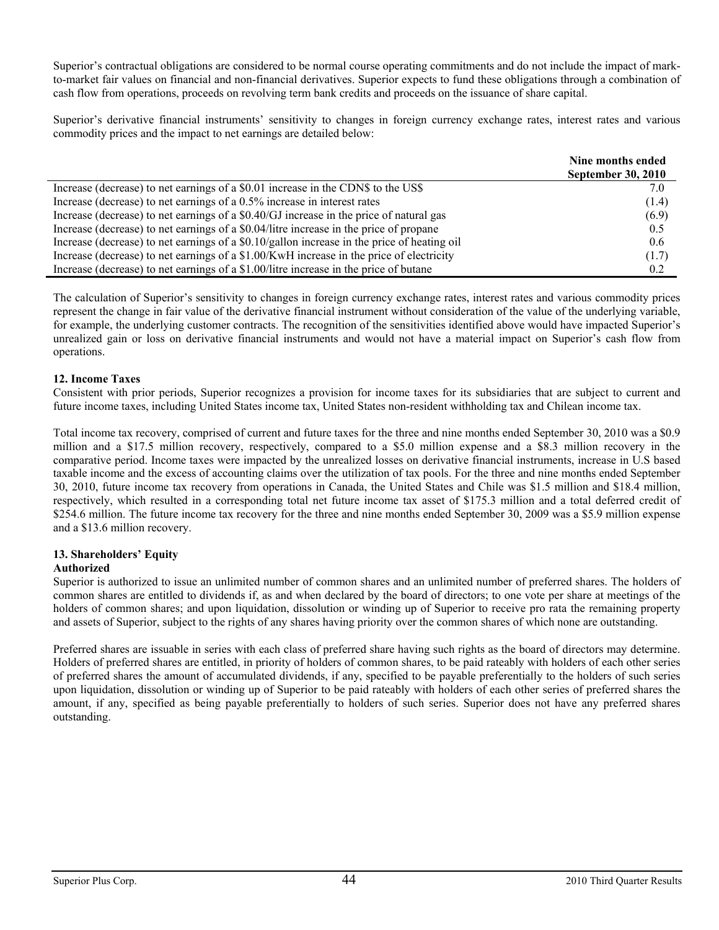Superior's contractual obligations are considered to be normal course operating commitments and do not include the impact of markto-market fair values on financial and non-financial derivatives. Superior expects to fund these obligations through a combination of cash flow from operations, proceeds on revolving term bank credits and proceeds on the issuance of share capital.

Superior's derivative financial instruments' sensitivity to changes in foreign currency exchange rates, interest rates and various commodity prices and the impact to net earnings are detailed below:

|                                                                                             | Nine months ended<br><b>September 30, 2010</b> |
|---------------------------------------------------------------------------------------------|------------------------------------------------|
|                                                                                             |                                                |
| Increase (decrease) to net earnings of a \$0.01 increase in the CDN\$ to the US\$           | 7.0                                            |
| Increase (decrease) to net earnings of a 0.5% increase in interest rates                    | (1.4)                                          |
| Increase (decrease) to net earnings of a \$0.40/GJ increase in the price of natural gas     | (6.9)                                          |
| Increase (decrease) to net earnings of a \$0.04/litre increase in the price of propane      | 0.5                                            |
| Increase (decrease) to net earnings of a \$0.10/gallon increase in the price of heating oil | 0.6                                            |
| Increase (decrease) to net earnings of a \$1.00/KwH increase in the price of electricity    | (1.7)                                          |
| Increase (decrease) to net earnings of a \$1.00/litre increase in the price of butane       | 0.2                                            |

The calculation of Superior's sensitivity to changes in foreign currency exchange rates, interest rates and various commodity prices represent the change in fair value of the derivative financial instrument without consideration of the value of the underlying variable, for example, the underlying customer contracts. The recognition of the sensitivities identified above would have impacted Superior's unrealized gain or loss on derivative financial instruments and would not have a material impact on Superior's cash flow from operations.

### **12. Income Taxes**

Consistent with prior periods, Superior recognizes a provision for income taxes for its subsidiaries that are subject to current and future income taxes, including United States income tax, United States non-resident withholding tax and Chilean income tax.

Total income tax recovery, comprised of current and future taxes for the three and nine months ended September 30, 2010 was a \$0.9 million and a \$17.5 million recovery, respectively, compared to a \$5.0 million expense and a \$8.3 million recovery in the comparative period. Income taxes were impacted by the unrealized losses on derivative financial instruments, increase in U.S based taxable income and the excess of accounting claims over the utilization of tax pools. For the three and nine months ended September 30, 2010, future income tax recovery from operations in Canada, the United States and Chile was \$1.5 million and \$18.4 million, respectively, which resulted in a corresponding total net future income tax asset of \$175.3 million and a total deferred credit of \$254.6 million. The future income tax recovery for the three and nine months ended September 30, 2009 was a \$5.9 million expense and a \$13.6 million recovery.

## **13. Shareholders' Equity**

### **Authorized**

Superior is authorized to issue an unlimited number of common shares and an unlimited number of preferred shares. The holders of common shares are entitled to dividends if, as and when declared by the board of directors; to one vote per share at meetings of the holders of common shares; and upon liquidation, dissolution or winding up of Superior to receive pro rata the remaining property and assets of Superior, subject to the rights of any shares having priority over the common shares of which none are outstanding.

Preferred shares are issuable in series with each class of preferred share having such rights as the board of directors may determine. Holders of preferred shares are entitled, in priority of holders of common shares, to be paid rateably with holders of each other series of preferred shares the amount of accumulated dividends, if any, specified to be payable preferentially to the holders of such series upon liquidation, dissolution or winding up of Superior to be paid rateably with holders of each other series of preferred shares the amount, if any, specified as being payable preferentially to holders of such series. Superior does not have any preferred shares outstanding.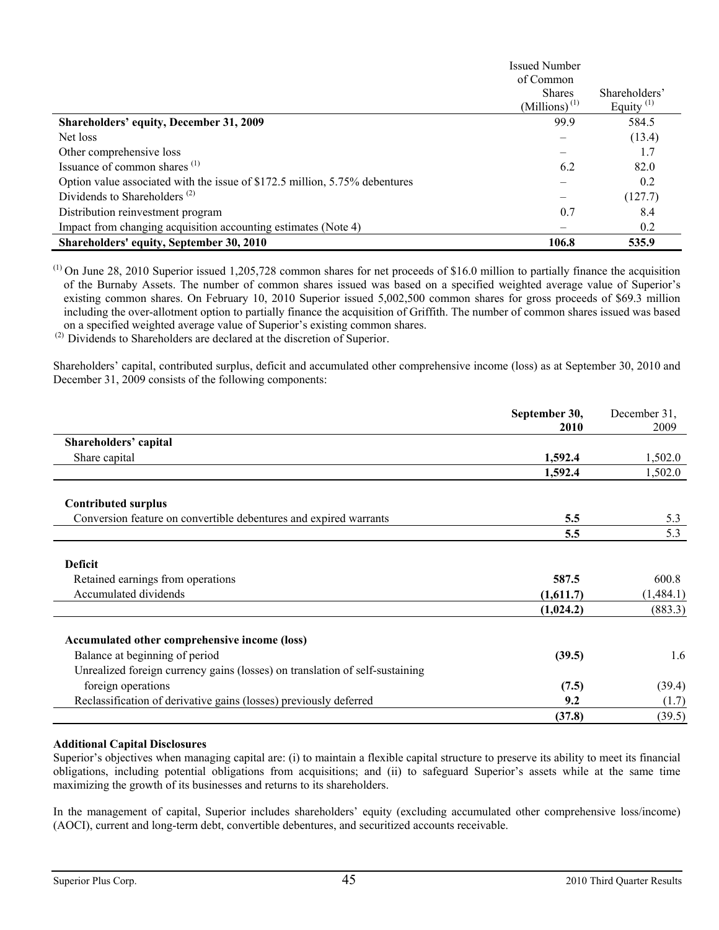|                                                                             | <b>Issued Number</b>        |               |
|-----------------------------------------------------------------------------|-----------------------------|---------------|
|                                                                             | of Common                   |               |
|                                                                             | <b>Shares</b>               | Shareholders' |
|                                                                             | $(Millions)$ <sup>(1)</sup> | Equity $(1)$  |
| <b>Shareholders' equity, December 31, 2009</b>                              | 99.9                        | 584.5         |
| Net loss                                                                    |                             | (13.4)        |
| Other comprehensive loss                                                    | —                           | 1.7           |
| Issuance of common shares $(1)$                                             | 6.2                         | 82.0          |
| Option value associated with the issue of \$172.5 million, 5.75% debentures |                             | 0.2           |
| Dividends to Shareholders <sup>(2)</sup>                                    |                             | (127.7)       |
| Distribution reinvestment program                                           | 0.7                         | 8.4           |
| Impact from changing acquisition accounting estimates (Note 4)              |                             | 0.2           |
| <b>Shareholders' equity, September 30, 2010</b>                             | 106.8                       | 535.9         |

 $^{(1)}$  On June 28, 2010 Superior issued 1,205,728 common shares for net proceeds of \$16.0 million to partially finance the acquisition of the Burnaby Assets. The number of common shares issued was based on a specified weighted average value of Superior's existing common shares. On February 10, 2010 Superior issued 5,002,500 common shares for gross proceeds of \$69.3 million including the over-allotment option to partially finance the acquisition of Griffith. The number of common shares issued was based on a specified weighted average value of Superior's existing common shares.

<sup>(2)</sup> Dividends to Shareholders are declared at the discretion of Superior.

Shareholders' capital, contributed surplus, deficit and accumulated other comprehensive income (loss) as at September 30, 2010 and December 31, 2009 consists of the following components:

|                                                                              | September 30,<br>2010 | December 31,<br>2009 |
|------------------------------------------------------------------------------|-----------------------|----------------------|
| Shareholders' capital                                                        |                       |                      |
| Share capital                                                                | 1,592.4               | 1,502.0              |
|                                                                              | 1,592.4               | 1,502.0              |
|                                                                              |                       |                      |
| <b>Contributed surplus</b>                                                   |                       |                      |
| Conversion feature on convertible debentures and expired warrants            | 5.5                   | 5.3                  |
|                                                                              | 5.5                   | 5.3                  |
|                                                                              |                       |                      |
| <b>Deficit</b>                                                               |                       |                      |
| Retained earnings from operations                                            | 587.5                 | 600.8                |
| Accumulated dividends                                                        | (1,611.7)             | (1,484.1)            |
|                                                                              | (1,024.2)             | (883.3)              |
|                                                                              |                       |                      |
| Accumulated other comprehensive income (loss)                                |                       |                      |
| Balance at beginning of period                                               | (39.5)                | 1.6                  |
| Unrealized foreign currency gains (losses) on translation of self-sustaining |                       |                      |
| foreign operations                                                           | (7.5)                 | (39.4)               |
| Reclassification of derivative gains (losses) previously deferred            | 9.2                   | (1.7)                |
|                                                                              | (37.8)                | (39.5)               |

#### **Additional Capital Disclosures**

Superior's objectives when managing capital are: (i) to maintain a flexible capital structure to preserve its ability to meet its financial obligations, including potential obligations from acquisitions; and (ii) to safeguard Superior's assets while at the same time maximizing the growth of its businesses and returns to its shareholders.

In the management of capital, Superior includes shareholders' equity (excluding accumulated other comprehensive loss/income) (AOCI), current and long-term debt, convertible debentures, and securitized accounts receivable.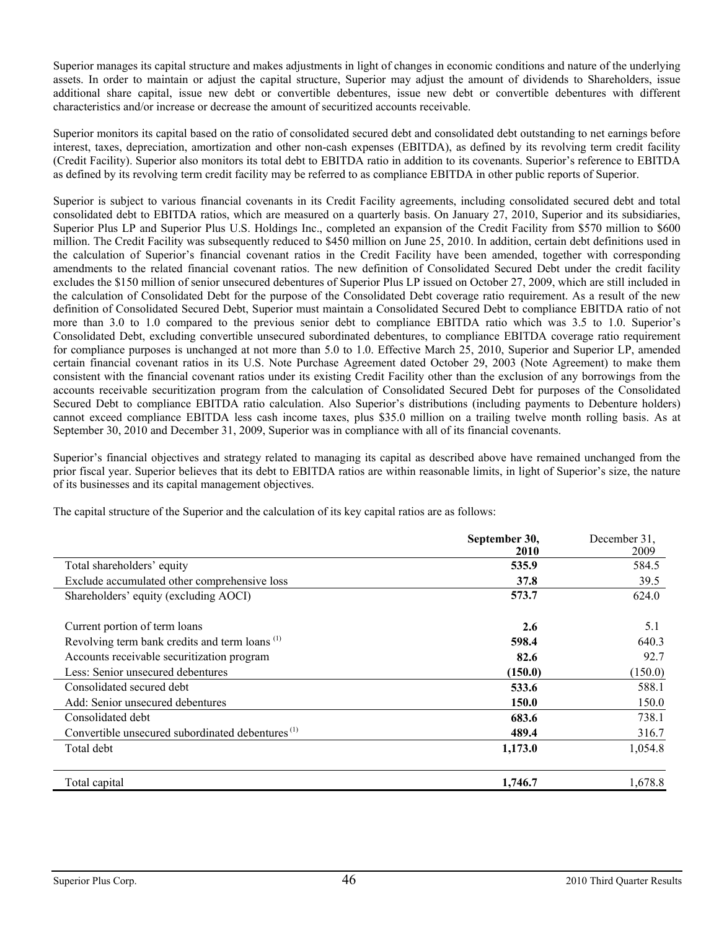Superior manages its capital structure and makes adjustments in light of changes in economic conditions and nature of the underlying assets. In order to maintain or adjust the capital structure, Superior may adjust the amount of dividends to Shareholders, issue additional share capital, issue new debt or convertible debentures, issue new debt or convertible debentures with different characteristics and/or increase or decrease the amount of securitized accounts receivable.

Superior monitors its capital based on the ratio of consolidated secured debt and consolidated debt outstanding to net earnings before interest, taxes, depreciation, amortization and other non-cash expenses (EBITDA), as defined by its revolving term credit facility (Credit Facility). Superior also monitors its total debt to EBITDA ratio in addition to its covenants. Superior's reference to EBITDA as defined by its revolving term credit facility may be referred to as compliance EBITDA in other public reports of Superior.

Superior is subject to various financial covenants in its Credit Facility agreements, including consolidated secured debt and total consolidated debt to EBITDA ratios, which are measured on a quarterly basis. On January 27, 2010, Superior and its subsidiaries, Superior Plus LP and Superior Plus U.S. Holdings Inc., completed an expansion of the Credit Facility from \$570 million to \$600 million. The Credit Facility was subsequently reduced to \$450 million on June 25, 2010. In addition, certain debt definitions used in the calculation of Superior's financial covenant ratios in the Credit Facility have been amended, together with corresponding amendments to the related financial covenant ratios. The new definition of Consolidated Secured Debt under the credit facility excludes the \$150 million of senior unsecured debentures of Superior Plus LP issued on October 27, 2009, which are still included in the calculation of Consolidated Debt for the purpose of the Consolidated Debt coverage ratio requirement. As a result of the new definition of Consolidated Secured Debt, Superior must maintain a Consolidated Secured Debt to compliance EBITDA ratio of not more than 3.0 to 1.0 compared to the previous senior debt to compliance EBITDA ratio which was 3.5 to 1.0. Superior's Consolidated Debt, excluding convertible unsecured subordinated debentures, to compliance EBITDA coverage ratio requirement for compliance purposes is unchanged at not more than 5.0 to 1.0. Effective March 25, 2010, Superior and Superior LP, amended certain financial covenant ratios in its U.S. Note Purchase Agreement dated October 29, 2003 (Note Agreement) to make them consistent with the financial covenant ratios under its existing Credit Facility other than the exclusion of any borrowings from the accounts receivable securitization program from the calculation of Consolidated Secured Debt for purposes of the Consolidated Secured Debt to compliance EBITDA ratio calculation. Also Superior's distributions (including payments to Debenture holders) cannot exceed compliance EBITDA less cash income taxes, plus \$35.0 million on a trailing twelve month rolling basis. As at September 30, 2010 and December 31, 2009, Superior was in compliance with all of its financial covenants.

Superior's financial objectives and strategy related to managing its capital as described above have remained unchanged from the prior fiscal year. Superior believes that its debt to EBITDA ratios are within reasonable limits, in light of Superior's size, the nature of its businesses and its capital management objectives.

The capital structure of the Superior and the calculation of its key capital ratios are as follows:

|                                                              | September 30, | December 31, |
|--------------------------------------------------------------|---------------|--------------|
|                                                              | 2010          | 2009         |
| Total shareholders' equity                                   | 535.9         | 584.5        |
| Exclude accumulated other comprehensive loss                 | 37.8          | 39.5         |
| Shareholders' equity (excluding AOCI)                        | 573.7         | 624.0        |
| Current portion of term loans                                | 2.6           | 5.1          |
| Revolving term bank credits and term loans <sup>(1)</sup>    | 598.4         | 640.3        |
| Accounts receivable securitization program                   | 82.6          | 92.7         |
| Less: Senior unsecured debentures                            | (150.0)       | (150.0)      |
| Consolidated secured debt                                    | 533.6         | 588.1        |
| Add: Senior unsecured debentures                             | 150.0         | 150.0        |
| Consolidated debt                                            | 683.6         | 738.1        |
| Convertible unsecured subordinated debentures <sup>(1)</sup> | 489.4         | 316.7        |
| Total debt                                                   | 1,173.0       | 1,054.8      |
| Total capital                                                | 1,746.7       | 1,678.8      |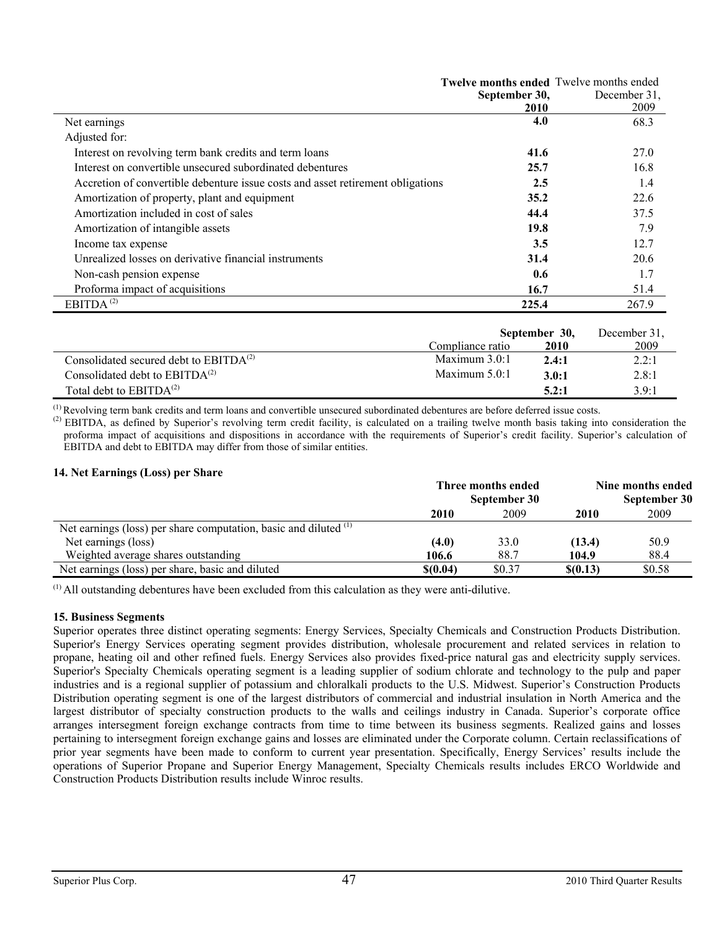|                                                                                 | <b>Twelve months ended</b> Twelve months ended |              |
|---------------------------------------------------------------------------------|------------------------------------------------|--------------|
|                                                                                 | September 30,                                  | December 31, |
|                                                                                 | <b>2010</b>                                    | 2009         |
| Net earnings                                                                    | 4.0                                            | 68.3         |
| Adjusted for:                                                                   |                                                |              |
| Interest on revolving term bank credits and term loans                          | 41.6                                           | 27.0         |
| Interest on convertible unsecured subordinated debentures                       | 25.7                                           | 16.8         |
| Accretion of convertible debenture issue costs and asset retirement obligations | 2.5                                            | 1.4          |
| Amortization of property, plant and equipment                                   | 35.2                                           | 22.6         |
| Amortization included in cost of sales                                          | 44.4                                           | 37.5         |
| Amortization of intangible assets                                               | 19.8                                           | 7.9          |
| Income tax expense                                                              | 3.5                                            | 12.7         |
| Unrealized losses on derivative financial instruments                           | 31.4                                           | 20.6         |
| Non-cash pension expense                                                        | 0.6                                            | 1.7          |
| Proforma impact of acquisitions                                                 | 16.7                                           | 51.4         |
| EBITDA <sup>(2)</sup>                                                           | 225.4                                          | 267.9        |
|                                                                                 |                                                |              |

|                                          | September 30,    | December 31. |       |
|------------------------------------------|------------------|--------------|-------|
|                                          | Compliance ratio | 2010         | 2009  |
| Consolidated secured debt to $EBITDA(2)$ | Maximum $3.0:1$  | 2.4:1        | 2.2:1 |
| Consolidated debt to $EBITDA(2)$         | Maximum $5.0:1$  | 3.0:1        | 2.8:1 |
| Total debt to $EBITDA(2)$                |                  | 5.2:1        | 3.9:1 |

(1) Revolving term bank credits and term loans and convertible unsecured subordinated debentures are before deferred issue costs.

 $^{(2)}$  EBITDA, as defined by Superior's revolving term credit facility, is calculated on a trailing twelve month basis taking into consideration the proforma impact of acquisitions and dispositions in accordance with the requirements of Superior's credit facility. Superior's calculation of EBITDA and debt to EBITDA may differ from those of similar entities.

#### **14. Net Earnings (Loss) per Share**

|                                                                  | Three months ended |              | Nine months ended |              |  |
|------------------------------------------------------------------|--------------------|--------------|-------------------|--------------|--|
|                                                                  |                    | September 30 |                   | September 30 |  |
|                                                                  | 2010               | 2009         | 2010              | 2009         |  |
| Net earnings (loss) per share computation, basic and diluted (1) |                    |              |                   |              |  |
| Net earnings (loss)                                              | (4.0)              | 33.0         | (13.4)            | 50.9         |  |
| Weighted average shares outstanding                              | 106.6              | 88.7         | 104.9             | 88.4         |  |
| Net earnings (loss) per share, basic and diluted                 | \$(0.04)           | \$0.37       | \$(0.13)          | \$0.58       |  |

(1) All outstanding debentures have been excluded from this calculation as they were anti-dilutive.

#### **15. Business Segments**

Superior operates three distinct operating segments: Energy Services, Specialty Chemicals and Construction Products Distribution. Superior's Energy Services operating segment provides distribution, wholesale procurement and related services in relation to propane, heating oil and other refined fuels. Energy Services also provides fixed-price natural gas and electricity supply services. Superior's Specialty Chemicals operating segment is a leading supplier of sodium chlorate and technology to the pulp and paper industries and is a regional supplier of potassium and chloralkali products to the U.S. Midwest. Superior's Construction Products Distribution operating segment is one of the largest distributors of commercial and industrial insulation in North America and the largest distributor of specialty construction products to the walls and ceilings industry in Canada. Superior's corporate office arranges intersegment foreign exchange contracts from time to time between its business segments. Realized gains and losses pertaining to intersegment foreign exchange gains and losses are eliminated under the Corporate column. Certain reclassifications of prior year segments have been made to conform to current year presentation. Specifically, Energy Services' results include the operations of Superior Propane and Superior Energy Management, Specialty Chemicals results includes ERCO Worldwide and Construction Products Distribution results include Winroc results.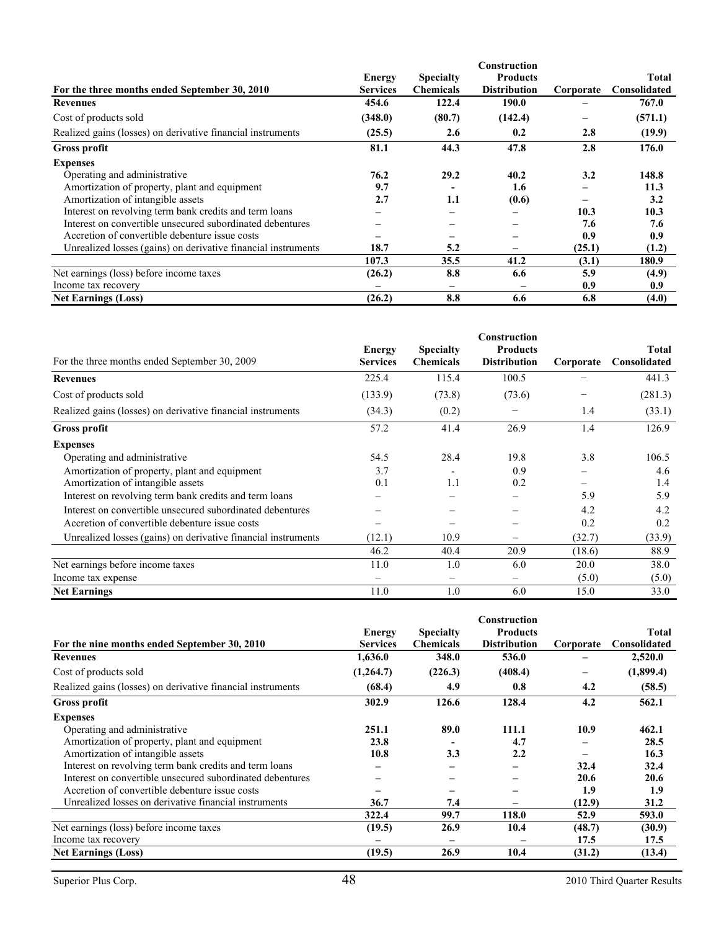| For the three months ended September 30, 2010                 | Energy<br><b>Services</b> | <b>Specialty</b><br><b>Chemicals</b> | Construction<br><b>Products</b><br><b>Distribution</b> | Corporate | Total<br>Consolidated |
|---------------------------------------------------------------|---------------------------|--------------------------------------|--------------------------------------------------------|-----------|-----------------------|
| <b>Revenues</b>                                               | 454.6                     | 122.4                                | 190.0                                                  |           | 767.0                 |
| Cost of products sold                                         | (348.0)                   | (80.7)                               | (142.4)                                                |           | (571.1)               |
| Realized gains (losses) on derivative financial instruments   | (25.5)                    | 2.6                                  | 0.2                                                    | 2.8       | (19.9)                |
| <b>Gross profit</b>                                           | 81.1                      | 44.3                                 | 47.8                                                   | 2.8       | 176.0                 |
| <b>Expenses</b>                                               |                           |                                      |                                                        |           |                       |
| Operating and administrative                                  | 76.2                      | 29.2                                 | 40.2                                                   | 3.2       | 148.8                 |
| Amortization of property, plant and equipment                 | 9.7                       |                                      | 1.6                                                    |           | 11.3                  |
| Amortization of intangible assets                             | 2.7                       | 1.1                                  | (0.6)                                                  |           | 3.2                   |
| Interest on revolving term bank credits and term loans        |                           |                                      |                                                        | 10.3      | 10.3                  |
| Interest on convertible unsecured subordinated debentures     |                           |                                      |                                                        | 7.6       | 7.6                   |
| Accretion of convertible debenture issue costs                |                           |                                      |                                                        | 0.9       | 0.9                   |
| Unrealized losses (gains) on derivative financial instruments | 18.7                      | 5.2                                  |                                                        | (25.1)    | (1.2)                 |
|                                                               | 107.3                     | 35.5                                 | 41.2                                                   | (3.1)     | 180.9                 |
| Net earnings (loss) before income taxes                       | (26.2)                    | 8.8                                  | 6.6                                                    | 5.9       | (4.9)                 |
| Income tax recovery                                           |                           |                                      |                                                        | 0.9       | 0.9                   |
| <b>Net Earnings (Loss)</b>                                    | (26.2)                    | 8.8                                  | 6.6                                                    | 6.8       | (4.0)                 |

| For the three months ended September 30, 2009                 | Energy<br><b>Services</b> | <b>Specialty</b><br><b>Chemicals</b> | <b>Construction</b><br><b>Products</b><br><b>Distribution</b> | Corporate | Total<br>Consolidated |
|---------------------------------------------------------------|---------------------------|--------------------------------------|---------------------------------------------------------------|-----------|-----------------------|
| <b>Revenues</b>                                               | 225.4                     | 115.4                                | 100.5                                                         |           | 441.3                 |
| Cost of products sold                                         | (133.9)                   | (73.8)                               | (73.6)                                                        |           | (281.3)               |
| Realized gains (losses) on derivative financial instruments   | (34.3)                    | (0.2)                                |                                                               | 1.4       | (33.1)                |
| <b>Gross profit</b>                                           | 57.2                      | 41.4                                 | 26.9                                                          | 1.4       | 126.9                 |
| <b>Expenses</b>                                               |                           |                                      |                                                               |           |                       |
| Operating and administrative                                  | 54.5                      | 28.4                                 | 19.8                                                          | 3.8       | 106.5                 |
| Amortization of property, plant and equipment                 | 3.7                       |                                      | 0.9                                                           |           | 4.6                   |
| Amortization of intangible assets                             | 0.1                       | 1.1                                  | 0.2                                                           |           | 1.4                   |
| Interest on revolving term bank credits and term loans        |                           |                                      |                                                               | 5.9       | 5.9                   |
| Interest on convertible unsecured subordinated debentures     |                           |                                      |                                                               | 4.2       | 4.2                   |
| Accretion of convertible debenture issue costs                |                           |                                      |                                                               | 0.2       | 0.2                   |
| Unrealized losses (gains) on derivative financial instruments | (12.1)                    | 10.9                                 | -                                                             | (32.7)    | (33.9)                |
|                                                               | 46.2                      | 40.4                                 | 20.9                                                          | (18.6)    | 88.9                  |
| Net earnings before income taxes                              | 11.0                      | 1.0                                  | 6.0                                                           | 20.0      | 38.0                  |
| Income tax expense                                            |                           |                                      |                                                               | (5.0)     | (5.0)                 |
| <b>Net Earnings</b>                                           | 11.0                      | 1.0                                  | 6.0                                                           | 15.0      | 33.0                  |

|                                                             |                 |                  | <b>Construction</b> |           |              |
|-------------------------------------------------------------|-----------------|------------------|---------------------|-----------|--------------|
|                                                             | Energy          | <b>Specialty</b> | <b>Products</b>     |           | Total        |
| For the nine months ended September 30, 2010                | <b>Services</b> | <b>Chemicals</b> | <b>Distribution</b> | Corporate | Consolidated |
| <b>Revenues</b>                                             | 1,636.0         | 348.0            | 536.0               |           | 2,520.0      |
| Cost of products sold                                       | (1,264.7)       | (226.3)          | (408.4)             |           | (1,899.4)    |
| Realized gains (losses) on derivative financial instruments | (68.4)          | 4.9              | 0.8                 | 4.2       | (58.5)       |
| <b>Gross profit</b>                                         | 302.9           | 126.6            | 128.4               | 4.2       | 562.1        |
| <b>Expenses</b>                                             |                 |                  |                     |           |              |
| Operating and administrative                                | 251.1           | 89.0             | 111.1               | 10.9      | 462.1        |
| Amortization of property, plant and equipment               | 23.8            |                  | 4.7                 |           | 28.5         |
| Amortization of intangible assets                           | 10.8            | 3.3              | 2.2                 |           | 16.3         |
| Interest on revolving term bank credits and term loans      |                 |                  |                     | 32.4      | 32.4         |
| Interest on convertible unsecured subordinated debentures   |                 |                  |                     | 20.6      | 20.6         |
| Accretion of convertible debenture issue costs              |                 |                  |                     | 1.9       | 1.9          |
| Unrealized losses on derivative financial instruments       | 36.7            | 7.4              |                     | (12.9)    | 31.2         |
|                                                             | 322.4           | 99.7             | 118.0               | 52.9      | 593.0        |
| Net earnings (loss) before income taxes                     | (19.5)          | 26.9             | 10.4                | (48.7)    | (30.9)       |
| Income tax recovery                                         |                 |                  |                     | 17.5      | 17.5         |
| <b>Net Earnings (Loss)</b>                                  | (19.5)          | 26.9             | 10.4                | (31.2)    | (13.4)       |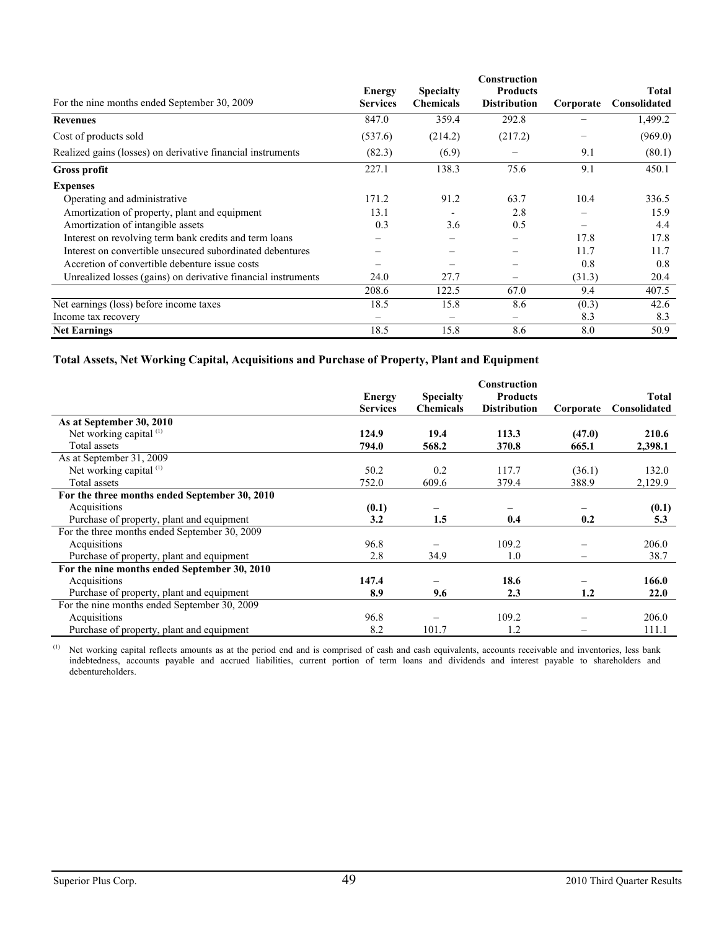| For the nine months ended September 30, 2009                  | <b>Energy</b><br><b>Services</b> | <b>Specialty</b><br><b>Chemicals</b> | Construction<br><b>Products</b><br><b>Distribution</b> | Corporate | Total<br>Consolidated |
|---------------------------------------------------------------|----------------------------------|--------------------------------------|--------------------------------------------------------|-----------|-----------------------|
| <b>Revenues</b>                                               | 847.0                            | 359.4                                | 292.8                                                  |           | 1,499.2               |
| Cost of products sold                                         | (537.6)                          | (214.2)                              | (217.2)                                                |           | (969.0)               |
| Realized gains (losses) on derivative financial instruments   | (82.3)                           | (6.9)                                |                                                        | 9.1       | (80.1)                |
| <b>Gross profit</b>                                           | 227.1                            | 138.3                                | 75.6                                                   | 9.1       | 450.1                 |
| <b>Expenses</b>                                               |                                  |                                      |                                                        |           |                       |
| Operating and administrative                                  | 171.2                            | 91.2                                 | 63.7                                                   | 10.4      | 336.5                 |
| Amortization of property, plant and equipment                 | 13.1                             |                                      | 2.8                                                    |           | 15.9                  |
| Amortization of intangible assets                             | 0.3                              | 3.6                                  | 0.5                                                    |           | 4.4                   |
| Interest on revolving term bank credits and term loans        |                                  |                                      |                                                        | 17.8      | 17.8                  |
| Interest on convertible unsecured subordinated debentures     |                                  |                                      |                                                        | 11.7      | 11.7                  |
| Accretion of convertible debenture issue costs                |                                  |                                      |                                                        | 0.8       | 0.8                   |
| Unrealized losses (gains) on derivative financial instruments | 24.0                             | 27.7                                 |                                                        | (31.3)    | 20.4                  |
|                                                               | 208.6                            | 122.5                                | 67.0                                                   | 9.4       | 407.5                 |
| Net earnings (loss) before income taxes                       | 18.5                             | 15.8                                 | 8.6                                                    | (0.3)     | 42.6                  |
| Income tax recovery                                           | $\qquad \qquad -$                | -                                    | $\overline{\phantom{0}}$                               | 8.3       | 8.3                   |
| <b>Net Earnings</b>                                           | 18.5                             | 15.8                                 | 8.6                                                    | 8.0       | 50.9                  |

### **Total Assets, Net Working Capital, Acquisitions and Purchase of Property, Plant and Equipment**

|                                               |                 |                  | <b>Construction</b> |           |              |
|-----------------------------------------------|-----------------|------------------|---------------------|-----------|--------------|
|                                               | Energy          | <b>Specialty</b> | <b>Products</b>     |           | Total        |
|                                               | <b>Services</b> | <b>Chemicals</b> | <b>Distribution</b> | Corporate | Consolidated |
| As at September 30, 2010                      |                 |                  |                     |           |              |
| Net working capital <sup>(1)</sup>            | 124.9           | 19.4             | 113.3               | (47.0)    | 210.6        |
| Total assets                                  | 794.0           | 568.2            | 370.8               | 665.1     | 2,398.1      |
| As at September 31, 2009                      |                 |                  |                     |           |              |
| Net working capital <sup>(1)</sup>            | 50.2            | 0.2              | 117.7               | (36.1)    | 132.0        |
| Total assets                                  | 752.0           | 609.6            | 379.4               | 388.9     | 2,129.9      |
| For the three months ended September 30, 2010 |                 |                  |                     |           |              |
| Acquisitions                                  | (0.1)           |                  |                     |           | (0.1)        |
| Purchase of property, plant and equipment     | 3.2             | 1.5              | 0.4                 | 0.2       | 5.3          |
| For the three months ended September 30, 2009 |                 |                  |                     |           |              |
| Acquisitions                                  | 96.8            |                  | 109.2               |           | 206.0        |
| Purchase of property, plant and equipment     | 2.8             | 34.9             | 1.0                 |           | 38.7         |
| For the nine months ended September 30, 2010  |                 |                  |                     |           |              |
| Acquisitions                                  | 147.4           |                  | 18.6                |           | 166.0        |
| Purchase of property, plant and equipment     | 8.9             | 9.6              | 2.3                 | 1.2       | <b>22.0</b>  |
| For the nine months ended September 30, 2009  |                 |                  |                     |           |              |
| Acquisitions                                  | 96.8            |                  | 109.2               |           | 206.0        |
| Purchase of property, plant and equipment     | 8.2             | 101.7            | 1.2                 |           | 111.1        |

 $<sup>(1)</sup>$  Net working capital reflects amounts as at the period end and is comprised of cash and cash equivalents, accounts receivable and inventories, less bank</sup> indebtedness, accounts payable and accrued liabilities, current portion of term loans and dividends and interest payable to shareholders and debentureholders.